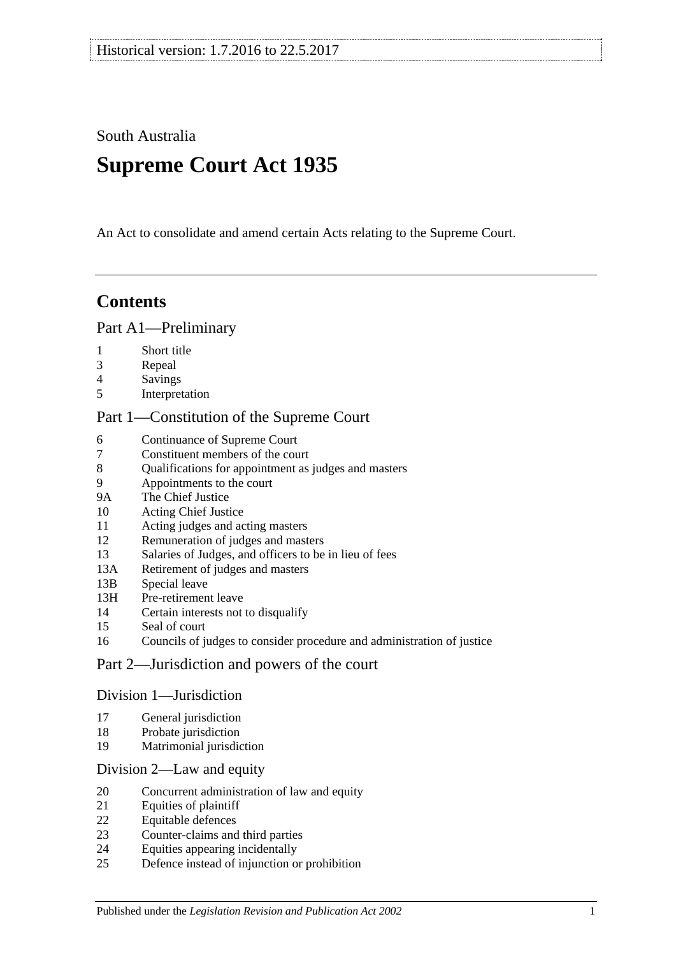South Australia

# **Supreme Court Act 1935**

An Act to consolidate and amend certain Acts relating to the Supreme Court.

# **Contents**

## [Part A1—Preliminary](#page-3-0)

- [Short title](#page-3-1)
- [Repeal](#page-3-2)
- [Savings](#page-3-3)
- [Interpretation](#page-3-4)

## [Part 1—Constitution of the Supreme Court](#page-5-0)

- [Continuance of](#page-5-1) Supreme Court<br>7 Constituent members of the cou
- [Constituent members of the court](#page-5-2)
- [Qualifications for appointment as judges and masters](#page-5-3)
- [Appointments to the court](#page-6-0)
- 9A [The Chief Justice](#page-6-1)
- [Acting Chief Justice](#page-6-2)
- [Acting judges and acting masters](#page-6-3)
- [Remuneration of judges and masters](#page-7-0)
- [Salaries of Judges, and officers to be in lieu of fees](#page-7-1)
- 13A [Retirement of judges and masters](#page-7-2)
- 13B [Special leave](#page-7-3)
- 13H [Pre-retirement leave](#page-8-0)
- [Certain interests not to disqualify](#page-9-0)
- [Seal of court](#page-9-1)
- [Councils of judges to consider procedure and administration of justice](#page-9-2)

## [Part 2—Jurisdiction and powers of the court](#page-9-3)

#### [Division 1—Jurisdiction](#page-9-4)

- [General jurisdiction](#page-9-5)
- [Probate jurisdiction](#page-10-0)
- [Matrimonial jurisdiction](#page-10-1)

#### [Division 2—Law and equity](#page-10-2)

- [Concurrent administration of law and equity](#page-10-3)
- [Equities of plaintiff](#page-11-0)
- [Equitable defences](#page-11-1)
- [Counter-claims and third parties](#page-11-2)
- [Equities appearing incidentally](#page-11-3)
- [Defence instead of injunction or prohibition](#page-12-0)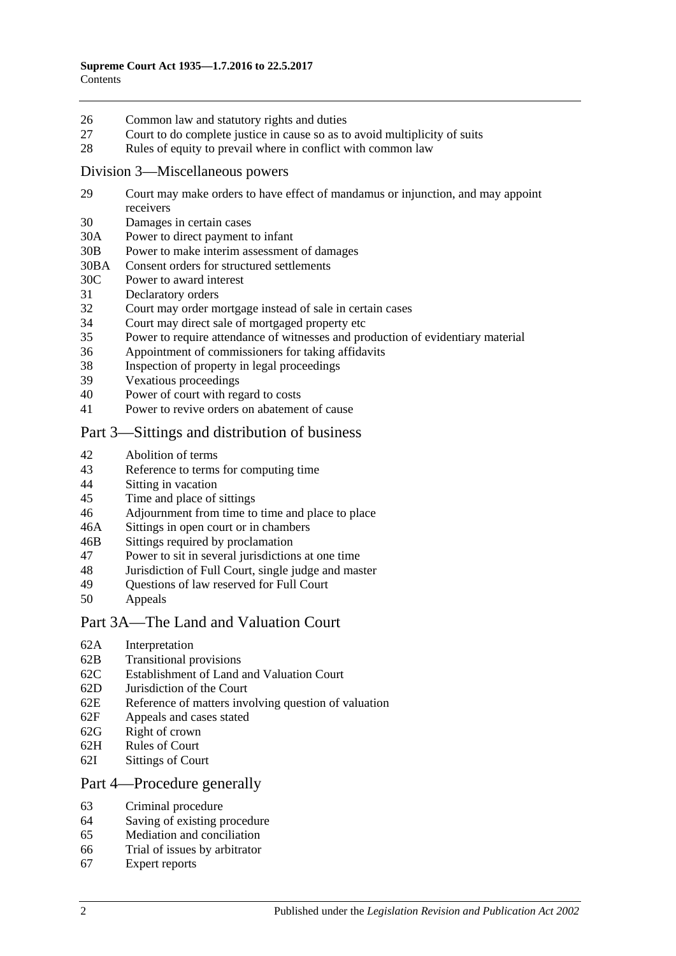- 26 [Common law and statutory rights and duties](#page-12-1)
- 27 [Court to do complete justice in cause so as to avoid multiplicity of suits](#page-12-2)
- 28 [Rules of equity to prevail where in conflict with common law](#page-12-3)

#### [Division 3—Miscellaneous powers](#page-13-0)

- 29 [Court may make orders to have effect of mandamus or injunction, and may appoint](#page-13-1)  [receivers](#page-13-1)
- 30 [Damages in certain cases](#page-13-2)
- 30A [Power to direct payment to infant](#page-13-3)
- 30B [Power to make interim assessment of damages](#page-13-4)
- 30BA [Consent orders for structured settlements](#page-16-0)
- 30C [Power to award interest](#page-16-1)
- 31 [Declaratory orders](#page-17-0)
- 32 [Court may order mortgage instead of sale in certain cases](#page-17-1)
- 34 [Court may direct sale of mortgaged property etc](#page-17-2)
- 35 [Power to require attendance of witnesses and production of evidentiary material](#page-17-3)
- 36 [Appointment of commissioners for taking affidavits](#page-18-0)
- 38 [Inspection of property in legal proceedings](#page-18-1)
- 39 [Vexatious proceedings](#page-18-2)
- 40 [Power of court with regard to costs](#page-19-0)
- 41 [Power to revive orders on abatement of cause](#page-19-1)

## [Part 3—Sittings and distribution of business](#page-19-2)

- 42 [Abolition of terms](#page-19-3)
- 43 [Reference to terms for computing time](#page-19-4)
- 44 Sitting [in vacation](#page-19-5)
- 45 [Time and place of sittings](#page-20-0)
- 46 [Adjournment from time to time and place to place](#page-20-1)
- 46A [Sittings in open court or in chambers](#page-20-2)
- 46B [Sittings required by proclamation](#page-20-3)
- 47 [Power to sit in several jurisdictions at one time](#page-20-4)
- 48 [Jurisdiction of Full Court, single judge and master](#page-20-5)
- 49 [Questions of law reserved for Full Court](#page-21-0)<br>50 Anneals
- **[Appeals](#page-21-1)**

#### [Part 3A—The Land and Valuation Court](#page-22-0)

- 62A [Interpretation](#page-22-1)
- 62B [Transitional provisions](#page-23-0)
- 62C [Establishment of Land and Valuation Court](#page-23-1)
- 62D [Jurisdiction of the Court](#page-23-2)
- 62E [Reference of matters involving question of valuation](#page-24-0)
- 62F [Appeals and cases stated](#page-25-0)
- 62G [Right of crown](#page-25-1)
- 62H [Rules of Court](#page-25-2)
- 62I [Sittings of Court](#page-25-3)

#### [Part 4—Procedure generally](#page-25-4)

- 63 [Criminal procedure](#page-25-5)
- 64 [Saving of existing procedure](#page-26-0)
- 65 [Mediation and conciliation](#page-26-1)
- 66 [Trial of issues by arbitrator](#page-26-2)
- 67 [Expert reports](#page-27-0)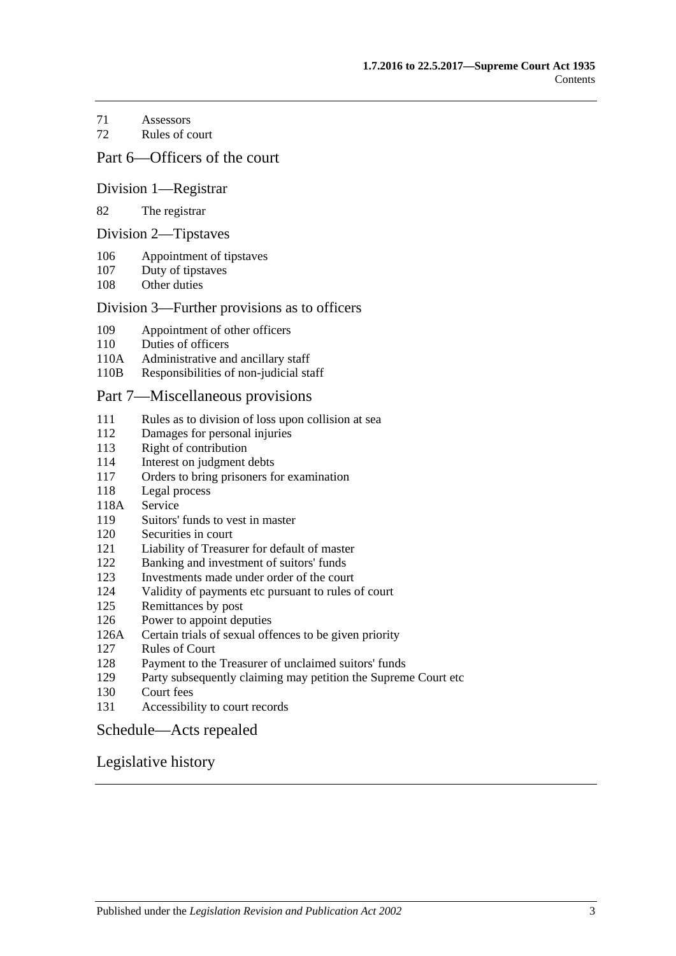[Assessors](#page-27-1)

[Rules of court](#page-27-2)

### [Part 6—Officers of the court](#page-29-0)

#### [Division 1—Registrar](#page-29-1)

#### [The registrar](#page-29-2)

#### [Division 2—Tipstaves](#page-29-3)

- [Appointment of tipstaves](#page-29-4)
- [Duty of tipstaves](#page-29-5)
- [Other duties](#page-29-6)

#### [Division 3—Further provisions as to officers](#page-29-7)

- [Appointment of other officers](#page-29-8)
- [Duties of officers](#page-30-0)
- 110A [Administrative and ancillary staff](#page-30-1)
- 110B [Responsibilities of non-judicial staff](#page-30-2)

#### [Part 7—Miscellaneous provisions](#page-30-3)

- [Rules as to division of loss upon collision at sea](#page-30-4)
- [Damages for personal injuries](#page-31-0)<br>113 Right of contribution
- [Right of contribution](#page-31-1)
- [Interest on judgment debts](#page-31-2)
- [Orders to bring prisoners for examination](#page-31-3)
- [Legal process](#page-32-0)
- 118A [Service](#page-32-1)
- [Suitors' funds to vest in master](#page-32-2)
- [Securities in court](#page-32-3)
- [Liability of Treasurer for default of master](#page-32-4)
- [Banking and investment of suitors' funds](#page-32-5)
- [Investments made under order of the court](#page-33-0)
- [Validity of payments etc pursuant to rules of court](#page-33-1)
- [Remittances by post](#page-33-2)
- [Power to appoint deputies](#page-33-3)
- 126A [Certain trials of sexual offences to be given priority](#page-33-4)
- [Rules of Court](#page-34-0)
- [Payment to the Treasurer of unclaimed suitors' funds](#page-34-1)
- [Party subsequently claiming may petition the Supreme Court etc](#page-34-2)
- [Court fees](#page-35-0)
- [Accessibility to court records](#page-35-1)

#### [Schedule—Acts repealed](#page-36-0)

#### [Legislative history](#page-39-0)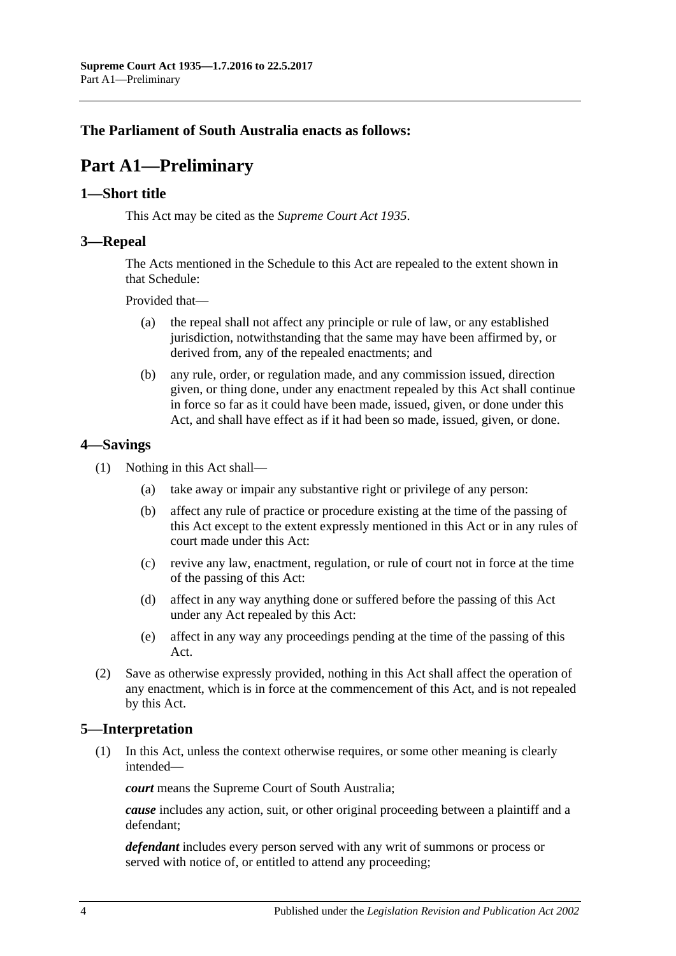## <span id="page-3-0"></span>**The Parliament of South Australia enacts as follows:**

# **Part A1—Preliminary**

### <span id="page-3-1"></span>**1—Short title**

This Act may be cited as the *Supreme Court Act 1935*.

### <span id="page-3-2"></span>**3—Repeal**

The Acts mentioned in the [Schedule](#page-36-0) to this Act are repealed to the extent shown in that [Schedule:](#page-36-0)

Provided that—

- (a) the repeal shall not affect any principle or rule of law, or any established jurisdiction, notwithstanding that the same may have been affirmed by, or derived from, any of the repealed enactments; and
- (b) any rule, order, or regulation made, and any commission issued, direction given, or thing done, under any enactment repealed by this Act shall continue in force so far as it could have been made, issued, given, or done under this Act, and shall have effect as if it had been so made, issued, given, or done.

## <span id="page-3-3"></span>**4—Savings**

- (1) Nothing in this Act shall—
	- (a) take away or impair any substantive right or privilege of any person:
	- (b) affect any rule of practice or procedure existing at the time of the passing of this Act except to the extent expressly mentioned in this Act or in any rules of court made under this Act:
	- (c) revive any law, enactment, regulation, or rule of court not in force at the time of the passing of this Act:
	- (d) affect in any way anything done or suffered before the passing of this Act under any Act repealed by this Act:
	- (e) affect in any way any proceedings pending at the time of the passing of this Act.
- (2) Save as otherwise expressly provided, nothing in this Act shall affect the operation of any enactment, which is in force at the commencement of this Act, and is not repealed by this Act.

## <span id="page-3-4"></span>**5—Interpretation**

(1) In this Act, unless the context otherwise requires, or some other meaning is clearly intended—

*court* means the Supreme Court of South Australia;

*cause* includes any action, suit, or other original proceeding between a plaintiff and a defendant;

*defendant* includes every person served with any writ of summons or process or served with notice of, or entitled to attend any proceeding;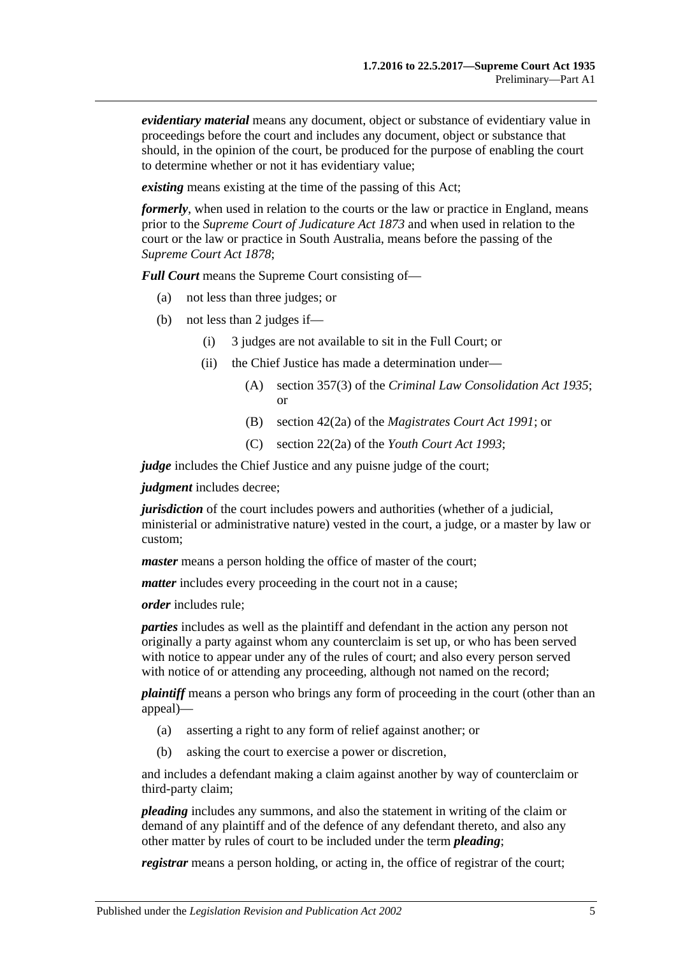*evidentiary material* means any document, object or substance of evidentiary value in proceedings before the court and includes any document, object or substance that should, in the opinion of the court, be produced for the purpose of enabling the court to determine whether or not it has evidentiary value;

*existing* means existing at the time of the passing of this Act;

*formerly*, when used in relation to the courts or the law or practice in England, means prior to the *[Supreme Court of Judicature Act](http://www.legislation.sa.gov.au/index.aspx?action=legref&type=act&legtitle=Supreme%20Court%20of%20Judicature%20Act%201873) 1873* and when used in relation to the court or the law or practice in South Australia, means before the passing of the *[Supreme Court Act](http://www.legislation.sa.gov.au/index.aspx?action=legref&type=act&legtitle=Supreme%20Court%20Act%201878) 1878*;

*Full Court* means the Supreme Court consisting of—

- (a) not less than three judges; or
- (b) not less than 2 judges if—
	- (i) 3 judges are not available to sit in the Full Court; or
	- (ii) the Chief Justice has made a determination under—
		- (A) section 357(3) of the *[Criminal Law Consolidation Act](http://www.legislation.sa.gov.au/index.aspx?action=legref&type=act&legtitle=Criminal%20Law%20Consolidation%20Act%201935) 1935*; or
		- (B) section 42(2a) of the *[Magistrates Court Act](http://www.legislation.sa.gov.au/index.aspx?action=legref&type=act&legtitle=Magistrates%20Court%20Act%201991) 1991*; or
		- (C) section 22(2a) of the *[Youth Court Act](http://www.legislation.sa.gov.au/index.aspx?action=legref&type=act&legtitle=Youth%20Court%20Act%201993) 1993*;

*judge* includes the Chief Justice and any puisne judge of the court;

*judgment* includes decree;

*jurisdiction* of the court includes powers and authorities (whether of a judicial, ministerial or administrative nature) vested in the court, a judge, or a master by law or custom;

*master* means a person holding the office of master of the court;

*matter* includes every proceeding in the court not in a cause;

*order* includes rule;

*parties* includes as well as the plaintiff and defendant in the action any person not originally a party against whom any counterclaim is set up, or who has been served with notice to appear under any of the rules of court; and also every person served with notice of or attending any proceeding, although not named on the record;

*plaintiff* means a person who brings any form of proceeding in the court (other than an appeal)—

- (a) asserting a right to any form of relief against another; or
- (b) asking the court to exercise a power or discretion,

and includes a defendant making a claim against another by way of counterclaim or third-party claim;

*pleading* includes any summons, and also the statement in writing of the claim or demand of any plaintiff and of the defence of any defendant thereto, and also any other matter by rules of court to be included under the term *pleading*;

*registrar* means a person holding, or acting in, the office of registrar of the court;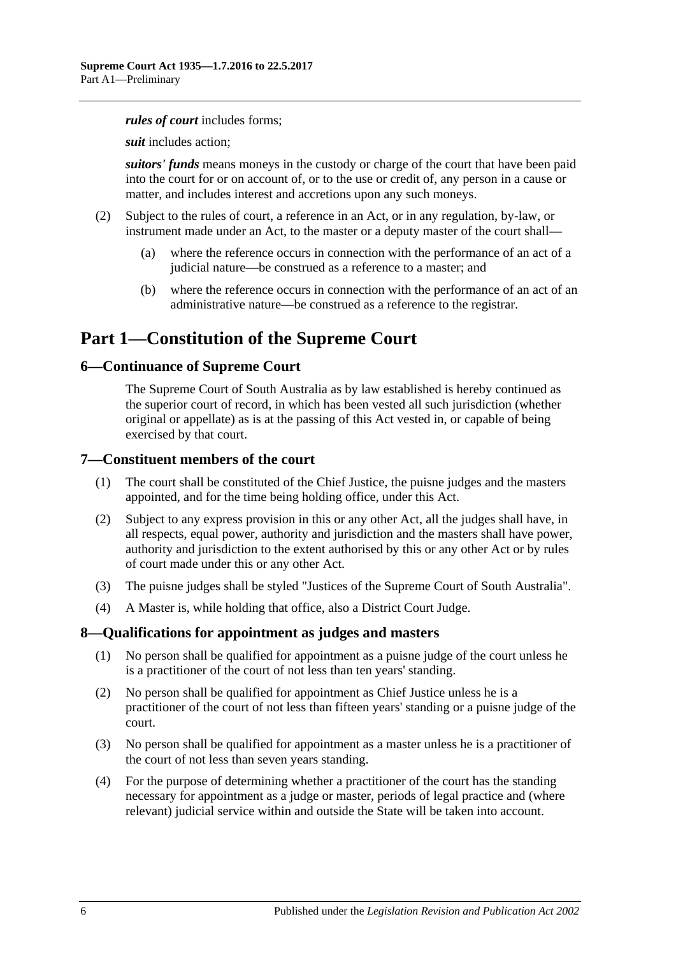#### *rules of court* includes forms;

*suit* includes action;

*suitors' funds* means moneys in the custody or charge of the court that have been paid into the court for or on account of, or to the use or credit of, any person in a cause or matter, and includes interest and accretions upon any such moneys.

- (2) Subject to the rules of court, a reference in an Act, or in any regulation, by-law, or instrument made under an Act, to the master or a deputy master of the court shall—
	- (a) where the reference occurs in connection with the performance of an act of a judicial nature—be construed as a reference to a master; and
	- (b) where the reference occurs in connection with the performance of an act of an administrative nature—be construed as a reference to the registrar.

# <span id="page-5-0"></span>**Part 1—Constitution of the Supreme Court**

#### <span id="page-5-1"></span>**6—Continuance of Supreme Court**

The Supreme Court of South Australia as by law established is hereby continued as the superior court of record, in which has been vested all such jurisdiction (whether original or appellate) as is at the passing of this Act vested in, or capable of being exercised by that court.

#### <span id="page-5-2"></span>**7—Constituent members of the court**

- (1) The court shall be constituted of the Chief Justice, the puisne judges and the masters appointed, and for the time being holding office, under this Act.
- (2) Subject to any express provision in this or any other Act, all the judges shall have, in all respects, equal power, authority and jurisdiction and the masters shall have power, authority and jurisdiction to the extent authorised by this or any other Act or by rules of court made under this or any other Act.
- (3) The puisne judges shall be styled "Justices of the Supreme Court of South Australia".
- (4) A Master is, while holding that office, also a District Court Judge.

#### <span id="page-5-3"></span>**8—Qualifications for appointment as judges and masters**

- (1) No person shall be qualified for appointment as a puisne judge of the court unless he is a practitioner of the court of not less than ten years' standing.
- (2) No person shall be qualified for appointment as Chief Justice unless he is a practitioner of the court of not less than fifteen years' standing or a puisne judge of the court.
- (3) No person shall be qualified for appointment as a master unless he is a practitioner of the court of not less than seven years standing.
- (4) For the purpose of determining whether a practitioner of the court has the standing necessary for appointment as a judge or master, periods of legal practice and (where relevant) judicial service within and outside the State will be taken into account.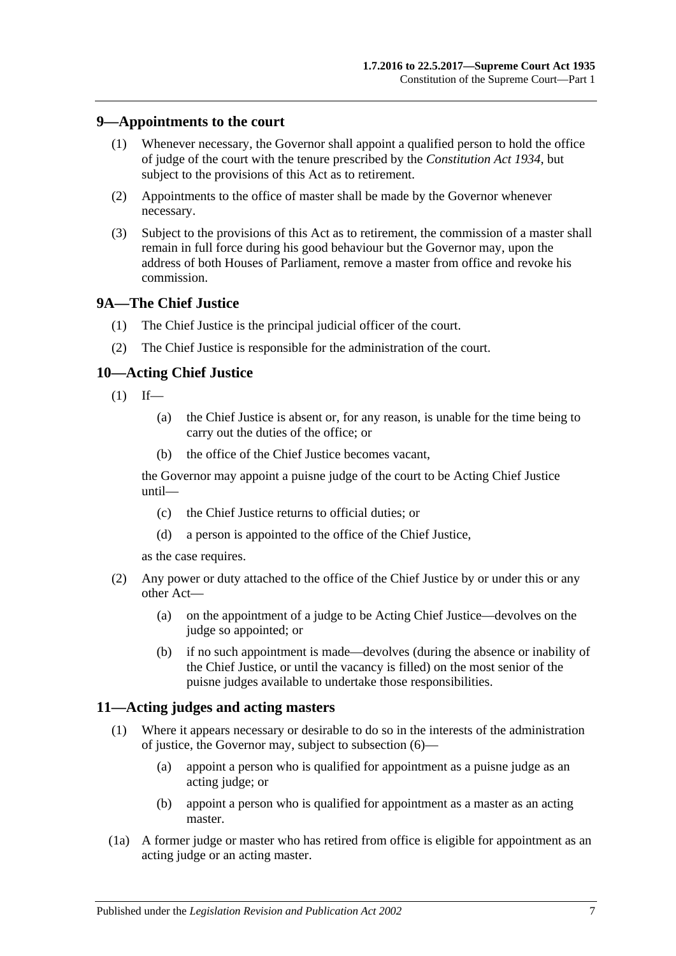### <span id="page-6-0"></span>**9—Appointments to the court**

- (1) Whenever necessary, the Governor shall appoint a qualified person to hold the office of judge of the court with the tenure prescribed by the *[Constitution Act](http://www.legislation.sa.gov.au/index.aspx?action=legref&type=act&legtitle=Constitution%20Act%201934) 1934*, but subject to the provisions of this Act as to retirement.
- (2) Appointments to the office of master shall be made by the Governor whenever necessary.
- (3) Subject to the provisions of this Act as to retirement, the commission of a master shall remain in full force during his good behaviour but the Governor may, upon the address of both Houses of Parliament, remove a master from office and revoke his commission.

#### <span id="page-6-1"></span>**9A—The Chief Justice**

- (1) The Chief Justice is the principal judicial officer of the court.
- (2) The Chief Justice is responsible for the administration of the court.

#### <span id="page-6-2"></span>**10—Acting Chief Justice**

- $(1)$  If—
	- (a) the Chief Justice is absent or, for any reason, is unable for the time being to carry out the duties of the office; or
	- (b) the office of the Chief Justice becomes vacant,

the Governor may appoint a puisne judge of the court to be Acting Chief Justice until—

- (c) the Chief Justice returns to official duties; or
- (d) a person is appointed to the office of the Chief Justice,

as the case requires.

- (2) Any power or duty attached to the office of the Chief Justice by or under this or any other Act—
	- (a) on the appointment of a judge to be Acting Chief Justice—devolves on the judge so appointed; or
	- (b) if no such appointment is made—devolves (during the absence or inability of the Chief Justice, or until the vacancy is filled) on the most senior of the puisne judges available to undertake those responsibilities.

#### <span id="page-6-4"></span><span id="page-6-3"></span>**11—Acting judges and acting masters**

- (1) Where it appears necessary or desirable to do so in the interests of the administration of justice, the Governor may, subject to [subsection](#page-7-4) (6)—
	- (a) appoint a person who is qualified for appointment as a puisne judge as an acting judge; or
	- (b) appoint a person who is qualified for appointment as a master as an acting master.
- (1a) A former judge or master who has retired from office is eligible for appointment as an acting judge or an acting master.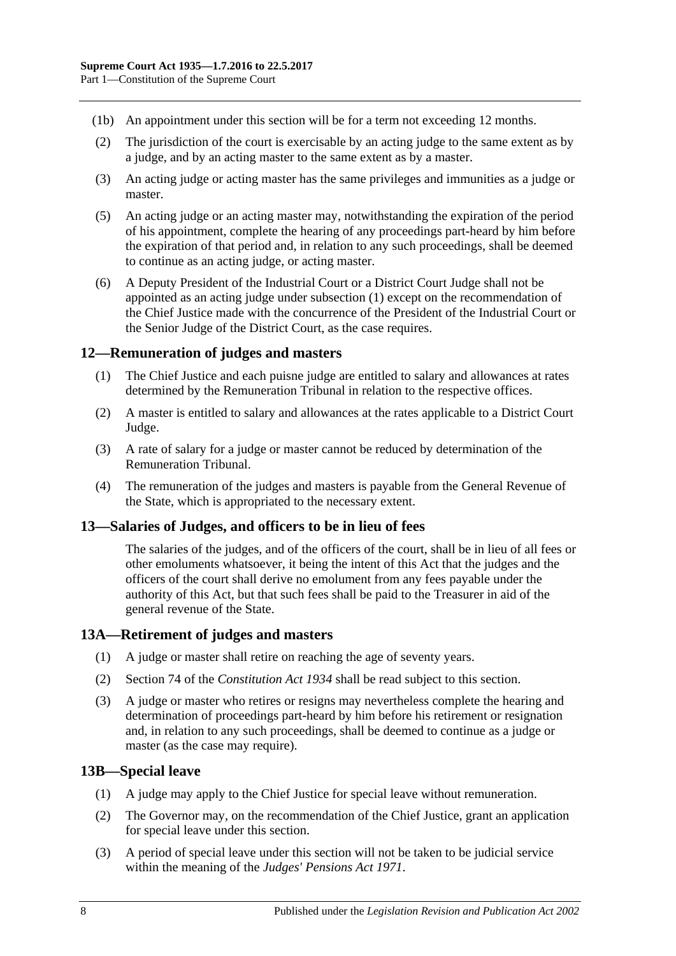- (1b) An appointment under this section will be for a term not exceeding 12 months.
- (2) The jurisdiction of the court is exercisable by an acting judge to the same extent as by a judge, and by an acting master to the same extent as by a master.
- (3) An acting judge or acting master has the same privileges and immunities as a judge or master.
- (5) An acting judge or an acting master may, notwithstanding the expiration of the period of his appointment, complete the hearing of any proceedings part-heard by him before the expiration of that period and, in relation to any such proceedings, shall be deemed to continue as an acting judge, or acting master.
- <span id="page-7-4"></span>(6) A Deputy President of the Industrial Court or a District Court Judge shall not be appointed as an acting judge under [subsection](#page-6-4) (1) except on the recommendation of the Chief Justice made with the concurrence of the President of the Industrial Court or the Senior Judge of the District Court, as the case requires.

#### <span id="page-7-0"></span>**12—Remuneration of judges and masters**

- (1) The Chief Justice and each puisne judge are entitled to salary and allowances at rates determined by the Remuneration Tribunal in relation to the respective offices.
- (2) A master is entitled to salary and allowances at the rates applicable to a District Court Judge.
- (3) A rate of salary for a judge or master cannot be reduced by determination of the Remuneration Tribunal.
- (4) The remuneration of the judges and masters is payable from the General Revenue of the State, which is appropriated to the necessary extent.

## <span id="page-7-1"></span>**13—Salaries of Judges, and officers to be in lieu of fees**

The salaries of the judges, and of the officers of the court, shall be in lieu of all fees or other emoluments whatsoever, it being the intent of this Act that the judges and the officers of the court shall derive no emolument from any fees payable under the authority of this Act, but that such fees shall be paid to the Treasurer in aid of the general revenue of the State.

#### <span id="page-7-2"></span>**13A—Retirement of judges and masters**

- (1) A judge or master shall retire on reaching the age of seventy years.
- (2) Section 74 of the *[Constitution Act](http://www.legislation.sa.gov.au/index.aspx?action=legref&type=act&legtitle=Constitution%20Act%201934) 1934* shall be read subject to this section.
- (3) A judge or master who retires or resigns may nevertheless complete the hearing and determination of proceedings part-heard by him before his retirement or resignation and, in relation to any such proceedings, shall be deemed to continue as a judge or master (as the case may require).

#### <span id="page-7-3"></span>**13B—Special leave**

- (1) A judge may apply to the Chief Justice for special leave without remuneration.
- (2) The Governor may, on the recommendation of the Chief Justice, grant an application for special leave under this section.
- (3) A period of special leave under this section will not be taken to be judicial service within the meaning of the *[Judges' Pensions Act](http://www.legislation.sa.gov.au/index.aspx?action=legref&type=act&legtitle=Judges%20Pensions%20Act%201971) 1971*.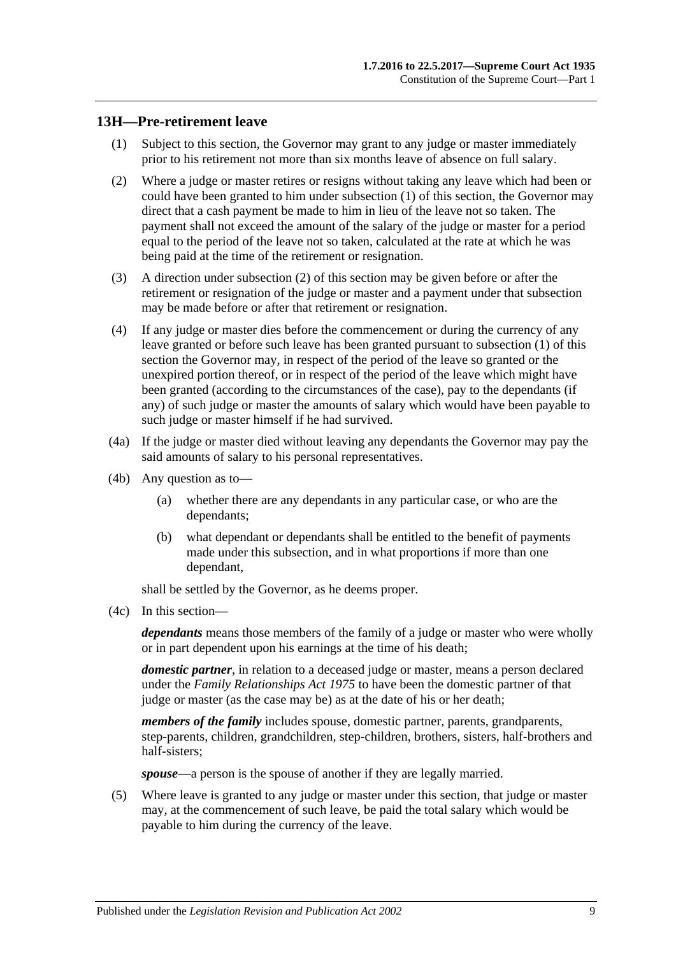### <span id="page-8-1"></span><span id="page-8-0"></span>**13H—Pre-retirement leave**

- (1) Subject to this section, the Governor may grant to any judge or master immediately prior to his retirement not more than six months leave of absence on full salary.
- <span id="page-8-2"></span>(2) Where a judge or master retires or resigns without taking any leave which had been or could have been granted to him under [subsection](#page-8-1) (1) of this section, the Governor may direct that a cash payment be made to him in lieu of the leave not so taken. The payment shall not exceed the amount of the salary of the judge or master for a period equal to the period of the leave not so taken, calculated at the rate at which he was being paid at the time of the retirement or resignation.
- (3) A direction under [subsection](#page-8-2) (2) of this section may be given before or after the retirement or resignation of the judge or master and a payment under that subsection may be made before or after that retirement or resignation.
- (4) If any judge or master dies before the commencement or during the currency of any leave granted or before such leave has been granted pursuant to [subsection](#page-8-1) (1) of this section the Governor may, in respect of the period of the leave so granted or the unexpired portion thereof, or in respect of the period of the leave which might have been granted (according to the circumstances of the case), pay to the dependants (if any) of such judge or master the amounts of salary which would have been payable to such judge or master himself if he had survived.
- (4a) If the judge or master died without leaving any dependants the Governor may pay the said amounts of salary to his personal representatives.
- (4b) Any question as to—
	- (a) whether there are any dependants in any particular case, or who are the dependants;
	- (b) what dependant or dependants shall be entitled to the benefit of payments made under this subsection, and in what proportions if more than one dependant,

shall be settled by the Governor, as he deems proper.

(4c) In this section—

*dependants* means those members of the family of a judge or master who were wholly or in part dependent upon his earnings at the time of his death;

*domestic partner*, in relation to a deceased judge or master, means a person declared under the *[Family Relationships Act](http://www.legislation.sa.gov.au/index.aspx?action=legref&type=act&legtitle=Family%20Relationships%20Act%201975) 1975* to have been the domestic partner of that judge or master (as the case may be) as at the date of his or her death;

*members of the family* includes spouse, domestic partner, parents, grandparents, step-parents, children, grandchildren, step-children, brothers, sisters, half-brothers and half-sisters;

*spouse*—a person is the spouse of another if they are legally married.

(5) Where leave is granted to any judge or master under this section, that judge or master may, at the commencement of such leave, be paid the total salary which would be payable to him during the currency of the leave.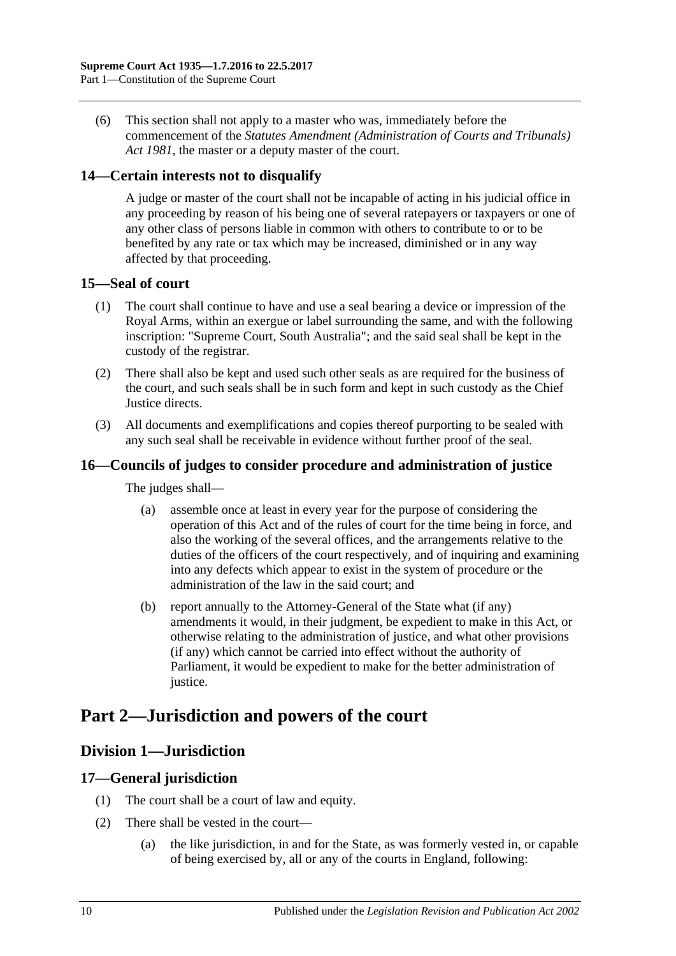(6) This section shall not apply to a master who was, immediately before the commencement of the *[Statutes Amendment \(Administration of Courts and Tribunals\)](http://www.legislation.sa.gov.au/index.aspx?action=legref&type=act&legtitle=Statutes%20Amendment%20(Administration%20of%20Courts%20and%20Tribunals)%20Act%201981)  Act [1981](http://www.legislation.sa.gov.au/index.aspx?action=legref&type=act&legtitle=Statutes%20Amendment%20(Administration%20of%20Courts%20and%20Tribunals)%20Act%201981)*, the master or a deputy master of the court.

## <span id="page-9-0"></span>**14—Certain interests not to disqualify**

A judge or master of the court shall not be incapable of acting in his judicial office in any proceeding by reason of his being one of several ratepayers or taxpayers or one of any other class of persons liable in common with others to contribute to or to be benefited by any rate or tax which may be increased, diminished or in any way affected by that proceeding.

## <span id="page-9-1"></span>**15—Seal of court**

- (1) The court shall continue to have and use a seal bearing a device or impression of the Royal Arms, within an exergue or label surrounding the same, and with the following inscription: "Supreme Court, South Australia"; and the said seal shall be kept in the custody of the registrar.
- (2) There shall also be kept and used such other seals as are required for the business of the court, and such seals shall be in such form and kept in such custody as the Chief Justice directs.
- (3) All documents and exemplifications and copies thereof purporting to be sealed with any such seal shall be receivable in evidence without further proof of the seal.

## <span id="page-9-2"></span>**16—Councils of judges to consider procedure and administration of justice**

The judges shall—

- (a) assemble once at least in every year for the purpose of considering the operation of this Act and of the rules of court for the time being in force, and also the working of the several offices, and the arrangements relative to the duties of the officers of the court respectively, and of inquiring and examining into any defects which appear to exist in the system of procedure or the administration of the law in the said court; and
- (b) report annually to the Attorney-General of the State what (if any) amendments it would, in their judgment, be expedient to make in this Act, or otherwise relating to the administration of justice, and what other provisions (if any) which cannot be carried into effect without the authority of Parliament, it would be expedient to make for the better administration of justice.

# <span id="page-9-4"></span><span id="page-9-3"></span>**Part 2—Jurisdiction and powers of the court**

## **Division 1—Jurisdiction**

## <span id="page-9-5"></span>**17—General jurisdiction**

- (1) The court shall be a court of law and equity.
- (2) There shall be vested in the court—
	- (a) the like jurisdiction, in and for the State, as was formerly vested in, or capable of being exercised by, all or any of the courts in England, following: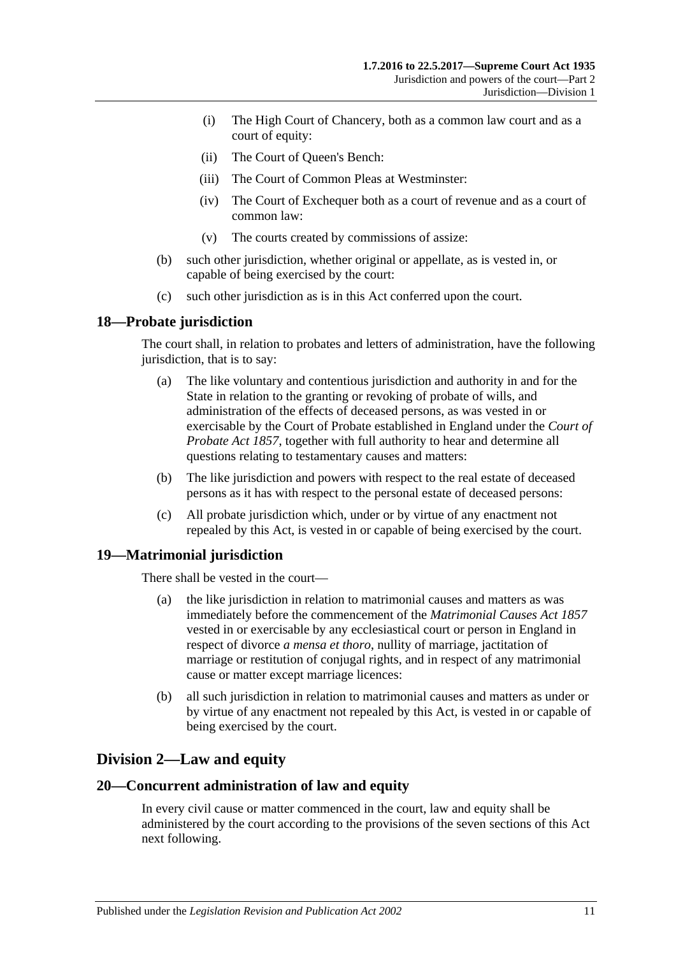- (i) The High Court of Chancery, both as a common law court and as a court of equity:
- (ii) The Court of Queen's Bench:
- (iii) The Court of Common Pleas at Westminster:
- (iv) The Court of Exchequer both as a court of revenue and as a court of common law:
- (v) The courts created by commissions of assize:
- (b) such other jurisdiction, whether original or appellate, as is vested in, or capable of being exercised by the court:
- (c) such other jurisdiction as is in this Act conferred upon the court.

## <span id="page-10-0"></span>**18—Probate jurisdiction**

The court shall, in relation to probates and letters of administration, have the following jurisdiction, that is to say:

- (a) The like voluntary and contentious jurisdiction and authority in and for the State in relation to the granting or revoking of probate of wills, and administration of the effects of deceased persons, as was vested in or exercisable by the Court of Probate established in England under the *[Court of](http://www.legislation.sa.gov.au/index.aspx?action=legref&type=act&legtitle=Court%20of%20Probate%20Act%201857)  [Probate Act](http://www.legislation.sa.gov.au/index.aspx?action=legref&type=act&legtitle=Court%20of%20Probate%20Act%201857) 1857*, together with full authority to hear and determine all questions relating to testamentary causes and matters:
- (b) The like jurisdiction and powers with respect to the real estate of deceased persons as it has with respect to the personal estate of deceased persons:
- (c) All probate jurisdiction which, under or by virtue of any enactment not repealed by this Act, is vested in or capable of being exercised by the court.

## <span id="page-10-1"></span>**19—Matrimonial jurisdiction**

There shall be vested in the court—

- (a) the like jurisdiction in relation to matrimonial causes and matters as was immediately before the commencement of the *[Matrimonial Causes Act](http://www.legislation.sa.gov.au/index.aspx?action=legref&type=act&legtitle=Matrimonial%20Causes%20Act%201857) 1857* vested in or exercisable by any ecclesiastical court or person in England in respect of divorce *a mensa et thoro*, nullity of marriage, jactitation of marriage or restitution of conjugal rights, and in respect of any matrimonial cause or matter except marriage licences:
- (b) all such jurisdiction in relation to matrimonial causes and matters as under or by virtue of any enactment not repealed by this Act, is vested in or capable of being exercised by the court.

# <span id="page-10-2"></span>**Division 2—Law and equity**

#### <span id="page-10-3"></span>**20—Concurrent administration of law and equity**

In every civil cause or matter commenced in the court, law and equity shall be administered by the court according to the provisions of the seven sections of this Act next following.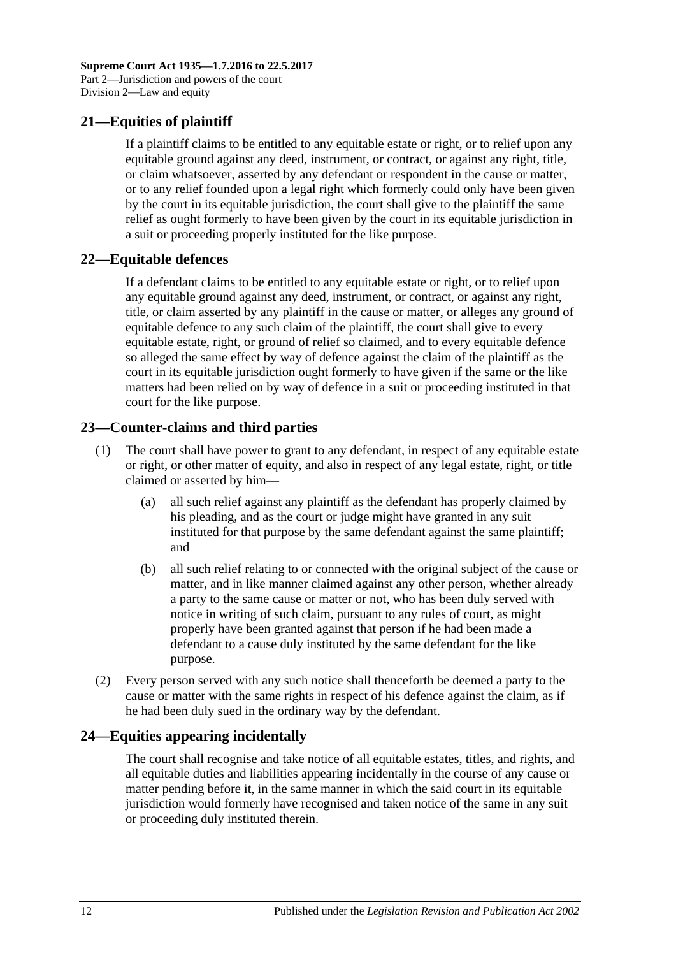# <span id="page-11-0"></span>**21—Equities of plaintiff**

If a plaintiff claims to be entitled to any equitable estate or right, or to relief upon any equitable ground against any deed, instrument, or contract, or against any right, title, or claim whatsoever, asserted by any defendant or respondent in the cause or matter, or to any relief founded upon a legal right which formerly could only have been given by the court in its equitable jurisdiction, the court shall give to the plaintiff the same relief as ought formerly to have been given by the court in its equitable jurisdiction in a suit or proceeding properly instituted for the like purpose.

## <span id="page-11-1"></span>**22—Equitable defences**

If a defendant claims to be entitled to any equitable estate or right, or to relief upon any equitable ground against any deed, instrument, or contract, or against any right, title, or claim asserted by any plaintiff in the cause or matter, or alleges any ground of equitable defence to any such claim of the plaintiff, the court shall give to every equitable estate, right, or ground of relief so claimed, and to every equitable defence so alleged the same effect by way of defence against the claim of the plaintiff as the court in its equitable jurisdiction ought formerly to have given if the same or the like matters had been relied on by way of defence in a suit or proceeding instituted in that court for the like purpose.

## <span id="page-11-2"></span>**23—Counter-claims and third parties**

- (1) The court shall have power to grant to any defendant, in respect of any equitable estate or right, or other matter of equity, and also in respect of any legal estate, right, or title claimed or asserted by him—
	- (a) all such relief against any plaintiff as the defendant has properly claimed by his pleading, and as the court or judge might have granted in any suit instituted for that purpose by the same defendant against the same plaintiff; and
	- (b) all such relief relating to or connected with the original subject of the cause or matter, and in like manner claimed against any other person, whether already a party to the same cause or matter or not, who has been duly served with notice in writing of such claim, pursuant to any rules of court, as might properly have been granted against that person if he had been made a defendant to a cause duly instituted by the same defendant for the like purpose.
- (2) Every person served with any such notice shall thenceforth be deemed a party to the cause or matter with the same rights in respect of his defence against the claim, as if he had been duly sued in the ordinary way by the defendant.

## <span id="page-11-3"></span>**24—Equities appearing incidentally**

The court shall recognise and take notice of all equitable estates, titles, and rights, and all equitable duties and liabilities appearing incidentally in the course of any cause or matter pending before it, in the same manner in which the said court in its equitable jurisdiction would formerly have recognised and taken notice of the same in any suit or proceeding duly instituted therein.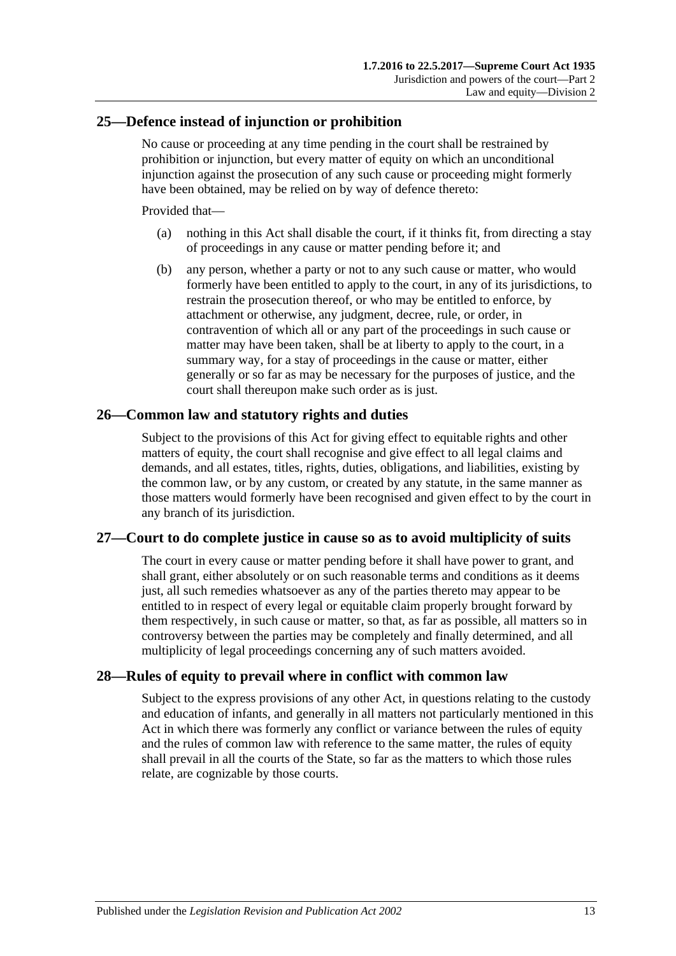### <span id="page-12-0"></span>**25—Defence instead of injunction or prohibition**

No cause or proceeding at any time pending in the court shall be restrained by prohibition or injunction, but every matter of equity on which an unconditional injunction against the prosecution of any such cause or proceeding might formerly have been obtained, may be relied on by way of defence thereto:

Provided that—

- (a) nothing in this Act shall disable the court, if it thinks fit, from directing a stay of proceedings in any cause or matter pending before it; and
- (b) any person, whether a party or not to any such cause or matter, who would formerly have been entitled to apply to the court, in any of its jurisdictions, to restrain the prosecution thereof, or who may be entitled to enforce, by attachment or otherwise, any judgment, decree, rule, or order, in contravention of which all or any part of the proceedings in such cause or matter may have been taken, shall be at liberty to apply to the court, in a summary way, for a stay of proceedings in the cause or matter, either generally or so far as may be necessary for the purposes of justice, and the court shall thereupon make such order as is just.

#### <span id="page-12-1"></span>**26—Common law and statutory rights and duties**

Subject to the provisions of this Act for giving effect to equitable rights and other matters of equity, the court shall recognise and give effect to all legal claims and demands, and all estates, titles, rights, duties, obligations, and liabilities, existing by the common law, or by any custom, or created by any statute, in the same manner as those matters would formerly have been recognised and given effect to by the court in any branch of its jurisdiction.

#### <span id="page-12-2"></span>**27—Court to do complete justice in cause so as to avoid multiplicity of suits**

The court in every cause or matter pending before it shall have power to grant, and shall grant, either absolutely or on such reasonable terms and conditions as it deems just, all such remedies whatsoever as any of the parties thereto may appear to be entitled to in respect of every legal or equitable claim properly brought forward by them respectively, in such cause or matter, so that, as far as possible, all matters so in controversy between the parties may be completely and finally determined, and all multiplicity of legal proceedings concerning any of such matters avoided.

## <span id="page-12-3"></span>**28—Rules of equity to prevail where in conflict with common law**

Subject to the express provisions of any other Act, in questions relating to the custody and education of infants, and generally in all matters not particularly mentioned in this Act in which there was formerly any conflict or variance between the rules of equity and the rules of common law with reference to the same matter, the rules of equity shall prevail in all the courts of the State, so far as the matters to which those rules relate, are cognizable by those courts.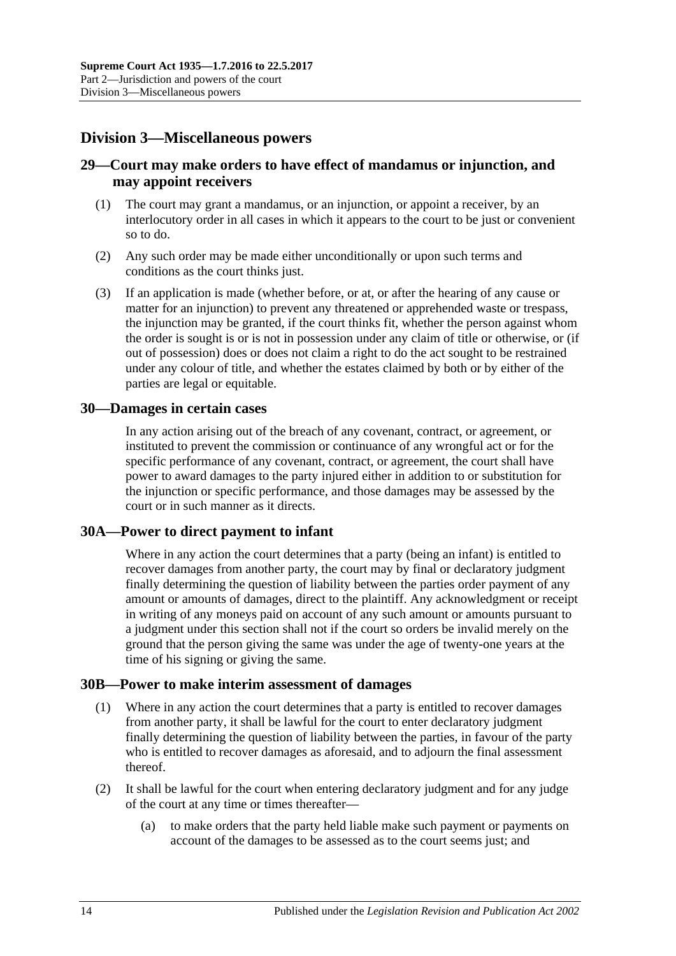# <span id="page-13-0"></span>**Division 3—Miscellaneous powers**

## <span id="page-13-1"></span>**29—Court may make orders to have effect of mandamus or injunction, and may appoint receivers**

- (1) The court may grant a mandamus, or an injunction, or appoint a receiver, by an interlocutory order in all cases in which it appears to the court to be just or convenient so to do.
- (2) Any such order may be made either unconditionally or upon such terms and conditions as the court thinks just.
- (3) If an application is made (whether before, or at, or after the hearing of any cause or matter for an injunction) to prevent any threatened or apprehended waste or trespass, the injunction may be granted, if the court thinks fit, whether the person against whom the order is sought is or is not in possession under any claim of title or otherwise, or (if out of possession) does or does not claim a right to do the act sought to be restrained under any colour of title, and whether the estates claimed by both or by either of the parties are legal or equitable.

#### <span id="page-13-2"></span>**30—Damages in certain cases**

In any action arising out of the breach of any covenant, contract, or agreement, or instituted to prevent the commission or continuance of any wrongful act or for the specific performance of any covenant, contract, or agreement, the court shall have power to award damages to the party injured either in addition to or substitution for the injunction or specific performance, and those damages may be assessed by the court or in such manner as it directs.

## <span id="page-13-3"></span>**30A—Power to direct payment to infant**

Where in any action the court determines that a party (being an infant) is entitled to recover damages from another party, the court may by final or declaratory judgment finally determining the question of liability between the parties order payment of any amount or amounts of damages, direct to the plaintiff. Any acknowledgment or receipt in writing of any moneys paid on account of any such amount or amounts pursuant to a judgment under this section shall not if the court so orders be invalid merely on the ground that the person giving the same was under the age of twenty-one years at the time of his signing or giving the same.

#### <span id="page-13-4"></span>**30B—Power to make interim assessment of damages**

- (1) Where in any action the court determines that a party is entitled to recover damages from another party, it shall be lawful for the court to enter declaratory judgment finally determining the question of liability between the parties, in favour of the party who is entitled to recover damages as aforesaid, and to adjourn the final assessment thereof.
- <span id="page-13-5"></span>(2) It shall be lawful for the court when entering declaratory judgment and for any judge of the court at any time or times thereafter—
	- (a) to make orders that the party held liable make such payment or payments on account of the damages to be assessed as to the court seems just; and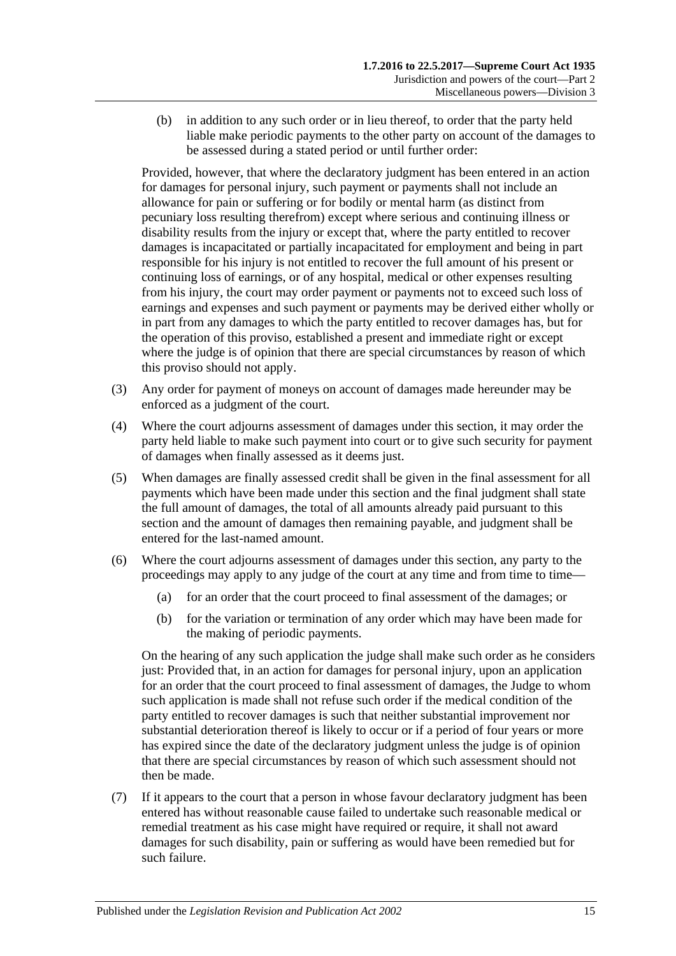(b) in addition to any such order or in lieu thereof, to order that the party held liable make periodic payments to the other party on account of the damages to be assessed during a stated period or until further order:

Provided, however, that where the declaratory judgment has been entered in an action for damages for personal injury, such payment or payments shall not include an allowance for pain or suffering or for bodily or mental harm (as distinct from pecuniary loss resulting therefrom) except where serious and continuing illness or disability results from the injury or except that, where the party entitled to recover damages is incapacitated or partially incapacitated for employment and being in part responsible for his injury is not entitled to recover the full amount of his present or continuing loss of earnings, or of any hospital, medical or other expenses resulting from his injury, the court may order payment or payments not to exceed such loss of earnings and expenses and such payment or payments may be derived either wholly or in part from any damages to which the party entitled to recover damages has, but for the operation of this proviso, established a present and immediate right or except where the judge is of opinion that there are special circumstances by reason of which this proviso should not apply.

- (3) Any order for payment of moneys on account of damages made hereunder may be enforced as a judgment of the court.
- (4) Where the court adjourns assessment of damages under this section, it may order the party held liable to make such payment into court or to give such security for payment of damages when finally assessed as it deems just.
- (5) When damages are finally assessed credit shall be given in the final assessment for all payments which have been made under this section and the final judgment shall state the full amount of damages, the total of all amounts already paid pursuant to this section and the amount of damages then remaining payable, and judgment shall be entered for the last-named amount.
- (6) Where the court adjourns assessment of damages under this section, any party to the proceedings may apply to any judge of the court at any time and from time to time—
	- (a) for an order that the court proceed to final assessment of the damages; or
	- (b) for the variation or termination of any order which may have been made for the making of periodic payments.

On the hearing of any such application the judge shall make such order as he considers just: Provided that, in an action for damages for personal injury, upon an application for an order that the court proceed to final assessment of damages, the Judge to whom such application is made shall not refuse such order if the medical condition of the party entitled to recover damages is such that neither substantial improvement nor substantial deterioration thereof is likely to occur or if a period of four years or more has expired since the date of the declaratory judgment unless the judge is of opinion that there are special circumstances by reason of which such assessment should not then be made.

(7) If it appears to the court that a person in whose favour declaratory judgment has been entered has without reasonable cause failed to undertake such reasonable medical or remedial treatment as his case might have required or require, it shall not award damages for such disability, pain or suffering as would have been remedied but for such failure.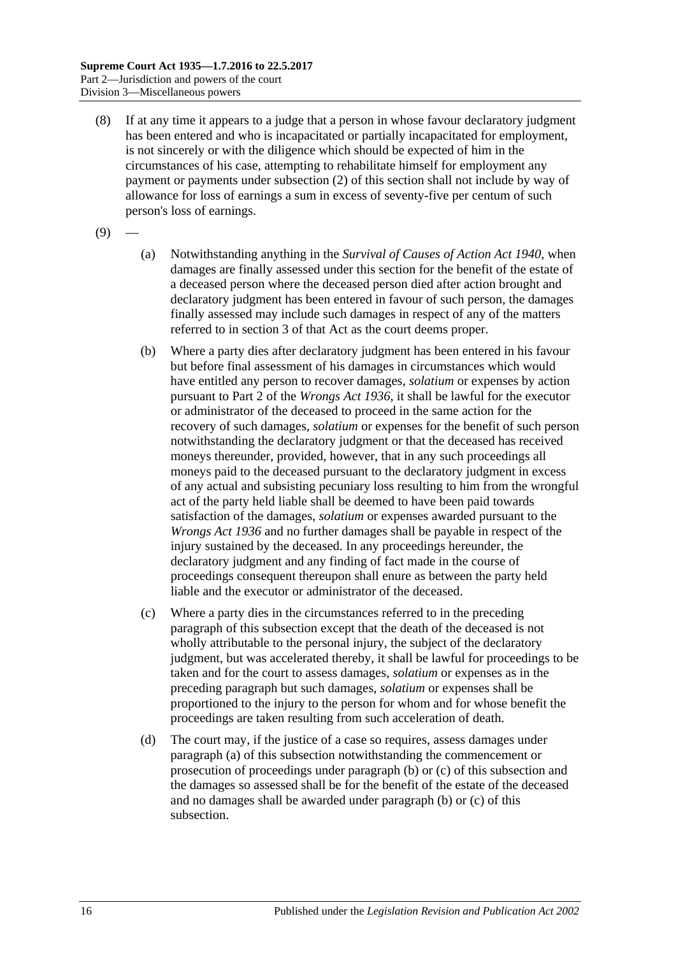- (8) If at any time it appears to a judge that a person in whose favour declaratory judgment has been entered and who is incapacitated or partially incapacitated for employment, is not sincerely or with the diligence which should be expected of him in the circumstances of his case, attempting to rehabilitate himself for employment any payment or payments under [subsection](#page-13-5) (2) of this section shall not include by way of allowance for loss of earnings a sum in excess of seventy-five per centum of such person's loss of earnings.
- <span id="page-15-0"></span> $(9)$
- (a) Notwithstanding anything in the *[Survival of Causes of Action Act](http://www.legislation.sa.gov.au/index.aspx?action=legref&type=act&legtitle=Survival%20of%20Causes%20of%20Action%20Act%201940) 1940*, when damages are finally assessed under this section for the benefit of the estate of a deceased person where the deceased person died after action brought and declaratory judgment has been entered in favour of such person, the damages finally assessed may include such damages in respect of any of the matters referred to in section 3 of that Act as the court deems proper.
- <span id="page-15-1"></span>(b) Where a party dies after declaratory judgment has been entered in his favour but before final assessment of his damages in circumstances which would have entitled any person to recover damages, *solatium* or expenses by action pursuant to Part 2 of the *[Wrongs Act](http://www.legislation.sa.gov.au/index.aspx?action=legref&type=act&legtitle=Wrongs%20Act%201936) 1936*, it shall be lawful for the executor or administrator of the deceased to proceed in the same action for the recovery of such damages, *solatium* or expenses for the benefit of such person notwithstanding the declaratory judgment or that the deceased has received moneys thereunder, provided, however, that in any such proceedings all moneys paid to the deceased pursuant to the declaratory judgment in excess of any actual and subsisting pecuniary loss resulting to him from the wrongful act of the party held liable shall be deemed to have been paid towards satisfaction of the damages, *solatium* or expenses awarded pursuant to the *[Wrongs Act](http://www.legislation.sa.gov.au/index.aspx?action=legref&type=act&legtitle=Wrongs%20Act%201936) 1936* and no further damages shall be payable in respect of the injury sustained by the deceased. In any proceedings hereunder, the declaratory judgment and any finding of fact made in the course of proceedings consequent thereupon shall enure as between the party held liable and the executor or administrator of the deceased.
- <span id="page-15-2"></span>(c) Where a party dies in the circumstances referred to in the preceding paragraph of this subsection except that the death of the deceased is not wholly attributable to the personal injury, the subject of the declaratory judgment, but was accelerated thereby, it shall be lawful for proceedings to be taken and for the court to assess damages, *solatium* or expenses as in the preceding paragraph but such damages, *solatium* or expenses shall be proportioned to the injury to the person for whom and for whose benefit the proceedings are taken resulting from such acceleration of death.
- (d) The court may, if the justice of a case so requires, assess damages under [paragraph](#page-15-0) (a) of this subsection notwithstanding the commencement or prosecution of proceedings under [paragraph](#page-15-1) (b) or [\(c\)](#page-15-2) of this subsection and the damages so assessed shall be for the benefit of the estate of the deceased and no damages shall be awarded under [paragraph](#page-15-1) (b) or [\(c\)](#page-15-2) of this subsection.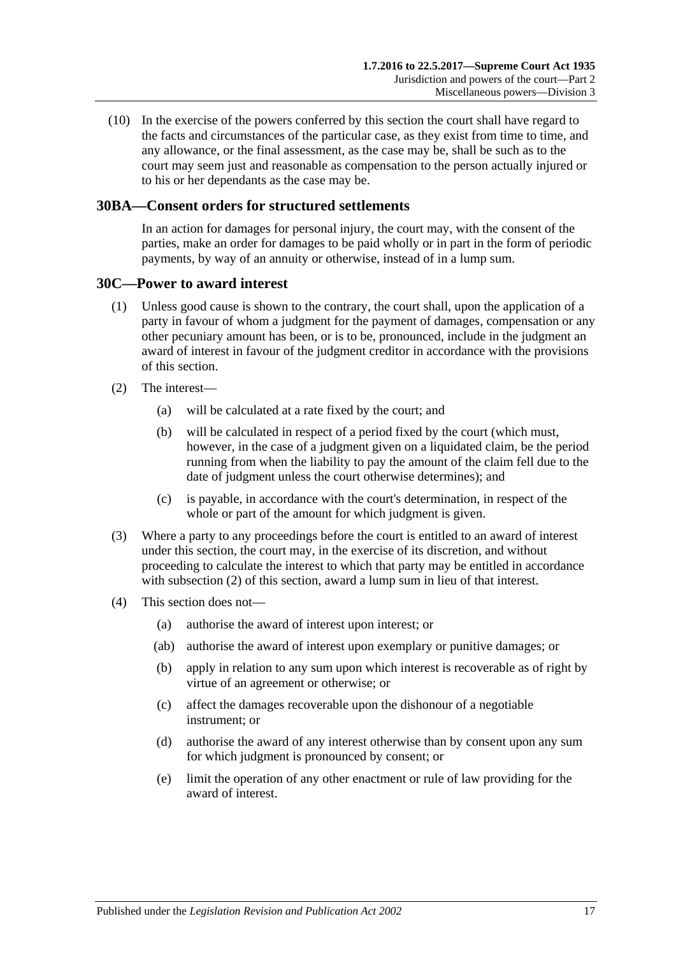(10) In the exercise of the powers conferred by this section the court shall have regard to the facts and circumstances of the particular case, as they exist from time to time, and any allowance, or the final assessment, as the case may be, shall be such as to the court may seem just and reasonable as compensation to the person actually injured or to his or her dependants as the case may be.

## <span id="page-16-0"></span>**30BA—Consent orders for structured settlements**

In an action for damages for personal injury, the court may, with the consent of the parties, make an order for damages to be paid wholly or in part in the form of periodic payments, by way of an annuity or otherwise, instead of in a lump sum.

#### <span id="page-16-1"></span>**30C—Power to award interest**

- (1) Unless good cause is shown to the contrary, the court shall, upon the application of a party in favour of whom a judgment for the payment of damages, compensation or any other pecuniary amount has been, or is to be, pronounced, include in the judgment an award of interest in favour of the judgment creditor in accordance with the provisions of this section.
- <span id="page-16-2"></span>(2) The interest—
	- (a) will be calculated at a rate fixed by the court; and
	- (b) will be calculated in respect of a period fixed by the court (which must, however, in the case of a judgment given on a liquidated claim, be the period running from when the liability to pay the amount of the claim fell due to the date of judgment unless the court otherwise determines); and
	- (c) is payable, in accordance with the court's determination, in respect of the whole or part of the amount for which judgment is given.
- (3) Where a party to any proceedings before the court is entitled to an award of interest under this section, the court may, in the exercise of its discretion, and without proceeding to calculate the interest to which that party may be entitled in accordance with [subsection](#page-16-2) (2) of this section, award a lump sum in lieu of that interest.
- (4) This section does not—
	- (a) authorise the award of interest upon interest; or
	- (ab) authorise the award of interest upon exemplary or punitive damages; or
	- (b) apply in relation to any sum upon which interest is recoverable as of right by virtue of an agreement or otherwise; or
	- (c) affect the damages recoverable upon the dishonour of a negotiable instrument; or
	- (d) authorise the award of any interest otherwise than by consent upon any sum for which judgment is pronounced by consent; or
	- (e) limit the operation of any other enactment or rule of law providing for the award of interest.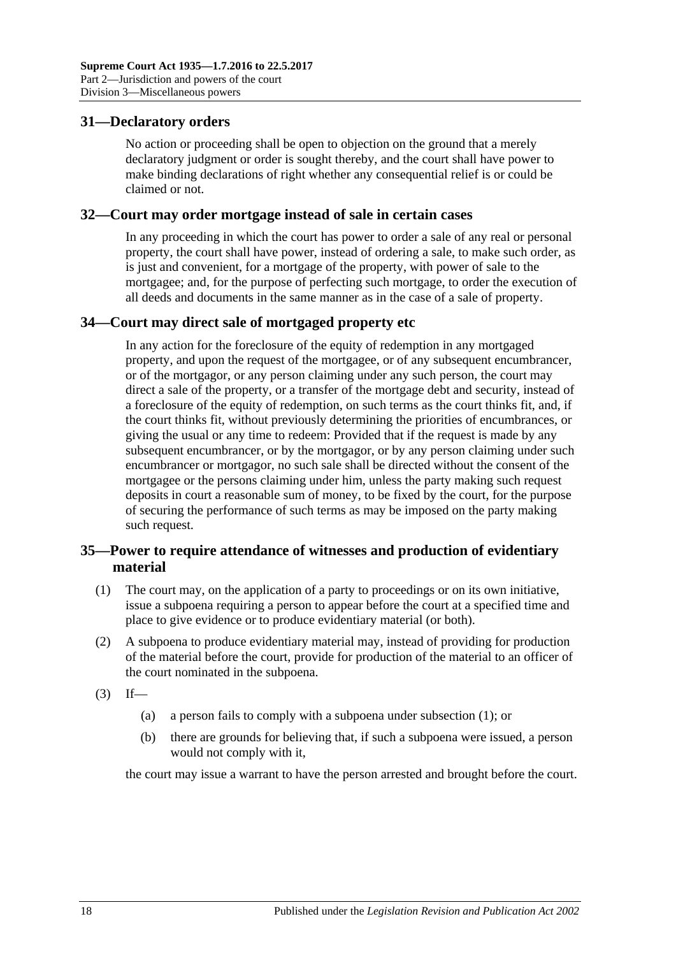## <span id="page-17-0"></span>**31—Declaratory orders**

No action or proceeding shall be open to objection on the ground that a merely declaratory judgment or order is sought thereby, and the court shall have power to make binding declarations of right whether any consequential relief is or could be claimed or not.

#### <span id="page-17-1"></span>**32—Court may order mortgage instead of sale in certain cases**

In any proceeding in which the court has power to order a sale of any real or personal property, the court shall have power, instead of ordering a sale, to make such order, as is just and convenient, for a mortgage of the property, with power of sale to the mortgagee; and, for the purpose of perfecting such mortgage, to order the execution of all deeds and documents in the same manner as in the case of a sale of property.

## <span id="page-17-2"></span>**34—Court may direct sale of mortgaged property etc**

In any action for the foreclosure of the equity of redemption in any mortgaged property, and upon the request of the mortgagee, or of any subsequent encumbrancer, or of the mortgagor, or any person claiming under any such person, the court may direct a sale of the property, or a transfer of the mortgage debt and security, instead of a foreclosure of the equity of redemption, on such terms as the court thinks fit, and, if the court thinks fit, without previously determining the priorities of encumbrances, or giving the usual or any time to redeem: Provided that if the request is made by any subsequent encumbrancer, or by the mortgagor, or by any person claiming under such encumbrancer or mortgagor, no such sale shall be directed without the consent of the mortgagee or the persons claiming under him, unless the party making such request deposits in court a reasonable sum of money, to be fixed by the court, for the purpose of securing the performance of such terms as may be imposed on the party making such request.

## <span id="page-17-3"></span>**35—Power to require attendance of witnesses and production of evidentiary material**

- <span id="page-17-4"></span>(1) The court may, on the application of a party to proceedings or on its own initiative, issue a subpoena requiring a person to appear before the court at a specified time and place to give evidence or to produce evidentiary material (or both).
- (2) A subpoena to produce evidentiary material may, instead of providing for production of the material before the court, provide for production of the material to an officer of the court nominated in the subpoena.
- $(3)$  If—
	- (a) a person fails to comply with a subpoena under [subsection](#page-17-4) (1); or
	- (b) there are grounds for believing that, if such a subpoena were issued, a person would not comply with it,

the court may issue a warrant to have the person arrested and brought before the court.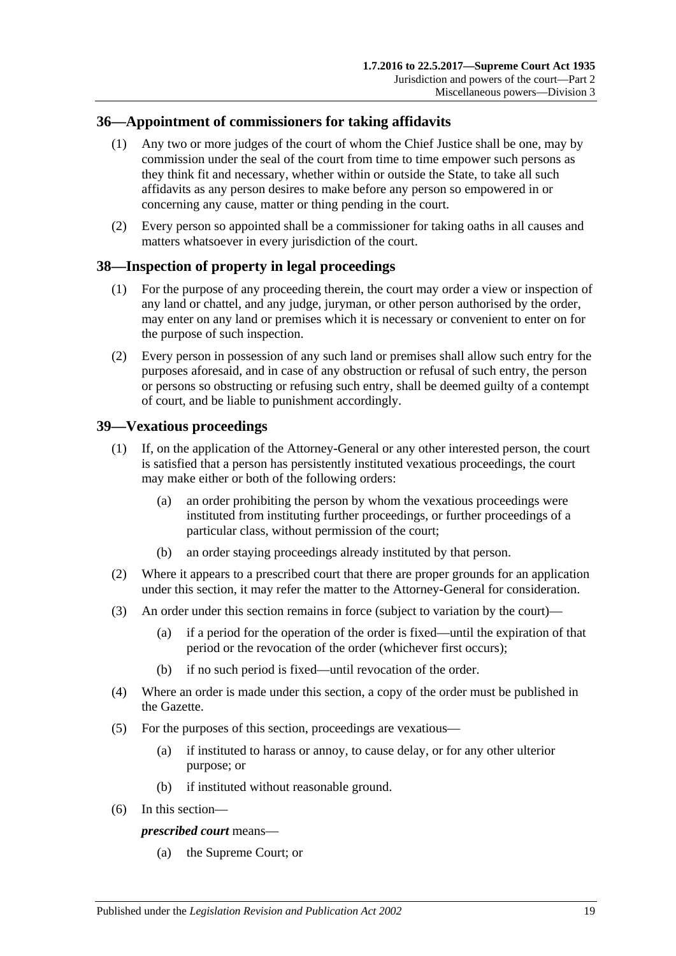## <span id="page-18-0"></span>**36—Appointment of commissioners for taking affidavits**

- (1) Any two or more judges of the court of whom the Chief Justice shall be one, may by commission under the seal of the court from time to time empower such persons as they think fit and necessary, whether within or outside the State, to take all such affidavits as any person desires to make before any person so empowered in or concerning any cause, matter or thing pending in the court.
- (2) Every person so appointed shall be a commissioner for taking oaths in all causes and matters whatsoever in every jurisdiction of the court.

## <span id="page-18-1"></span>**38—Inspection of property in legal proceedings**

- (1) For the purpose of any proceeding therein, the court may order a view or inspection of any land or chattel, and any judge, juryman, or other person authorised by the order, may enter on any land or premises which it is necessary or convenient to enter on for the purpose of such inspection.
- (2) Every person in possession of any such land or premises shall allow such entry for the purposes aforesaid, and in case of any obstruction or refusal of such entry, the person or persons so obstructing or refusing such entry, shall be deemed guilty of a contempt of court, and be liable to punishment accordingly.

## <span id="page-18-2"></span>**39—Vexatious proceedings**

- (1) If, on the application of the Attorney-General or any other interested person, the court is satisfied that a person has persistently instituted vexatious proceedings, the court may make either or both of the following orders:
	- (a) an order prohibiting the person by whom the vexatious proceedings were instituted from instituting further proceedings, or further proceedings of a particular class, without permission of the court;
	- (b) an order staying proceedings already instituted by that person.
- (2) Where it appears to a prescribed court that there are proper grounds for an application under this section, it may refer the matter to the Attorney-General for consideration.
- (3) An order under this section remains in force (subject to variation by the court)—
	- (a) if a period for the operation of the order is fixed—until the expiration of that period or the revocation of the order (whichever first occurs);
	- (b) if no such period is fixed—until revocation of the order.
- (4) Where an order is made under this section, a copy of the order must be published in the Gazette.
- (5) For the purposes of this section, proceedings are vexatious—
	- (a) if instituted to harass or annoy, to cause delay, or for any other ulterior purpose; or
	- (b) if instituted without reasonable ground.
- (6) In this section—

#### *prescribed court* means—

(a) the Supreme Court; or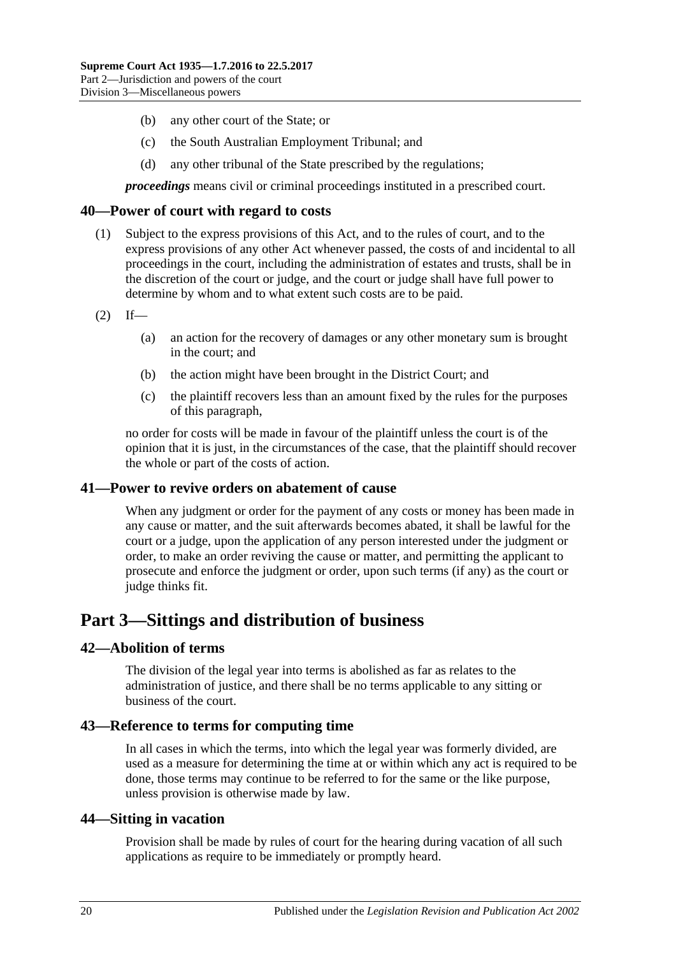- (b) any other court of the State; or
- (c) the South Australian Employment Tribunal; and
- (d) any other tribunal of the State prescribed by the regulations;

*proceedings* means civil or criminal proceedings instituted in a prescribed court.

#### <span id="page-19-0"></span>**40—Power of court with regard to costs**

- (1) Subject to the express provisions of this Act, and to the rules of court, and to the express provisions of any other Act whenever passed, the costs of and incidental to all proceedings in the court, including the administration of estates and trusts, shall be in the discretion of the court or judge, and the court or judge shall have full power to determine by whom and to what extent such costs are to be paid.
- $(2)$  If—
	- (a) an action for the recovery of damages or any other monetary sum is brought in the court; and
	- (b) the action might have been brought in the District Court; and
	- (c) the plaintiff recovers less than an amount fixed by the rules for the purposes of this paragraph,

no order for costs will be made in favour of the plaintiff unless the court is of the opinion that it is just, in the circumstances of the case, that the plaintiff should recover the whole or part of the costs of action.

#### <span id="page-19-1"></span>**41—Power to revive orders on abatement of cause**

When any judgment or order for the payment of any costs or money has been made in any cause or matter, and the suit afterwards becomes abated, it shall be lawful for the court or a judge, upon the application of any person interested under the judgment or order, to make an order reviving the cause or matter, and permitting the applicant to prosecute and enforce the judgment or order, upon such terms (if any) as the court or judge thinks fit.

# <span id="page-19-2"></span>**Part 3—Sittings and distribution of business**

#### <span id="page-19-3"></span>**42—Abolition of terms**

The division of the legal year into terms is abolished as far as relates to the administration of justice, and there shall be no terms applicable to any sitting or business of the court.

#### <span id="page-19-4"></span>**43—Reference to terms for computing time**

In all cases in which the terms, into which the legal year was formerly divided, are used as a measure for determining the time at or within which any act is required to be done, those terms may continue to be referred to for the same or the like purpose, unless provision is otherwise made by law.

#### <span id="page-19-5"></span>**44—Sitting in vacation**

Provision shall be made by rules of court for the hearing during vacation of all such applications as require to be immediately or promptly heard.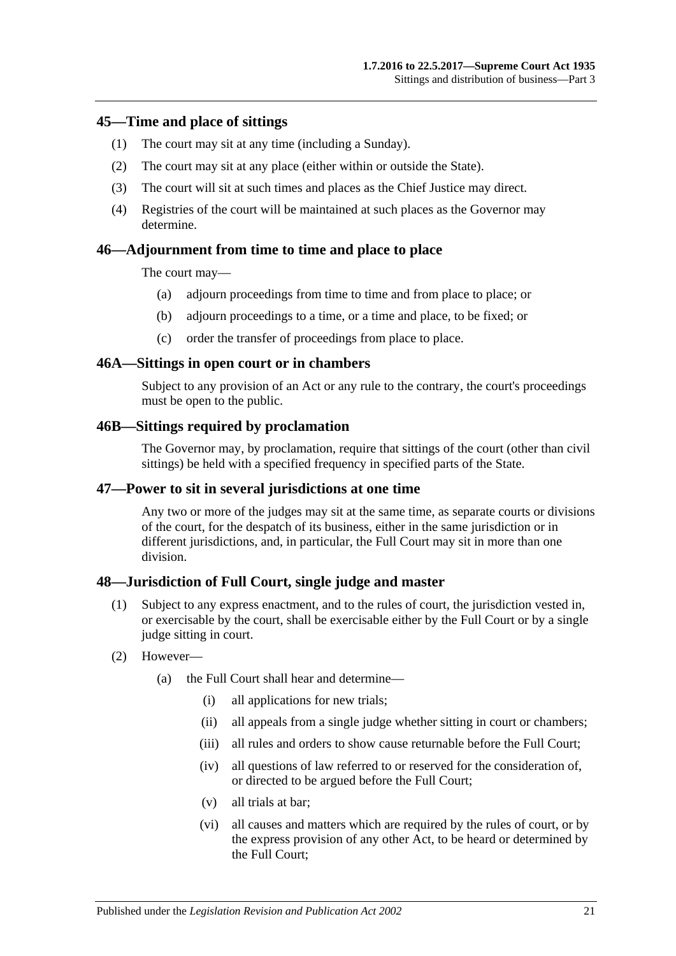#### <span id="page-20-0"></span>**45—Time and place of sittings**

- (1) The court may sit at any time (including a Sunday).
- (2) The court may sit at any place (either within or outside the State).
- (3) The court will sit at such times and places as the Chief Justice may direct.
- (4) Registries of the court will be maintained at such places as the Governor may determine.

#### <span id="page-20-1"></span>**46—Adjournment from time to time and place to place**

The court may—

- (a) adjourn proceedings from time to time and from place to place; or
- (b) adjourn proceedings to a time, or a time and place, to be fixed; or
- (c) order the transfer of proceedings from place to place.

#### <span id="page-20-2"></span>**46A—Sittings in open court or in chambers**

Subject to any provision of an Act or any rule to the contrary, the court's proceedings must be open to the public.

#### <span id="page-20-3"></span>**46B—Sittings required by proclamation**

The Governor may, by proclamation, require that sittings of the court (other than civil sittings) be held with a specified frequency in specified parts of the State.

#### <span id="page-20-4"></span>**47—Power to sit in several jurisdictions at one time**

Any two or more of the judges may sit at the same time, as separate courts or divisions of the court, for the despatch of its business, either in the same jurisdiction or in different jurisdictions, and, in particular, the Full Court may sit in more than one division.

#### <span id="page-20-5"></span>**48—Jurisdiction of Full Court, single judge and master**

- (1) Subject to any express enactment, and to the rules of court, the jurisdiction vested in, or exercisable by the court, shall be exercisable either by the Full Court or by a single judge sitting in court.
- (2) However—
	- (a) the Full Court shall hear and determine—
		- (i) all applications for new trials;
		- (ii) all appeals from a single judge whether sitting in court or chambers;
		- (iii) all rules and orders to show cause returnable before the Full Court:
		- (iv) all questions of law referred to or reserved for the consideration of, or directed to be argued before the Full Court;
		- (v) all trials at bar;
		- (vi) all causes and matters which are required by the rules of court, or by the express provision of any other Act, to be heard or determined by the Full Court;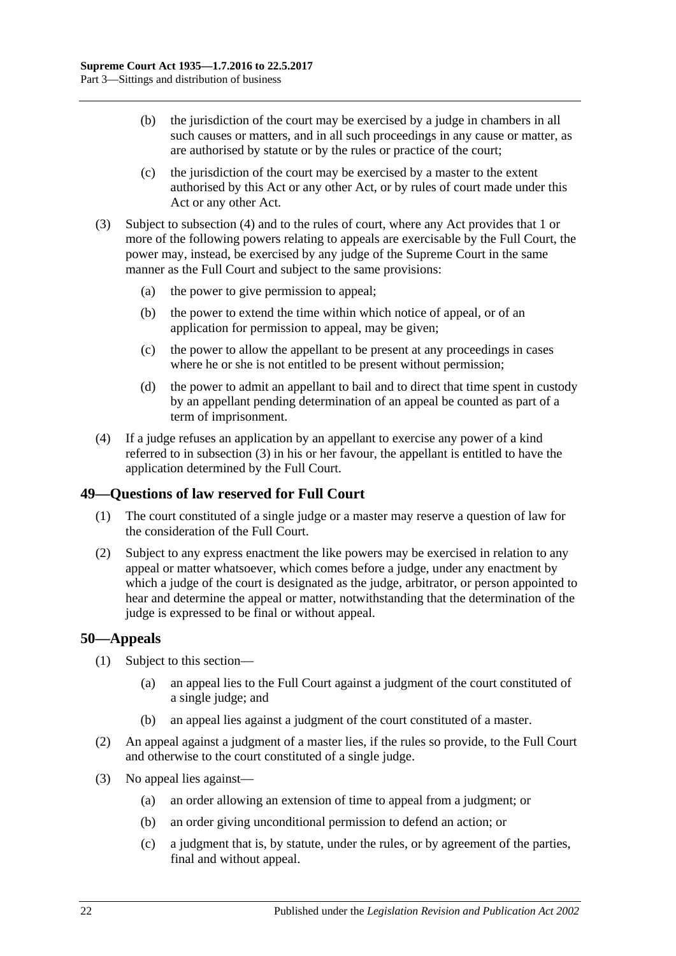- (b) the jurisdiction of the court may be exercised by a judge in chambers in all such causes or matters, and in all such proceedings in any cause or matter, as are authorised by statute or by the rules or practice of the court;
- (c) the jurisdiction of the court may be exercised by a master to the extent authorised by this Act or any other Act, or by rules of court made under this Act or any other Act.
- <span id="page-21-3"></span>(3) Subject to [subsection](#page-21-2) (4) and to the rules of court, where any Act provides that 1 or more of the following powers relating to appeals are exercisable by the Full Court, the power may, instead, be exercised by any judge of the Supreme Court in the same manner as the Full Court and subject to the same provisions:
	- (a) the power to give permission to appeal;
	- (b) the power to extend the time within which notice of appeal, or of an application for permission to appeal, may be given;
	- (c) the power to allow the appellant to be present at any proceedings in cases where he or she is not entitled to be present without permission;
	- (d) the power to admit an appellant to bail and to direct that time spent in custody by an appellant pending determination of an appeal be counted as part of a term of imprisonment.
- <span id="page-21-2"></span>(4) If a judge refuses an application by an appellant to exercise any power of a kind referred to in [subsection](#page-21-3) (3) in his or her favour, the appellant is entitled to have the application determined by the Full Court.

## <span id="page-21-0"></span>**49—Questions of law reserved for Full Court**

- (1) The court constituted of a single judge or a master may reserve a question of law for the consideration of the Full Court.
- (2) Subject to any express enactment the like powers may be exercised in relation to any appeal or matter whatsoever, which comes before a judge, under any enactment by which a judge of the court is designated as the judge, arbitrator, or person appointed to hear and determine the appeal or matter, notwithstanding that the determination of the judge is expressed to be final or without appeal.

## <span id="page-21-1"></span>**50—Appeals**

- (1) Subject to this section—
	- (a) an appeal lies to the Full Court against a judgment of the court constituted of a single judge; and
	- (b) an appeal lies against a judgment of the court constituted of a master.
- (2) An appeal against a judgment of a master lies, if the rules so provide, to the Full Court and otherwise to the court constituted of a single judge.
- (3) No appeal lies against—
	- (a) an order allowing an extension of time to appeal from a judgment; or
	- (b) an order giving unconditional permission to defend an action; or
	- (c) a judgment that is, by statute, under the rules, or by agreement of the parties, final and without appeal.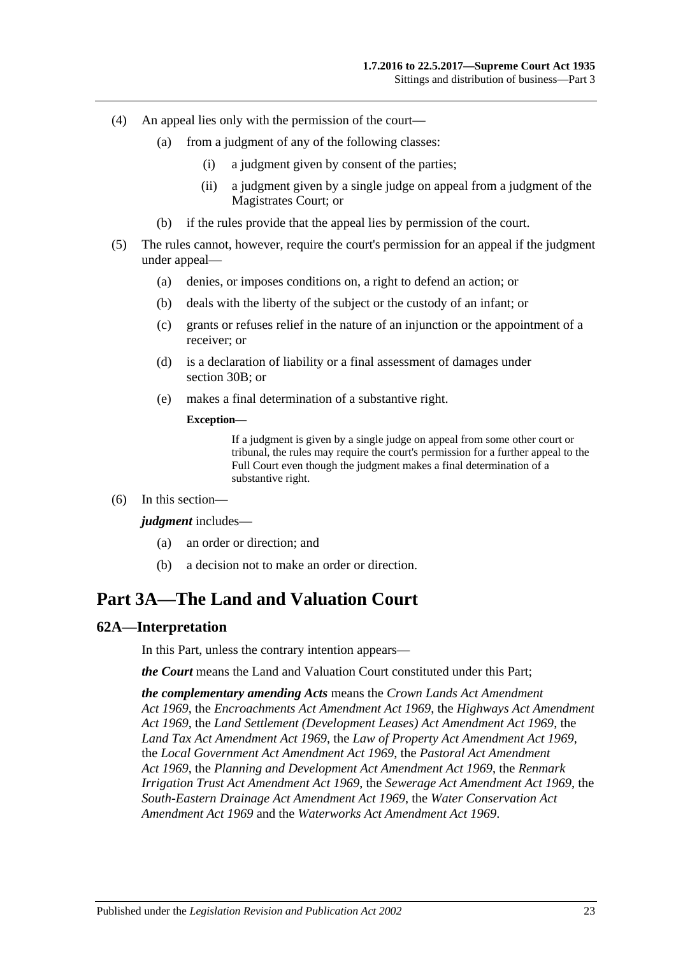- (4) An appeal lies only with the permission of the court—
	- (a) from a judgment of any of the following classes:
		- (i) a judgment given by consent of the parties;
		- (ii) a judgment given by a single judge on appeal from a judgment of the Magistrates Court; or
	- (b) if the rules provide that the appeal lies by permission of the court.
- (5) The rules cannot, however, require the court's permission for an appeal if the judgment under appeal—
	- (a) denies, or imposes conditions on, a right to defend an action; or
	- (b) deals with the liberty of the subject or the custody of an infant; or
	- (c) grants or refuses relief in the nature of an injunction or the appointment of a receiver; or
	- (d) is a declaration of liability or a final assessment of damages under [section](#page-13-4) 30B; or
	- (e) makes a final determination of a substantive right.

#### **Exception—**

If a judgment is given by a single judge on appeal from some other court or tribunal, the rules may require the court's permission for a further appeal to the Full Court even though the judgment makes a final determination of a substantive right.

(6) In this section—

#### *judgment* includes—

- (a) an order or direction; and
- (b) a decision not to make an order or direction.

# <span id="page-22-0"></span>**Part 3A—The Land and Valuation Court**

#### <span id="page-22-1"></span>**62A—Interpretation**

In this Part, unless the contrary intention appears—

*the Court* means the Land and Valuation Court constituted under this Part;

*the complementary amending Acts* means the *[Crown Lands Act Amendment](http://www.legislation.sa.gov.au/index.aspx?action=legref&type=act&legtitle=Crown%20Lands%20Act%20Amendment%20Act%201969)  Act [1969](http://www.legislation.sa.gov.au/index.aspx?action=legref&type=act&legtitle=Crown%20Lands%20Act%20Amendment%20Act%201969)*, the *[Encroachments Act Amendment Act](http://www.legislation.sa.gov.au/index.aspx?action=legref&type=act&legtitle=Encroachments%20Act%20Amendment%20Act%201969) 1969*, the *[Highways Act Amendment](http://www.legislation.sa.gov.au/index.aspx?action=legref&type=act&legtitle=Highways%20Act%20Amendment%20Act%201969)  Act [1969](http://www.legislation.sa.gov.au/index.aspx?action=legref&type=act&legtitle=Highways%20Act%20Amendment%20Act%201969)*, the *[Land Settlement \(Development Leases\) Act Amendment Act](http://www.legislation.sa.gov.au/index.aspx?action=legref&type=act&legtitle=Land%20Settlement%20(Development%20Leases)%20Act%20Amendment%20Act%201969) 1969*, the *[Land Tax Act Amendment Act](http://www.legislation.sa.gov.au/index.aspx?action=legref&type=act&legtitle=Land%20Tax%20Act%20Amendment%20Act%201969) 1969*, the *[Law of Property Act Amendment Act](http://www.legislation.sa.gov.au/index.aspx?action=legref&type=act&legtitle=Law%20of%20Property%20Act%20Amendment%20Act%201969) 1969*, the *[Local Government Act Amendment Act](http://www.legislation.sa.gov.au/index.aspx?action=legref&type=act&legtitle=Local%20Government%20Act%20Amendment%20Act%201969) 1969*, the *Pastoral [Act Amendment](http://www.legislation.sa.gov.au/index.aspx?action=legref&type=act&legtitle=Pastoral%20Act%20Amendment%20Act%201969)  Act [1969](http://www.legislation.sa.gov.au/index.aspx?action=legref&type=act&legtitle=Pastoral%20Act%20Amendment%20Act%201969)*, the *[Planning and Development Act Amendment Act](http://www.legislation.sa.gov.au/index.aspx?action=legref&type=act&legtitle=Planning%20and%20Development%20Act%20Amendment%20Act%201969) 1969*, the *[Renmark](http://www.legislation.sa.gov.au/index.aspx?action=legref&type=act&legtitle=Renmark%20Irrigation%20Trust%20Act%20Amendment%20Act%201969)  [Irrigation Trust Act Amendment Act](http://www.legislation.sa.gov.au/index.aspx?action=legref&type=act&legtitle=Renmark%20Irrigation%20Trust%20Act%20Amendment%20Act%201969) 1969*, the *[Sewerage Act Amendment Act](http://www.legislation.sa.gov.au/index.aspx?action=legref&type=act&legtitle=Sewerage%20Act%20Amendment%20Act%201969) 1969*, the *[South-Eastern Drainage Act Amendment Act](http://www.legislation.sa.gov.au/index.aspx?action=legref&type=act&legtitle=South-Eastern%20Drainage%20Act%20Amendment%20Act%201969) 1969*, the *[Water Conservation Act](http://www.legislation.sa.gov.au/index.aspx?action=legref&type=act&legtitle=Water%20Conservation%20Act%20Amendment%20Act%201969)  [Amendment Act](http://www.legislation.sa.gov.au/index.aspx?action=legref&type=act&legtitle=Water%20Conservation%20Act%20Amendment%20Act%201969) 1969* and the *[Waterworks Act Amendment Act](http://www.legislation.sa.gov.au/index.aspx?action=legref&type=act&legtitle=Waterworks%20Act%20Amendment%20Act%201969) 1969*.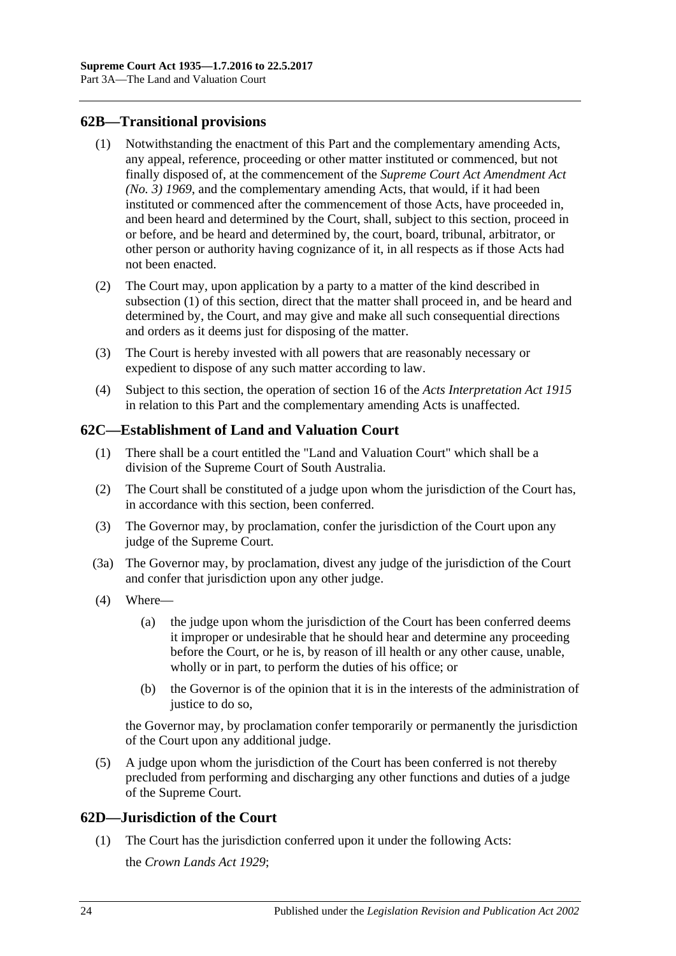## <span id="page-23-3"></span><span id="page-23-0"></span>**62B—Transitional provisions**

- (1) Notwithstanding the enactment of this Part and the complementary amending Acts, any appeal, reference, proceeding or other matter instituted or commenced, but not finally disposed of, at the commencement of the *[Supreme Court Act Amendment Act](http://www.legislation.sa.gov.au/index.aspx?action=legref&type=act&legtitle=Supreme%20Court%20Act%20Amendment%20Act%20(No.%203)%201969)  [\(No. 3\)](http://www.legislation.sa.gov.au/index.aspx?action=legref&type=act&legtitle=Supreme%20Court%20Act%20Amendment%20Act%20(No.%203)%201969) 1969*, and the complementary amending Acts, that would, if it had been instituted or commenced after the commencement of those Acts, have proceeded in, and been heard and determined by the Court, shall, subject to this section, proceed in or before, and be heard and determined by, the court, board, tribunal, arbitrator, or other person or authority having cognizance of it, in all respects as if those Acts had not been enacted.
- (2) The Court may, upon application by a party to a matter of the kind described in [subsection](#page-23-3) (1) of this section, direct that the matter shall proceed in, and be heard and determined by, the Court, and may give and make all such consequential directions and orders as it deems just for disposing of the matter.
- (3) The Court is hereby invested with all powers that are reasonably necessary or expedient to dispose of any such matter according to law.
- (4) Subject to this section, the operation of section 16 of the *[Acts Interpretation Act](http://www.legislation.sa.gov.au/index.aspx?action=legref&type=act&legtitle=Acts%20Interpretation%20Act%201915) 1915* in relation to this Part and the complementary amending Acts is unaffected.

## <span id="page-23-1"></span>**62C—Establishment of Land and Valuation Court**

- (1) There shall be a court entitled the "Land and Valuation Court" which shall be a division of the Supreme Court of South Australia.
- (2) The Court shall be constituted of a judge upon whom the jurisdiction of the Court has, in accordance with this section, been conferred.
- (3) The Governor may, by proclamation, confer the jurisdiction of the Court upon any judge of the Supreme Court.
- (3a) The Governor may, by proclamation, divest any judge of the jurisdiction of the Court and confer that jurisdiction upon any other judge.
- (4) Where—
	- (a) the judge upon whom the jurisdiction of the Court has been conferred deems it improper or undesirable that he should hear and determine any proceeding before the Court, or he is, by reason of ill health or any other cause, unable, wholly or in part, to perform the duties of his office; or
	- (b) the Governor is of the opinion that it is in the interests of the administration of justice to do so.

the Governor may, by proclamation confer temporarily or permanently the jurisdiction of the Court upon any additional judge.

(5) A judge upon whom the jurisdiction of the Court has been conferred is not thereby precluded from performing and discharging any other functions and duties of a judge of the Supreme Court.

## <span id="page-23-2"></span>**62D—Jurisdiction of the Court**

(1) The Court has the jurisdiction conferred upon it under the following Acts: the *[Crown Lands Act](http://www.legislation.sa.gov.au/index.aspx?action=legref&type=act&legtitle=Crown%20Lands%20Act%201929) 1929*;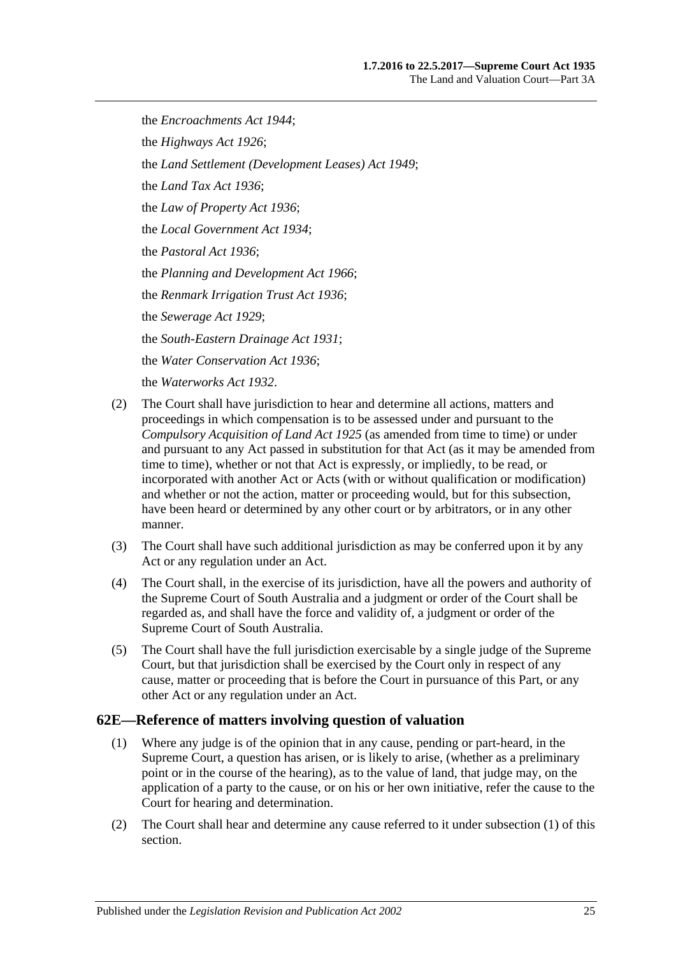the *[Encroachments Act](http://www.legislation.sa.gov.au/index.aspx?action=legref&type=act&legtitle=Encroachments%20Act%201944) 1944*; the *[Highways Act](http://www.legislation.sa.gov.au/index.aspx?action=legref&type=act&legtitle=Highways%20Act%201926) 1926*; the *[Land Settlement \(Development Leases\) Act](http://www.legislation.sa.gov.au/index.aspx?action=legref&type=act&legtitle=Land%20Settlement%20(Development%20Leases)%20Act%201949) 1949*; the *[Land Tax Act](http://www.legislation.sa.gov.au/index.aspx?action=legref&type=act&legtitle=Land%20Tax%20Act%201936) 1936*; the *[Law of Property Act](http://www.legislation.sa.gov.au/index.aspx?action=legref&type=act&legtitle=Law%20of%20Property%20Act%201936) 1936*; the *[Local Government Act](http://www.legislation.sa.gov.au/index.aspx?action=legref&type=act&legtitle=Local%20Government%20Act%201934) 1934*; the *[Pastoral Act](http://www.legislation.sa.gov.au/index.aspx?action=legref&type=act&legtitle=Pastoral%20Act%201936) 1936*; the *[Planning and Development Act](http://www.legislation.sa.gov.au/index.aspx?action=legref&type=act&legtitle=Planning%20and%20Development%20Act%201966) 1966*; the *[Renmark Irrigation Trust Act](http://www.legislation.sa.gov.au/index.aspx?action=legref&type=act&legtitle=Renmark%20Irrigation%20Trust%20Act%201936) 1936*; the *[Sewerage Act](http://www.legislation.sa.gov.au/index.aspx?action=legref&type=act&legtitle=Sewerage%20Act%201929) 1929*; the *[South-Eastern Drainage Act](http://www.legislation.sa.gov.au/index.aspx?action=legref&type=act&legtitle=South-Eastern%20Drainage%20Act%201931) 1931*; the *[Water Conservation Act](http://www.legislation.sa.gov.au/index.aspx?action=legref&type=act&legtitle=Water%20Conservation%20Act%201936) 1936*; the *[Waterworks Act](http://www.legislation.sa.gov.au/index.aspx?action=legref&type=act&legtitle=Waterworks%20Act%201932) 1932*.

- (2) The Court shall have jurisdiction to hear and determine all actions, matters and proceedings in which compensation is to be assessed under and pursuant to the *[Compulsory Acquisition of Land Act](http://www.legislation.sa.gov.au/index.aspx?action=legref&type=act&legtitle=Compulsory%20Acquisition%20of%20Land%20Act%201925) 1925* (as amended from time to time) or under and pursuant to any Act passed in substitution for that Act (as it may be amended from time to time), whether or not that Act is expressly, or impliedly, to be read, or incorporated with another Act or Acts (with or without qualification or modification) and whether or not the action, matter or proceeding would, but for this subsection, have been heard or determined by any other court or by arbitrators, or in any other manner.
- (3) The Court shall have such additional jurisdiction as may be conferred upon it by any Act or any regulation under an Act.
- (4) The Court shall, in the exercise of its jurisdiction, have all the powers and authority of the Supreme Court of South Australia and a judgment or order of the Court shall be regarded as, and shall have the force and validity of, a judgment or order of the Supreme Court of South Australia.
- (5) The Court shall have the full jurisdiction exercisable by a single judge of the Supreme Court, but that jurisdiction shall be exercised by the Court only in respect of any cause, matter or proceeding that is before the Court in pursuance of this Part, or any other Act or any regulation under an Act.

## <span id="page-24-1"></span><span id="page-24-0"></span>**62E—Reference of matters involving question of valuation**

- (1) Where any judge is of the opinion that in any cause, pending or part-heard, in the Supreme Court, a question has arisen, or is likely to arise, (whether as a preliminary point or in the course of the hearing), as to the value of land, that judge may, on the application of a party to the cause, or on his or her own initiative, refer the cause to the Court for hearing and determination.
- (2) The Court shall hear and determine any cause referred to it under [subsection](#page-24-1) (1) of this section.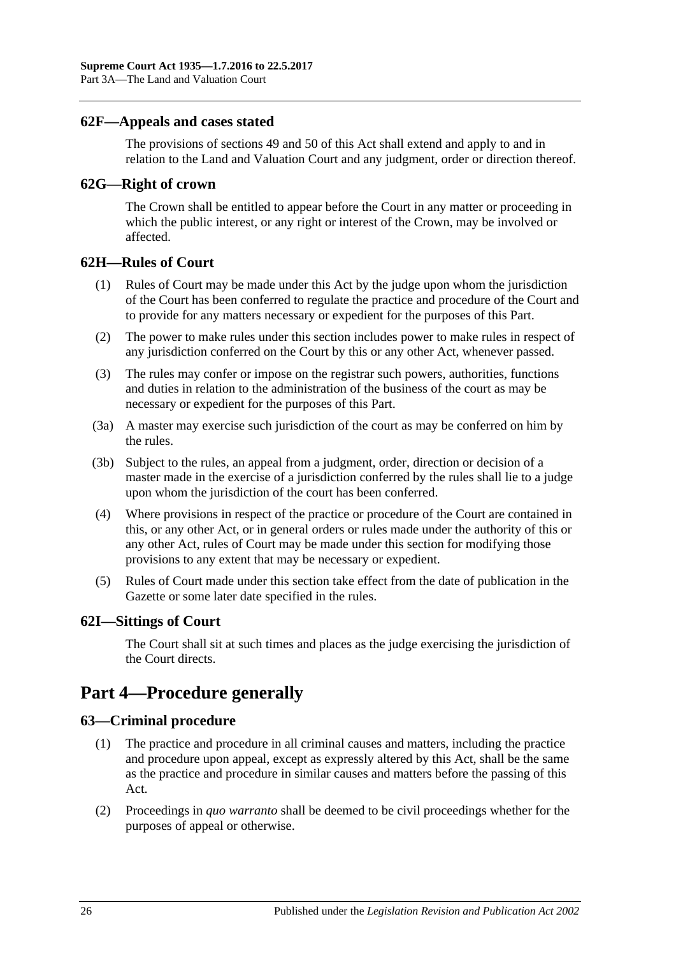### <span id="page-25-0"></span>**62F—Appeals and cases stated**

The provisions of [sections](#page-21-0) 49 and [50](#page-21-1) of this Act shall extend and apply to and in relation to the Land and Valuation Court and any judgment, order or direction thereof.

#### <span id="page-25-1"></span>**62G—Right of crown**

The Crown shall be entitled to appear before the Court in any matter or proceeding in which the public interest, or any right or interest of the Crown, may be involved or affected.

#### <span id="page-25-2"></span>**62H—Rules of Court**

- (1) Rules of Court may be made under this Act by the judge upon whom the jurisdiction of the Court has been conferred to regulate the practice and procedure of the Court and to provide for any matters necessary or expedient for the purposes of this Part.
- (2) The power to make rules under this section includes power to make rules in respect of any jurisdiction conferred on the Court by this or any other Act, whenever passed.
- (3) The rules may confer or impose on the registrar such powers, authorities, functions and duties in relation to the administration of the business of the court as may be necessary or expedient for the purposes of this Part.
- (3a) A master may exercise such jurisdiction of the court as may be conferred on him by the rules.
- (3b) Subject to the rules, an appeal from a judgment, order, direction or decision of a master made in the exercise of a jurisdiction conferred by the rules shall lie to a judge upon whom the jurisdiction of the court has been conferred.
- (4) Where provisions in respect of the practice or procedure of the Court are contained in this, or any other Act, or in general orders or rules made under the authority of this or any other Act, rules of Court may be made under this section for modifying those provisions to any extent that may be necessary or expedient.
- (5) Rules of Court made under this section take effect from the date of publication in the Gazette or some later date specified in the rules.

#### <span id="page-25-3"></span>**62I—Sittings of Court**

The Court shall sit at such times and places as the judge exercising the jurisdiction of the Court directs.

# <span id="page-25-4"></span>**Part 4—Procedure generally**

## <span id="page-25-5"></span>**63—Criminal procedure**

- (1) The practice and procedure in all criminal causes and matters, including the practice and procedure upon appeal, except as expressly altered by this Act, shall be the same as the practice and procedure in similar causes and matters before the passing of this Act.
- (2) Proceedings in *quo warranto* shall be deemed to be civil proceedings whether for the purposes of appeal or otherwise.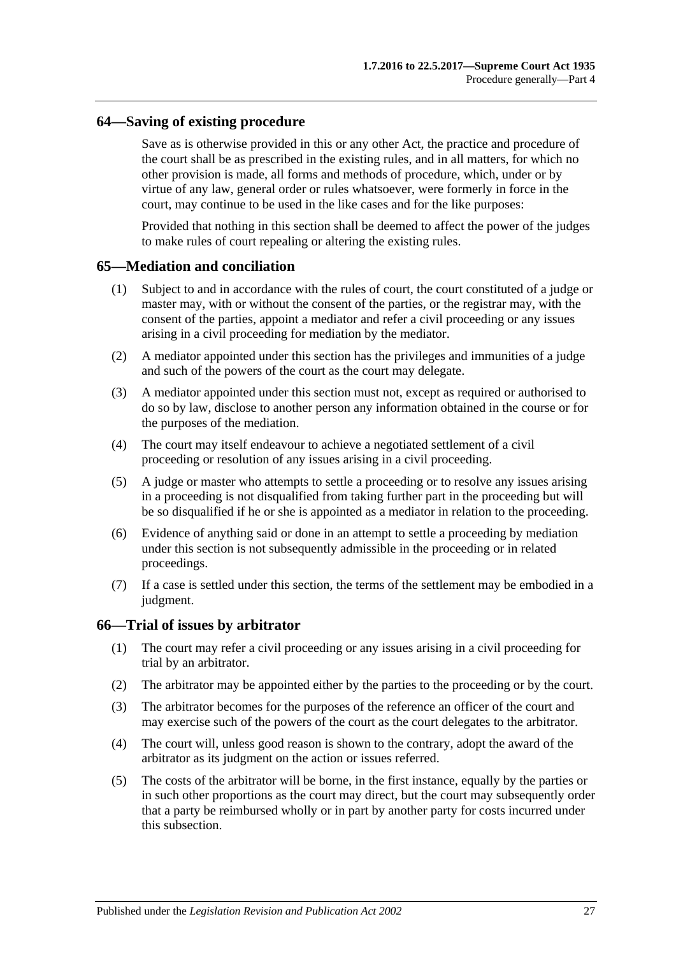### <span id="page-26-0"></span>**64—Saving of existing procedure**

Save as is otherwise provided in this or any other Act, the practice and procedure of the court shall be as prescribed in the existing rules, and in all matters, for which no other provision is made, all forms and methods of procedure, which, under or by virtue of any law, general order or rules whatsoever, were formerly in force in the court, may continue to be used in the like cases and for the like purposes:

Provided that nothing in this section shall be deemed to affect the power of the judges to make rules of court repealing or altering the existing rules.

#### <span id="page-26-1"></span>**65—Mediation and conciliation**

- (1) Subject to and in accordance with the rules of court, the court constituted of a judge or master may, with or without the consent of the parties, or the registrar may, with the consent of the parties, appoint a mediator and refer a civil proceeding or any issues arising in a civil proceeding for mediation by the mediator.
- (2) A mediator appointed under this section has the privileges and immunities of a judge and such of the powers of the court as the court may delegate.
- (3) A mediator appointed under this section must not, except as required or authorised to do so by law, disclose to another person any information obtained in the course or for the purposes of the mediation.
- (4) The court may itself endeavour to achieve a negotiated settlement of a civil proceeding or resolution of any issues arising in a civil proceeding.
- (5) A judge or master who attempts to settle a proceeding or to resolve any issues arising in a proceeding is not disqualified from taking further part in the proceeding but will be so disqualified if he or she is appointed as a mediator in relation to the proceeding.
- (6) Evidence of anything said or done in an attempt to settle a proceeding by mediation under this section is not subsequently admissible in the proceeding or in related proceedings.
- (7) If a case is settled under this section, the terms of the settlement may be embodied in a judgment.

#### <span id="page-26-2"></span>**66—Trial of issues by arbitrator**

- (1) The court may refer a civil proceeding or any issues arising in a civil proceeding for trial by an arbitrator.
- (2) The arbitrator may be appointed either by the parties to the proceeding or by the court.
- (3) The arbitrator becomes for the purposes of the reference an officer of the court and may exercise such of the powers of the court as the court delegates to the arbitrator.
- (4) The court will, unless good reason is shown to the contrary, adopt the award of the arbitrator as its judgment on the action or issues referred.
- (5) The costs of the arbitrator will be borne, in the first instance, equally by the parties or in such other proportions as the court may direct, but the court may subsequently order that a party be reimbursed wholly or in part by another party for costs incurred under this subsection.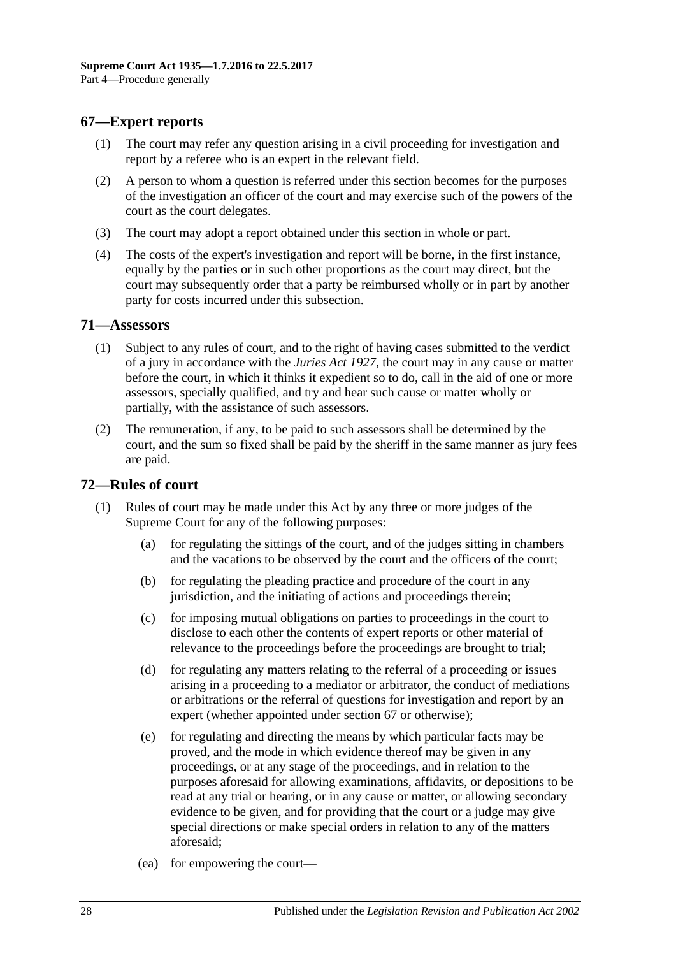## <span id="page-27-0"></span>**67—Expert reports**

- (1) The court may refer any question arising in a civil proceeding for investigation and report by a referee who is an expert in the relevant field.
- (2) A person to whom a question is referred under this section becomes for the purposes of the investigation an officer of the court and may exercise such of the powers of the court as the court delegates.
- (3) The court may adopt a report obtained under this section in whole or part.
- (4) The costs of the expert's investigation and report will be borne, in the first instance, equally by the parties or in such other proportions as the court may direct, but the court may subsequently order that a party be reimbursed wholly or in part by another party for costs incurred under this subsection.

#### <span id="page-27-1"></span>**71—Assessors**

- (1) Subject to any rules of court, and to the right of having cases submitted to the verdict of a jury in accordance with the *[Juries Act](http://www.legislation.sa.gov.au/index.aspx?action=legref&type=act&legtitle=Juries%20Act%201927) 1927*, the court may in any cause or matter before the court, in which it thinks it expedient so to do, call in the aid of one or more assessors, specially qualified, and try and hear such cause or matter wholly or partially, with the assistance of such assessors.
- (2) The remuneration, if any, to be paid to such assessors shall be determined by the court, and the sum so fixed shall be paid by the sheriff in the same manner as jury fees are paid.

## <span id="page-27-2"></span>**72—Rules of court**

- (1) Rules of court may be made under this Act by any three or more judges of the Supreme Court for any of the following purposes:
	- (a) for regulating the sittings of the court, and of the judges sitting in chambers and the vacations to be observed by the court and the officers of the court;
	- (b) for regulating the pleading practice and procedure of the court in any jurisdiction, and the initiating of actions and proceedings therein;
	- (c) for imposing mutual obligations on parties to proceedings in the court to disclose to each other the contents of expert reports or other material of relevance to the proceedings before the proceedings are brought to trial;
	- (d) for regulating any matters relating to the referral of a proceeding or issues arising in a proceeding to a mediator or arbitrator, the conduct of mediations or arbitrations or the referral of questions for investigation and report by an expert (whether appointed under [section](#page-27-0) 67 or otherwise);
	- (e) for regulating and directing the means by which particular facts may be proved, and the mode in which evidence thereof may be given in any proceedings, or at any stage of the proceedings, and in relation to the purposes aforesaid for allowing examinations, affidavits, or depositions to be read at any trial or hearing, or in any cause or matter, or allowing secondary evidence to be given, and for providing that the court or a judge may give special directions or make special orders in relation to any of the matters aforesaid;
	- (ea) for empowering the court—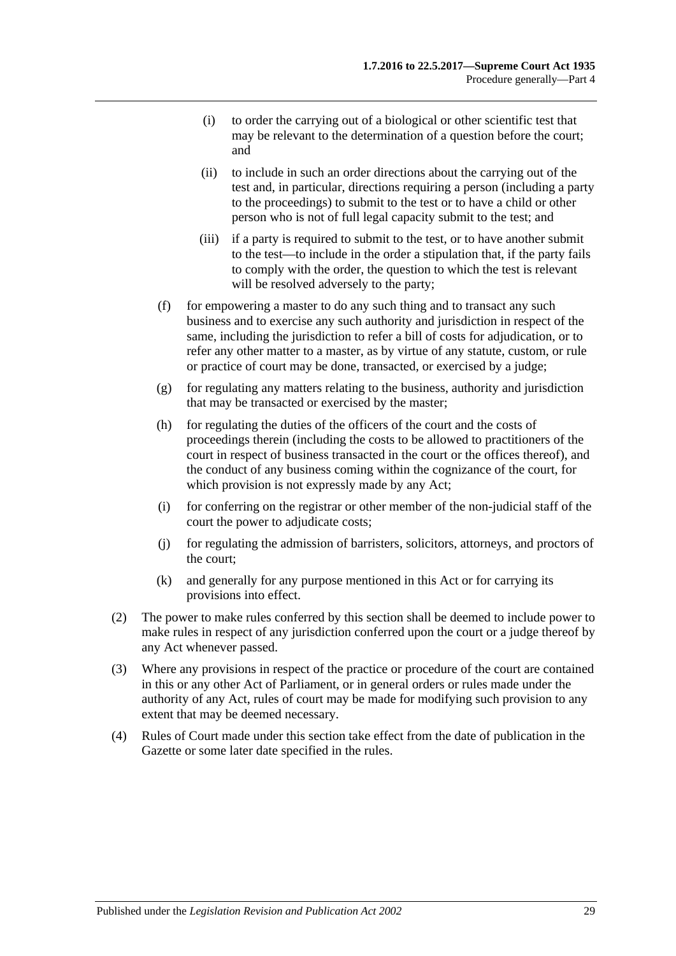- (i) to order the carrying out of a biological or other scientific test that may be relevant to the determination of a question before the court; and
- (ii) to include in such an order directions about the carrying out of the test and, in particular, directions requiring a person (including a party to the proceedings) to submit to the test or to have a child or other person who is not of full legal capacity submit to the test; and
- (iii) if a party is required to submit to the test, or to have another submit to the test—to include in the order a stipulation that, if the party fails to comply with the order, the question to which the test is relevant will be resolved adversely to the party;
- (f) for empowering a master to do any such thing and to transact any such business and to exercise any such authority and jurisdiction in respect of the same, including the jurisdiction to refer a bill of costs for adjudication, or to refer any other matter to a master, as by virtue of any statute, custom, or rule or practice of court may be done, transacted, or exercised by a judge;
- (g) for regulating any matters relating to the business, authority and jurisdiction that may be transacted or exercised by the master;
- (h) for regulating the duties of the officers of the court and the costs of proceedings therein (including the costs to be allowed to practitioners of the court in respect of business transacted in the court or the offices thereof), and the conduct of any business coming within the cognizance of the court, for which provision is not expressly made by any Act;
- (i) for conferring on the registrar or other member of the non-judicial staff of the court the power to adjudicate costs;
- (j) for regulating the admission of barristers, solicitors, attorneys, and proctors of the court;
- (k) and generally for any purpose mentioned in this Act or for carrying its provisions into effect.
- (2) The power to make rules conferred by this section shall be deemed to include power to make rules in respect of any jurisdiction conferred upon the court or a judge thereof by any Act whenever passed.
- (3) Where any provisions in respect of the practice or procedure of the court are contained in this or any other Act of Parliament, or in general orders or rules made under the authority of any Act, rules of court may be made for modifying such provision to any extent that may be deemed necessary.
- (4) Rules of Court made under this section take effect from the date of publication in the Gazette or some later date specified in the rules.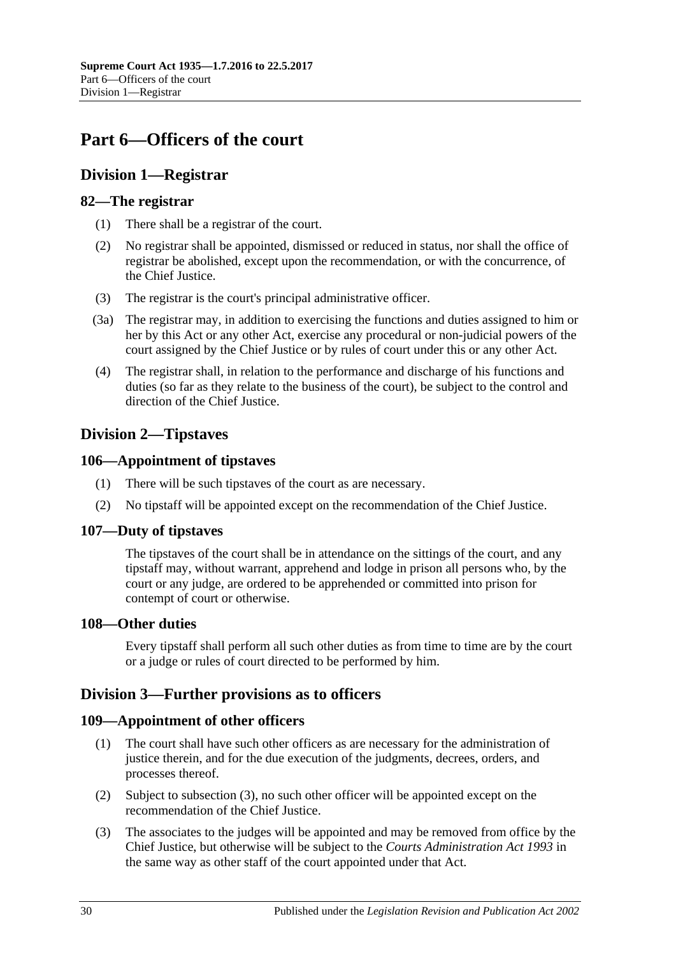# <span id="page-29-0"></span>**Part 6—Officers of the court**

# <span id="page-29-1"></span>**Division 1—Registrar**

## <span id="page-29-2"></span>**82—The registrar**

- (1) There shall be a registrar of the court.
- (2) No registrar shall be appointed, dismissed or reduced in status, nor shall the office of registrar be abolished, except upon the recommendation, or with the concurrence, of the Chief Justice.
- (3) The registrar is the court's principal administrative officer.
- (3a) The registrar may, in addition to exercising the functions and duties assigned to him or her by this Act or any other Act, exercise any procedural or non-judicial powers of the court assigned by the Chief Justice or by rules of court under this or any other Act.
- (4) The registrar shall, in relation to the performance and discharge of his functions and duties (so far as they relate to the business of the court), be subject to the control and direction of the Chief Justice.

# <span id="page-29-3"></span>**Division 2—Tipstaves**

## <span id="page-29-4"></span>**106—Appointment of tipstaves**

- (1) There will be such tipstaves of the court as are necessary.
- (2) No tipstaff will be appointed except on the recommendation of the Chief Justice.

## <span id="page-29-5"></span>**107—Duty of tipstaves**

The tipstaves of the court shall be in attendance on the sittings of the court, and any tipstaff may, without warrant, apprehend and lodge in prison all persons who, by the court or any judge, are ordered to be apprehended or committed into prison for contempt of court or otherwise.

## <span id="page-29-6"></span>**108—Other duties**

Every tipstaff shall perform all such other duties as from time to time are by the court or a judge or rules of court directed to be performed by him.

## <span id="page-29-7"></span>**Division 3—Further provisions as to officers**

## <span id="page-29-8"></span>**109—Appointment of other officers**

- (1) The court shall have such other officers as are necessary for the administration of justice therein, and for the due execution of the judgments, decrees, orders, and processes thereof.
- (2) Subject to [subsection](#page-29-9) (3), no such other officer will be appointed except on the recommendation of the Chief Justice.
- <span id="page-29-9"></span>(3) The associates to the judges will be appointed and may be removed from office by the Chief Justice, but otherwise will be subject to the *[Courts Administration Act](http://www.legislation.sa.gov.au/index.aspx?action=legref&type=act&legtitle=Courts%20Administration%20Act%201993) 1993* in the same way as other staff of the court appointed under that Act.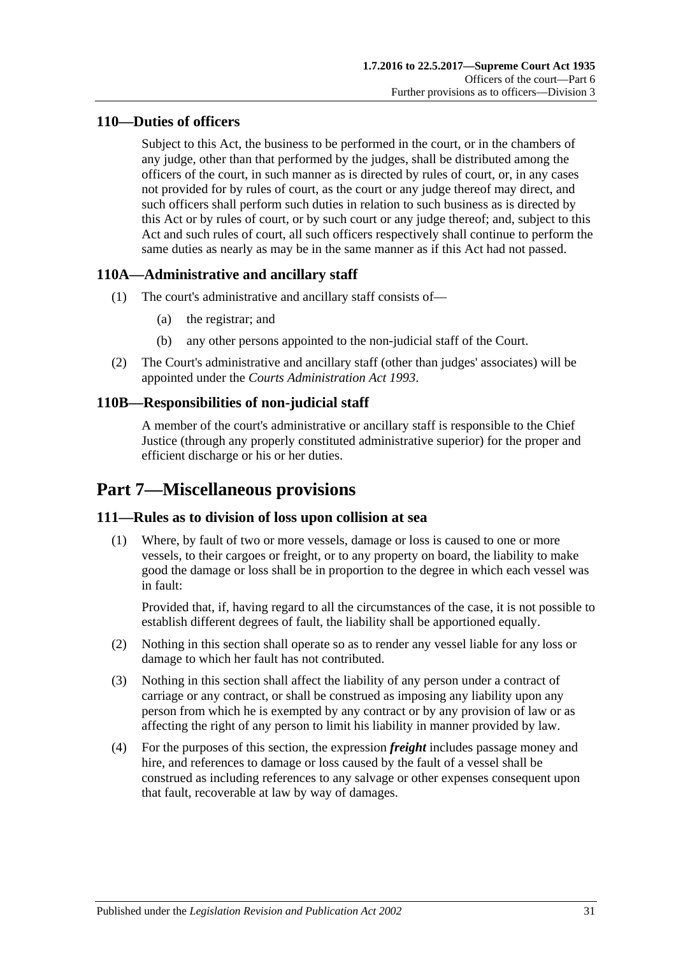# <span id="page-30-0"></span>**110—Duties of officers**

Subject to this Act, the business to be performed in the court, or in the chambers of any judge, other than that performed by the judges, shall be distributed among the officers of the court, in such manner as is directed by rules of court, or, in any cases not provided for by rules of court, as the court or any judge thereof may direct, and such officers shall perform such duties in relation to such business as is directed by this Act or by rules of court, or by such court or any judge thereof; and, subject to this Act and such rules of court, all such officers respectively shall continue to perform the same duties as nearly as may be in the same manner as if this Act had not passed.

# <span id="page-30-1"></span>**110A—Administrative and ancillary staff**

- (1) The court's administrative and ancillary staff consists of—
	- (a) the registrar; and
	- (b) any other persons appointed to the non-judicial staff of the Court.
- (2) The Court's administrative and ancillary staff (other than judges' associates) will be appointed under the *[Courts Administration Act](http://www.legislation.sa.gov.au/index.aspx?action=legref&type=act&legtitle=Courts%20Administration%20Act%201993) 1993*.

# <span id="page-30-2"></span>**110B—Responsibilities of non-judicial staff**

A member of the court's administrative or ancillary staff is responsible to the Chief Justice (through any properly constituted administrative superior) for the proper and efficient discharge or his or her duties.

# <span id="page-30-3"></span>**Part 7—Miscellaneous provisions**

## <span id="page-30-4"></span>**111—Rules as to division of loss upon collision at sea**

(1) Where, by fault of two or more vessels, damage or loss is caused to one or more vessels, to their cargoes or freight, or to any property on board, the liability to make good the damage or loss shall be in proportion to the degree in which each vessel was in fault:

Provided that, if, having regard to all the circumstances of the case, it is not possible to establish different degrees of fault, the liability shall be apportioned equally.

- (2) Nothing in this section shall operate so as to render any vessel liable for any loss or damage to which her fault has not contributed.
- (3) Nothing in this section shall affect the liability of any person under a contract of carriage or any contract, or shall be construed as imposing any liability upon any person from which he is exempted by any contract or by any provision of law or as affecting the right of any person to limit his liability in manner provided by law.
- (4) For the purposes of this section, the expression *freight* includes passage money and hire, and references to damage or loss caused by the fault of a vessel shall be construed as including references to any salvage or other expenses consequent upon that fault, recoverable at law by way of damages.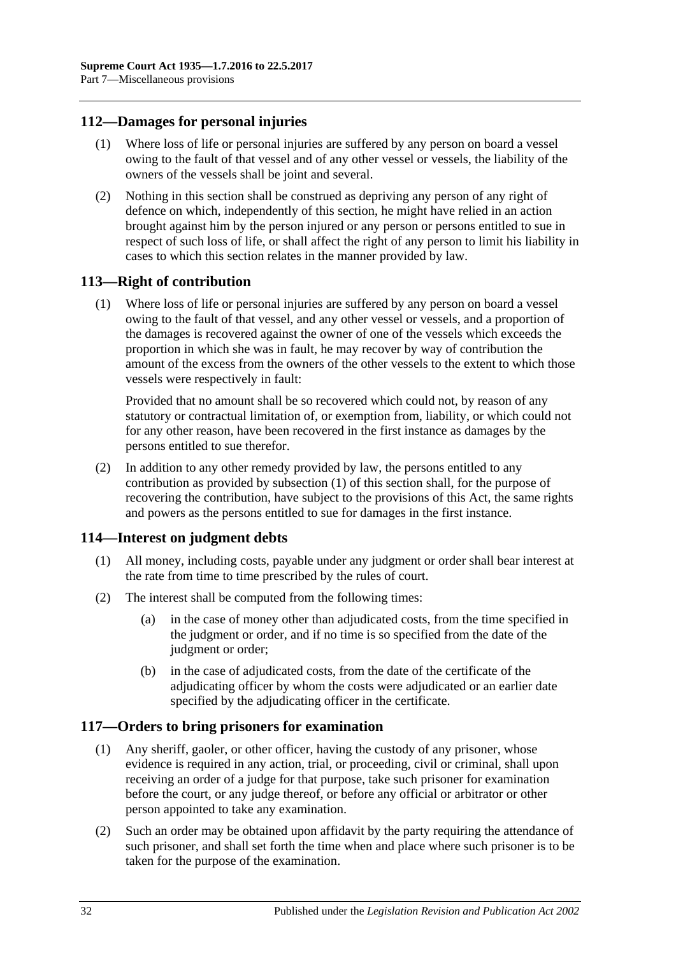## <span id="page-31-0"></span>**112—Damages for personal injuries**

- (1) Where loss of life or personal injuries are suffered by any person on board a vessel owing to the fault of that vessel and of any other vessel or vessels, the liability of the owners of the vessels shall be joint and several.
- (2) Nothing in this section shall be construed as depriving any person of any right of defence on which, independently of this section, he might have relied in an action brought against him by the person injured or any person or persons entitled to sue in respect of such loss of life, or shall affect the right of any person to limit his liability in cases to which this section relates in the manner provided by law.

## <span id="page-31-4"></span><span id="page-31-1"></span>**113—Right of contribution**

(1) Where loss of life or personal injuries are suffered by any person on board a vessel owing to the fault of that vessel, and any other vessel or vessels, and a proportion of the damages is recovered against the owner of one of the vessels which exceeds the proportion in which she was in fault, he may recover by way of contribution the amount of the excess from the owners of the other vessels to the extent to which those vessels were respectively in fault:

Provided that no amount shall be so recovered which could not, by reason of any statutory or contractual limitation of, or exemption from, liability, or which could not for any other reason, have been recovered in the first instance as damages by the persons entitled to sue therefor.

(2) In addition to any other remedy provided by law, the persons entitled to any contribution as provided by [subsection](#page-31-4) (1) of this section shall, for the purpose of recovering the contribution, have subject to the provisions of this Act, the same rights and powers as the persons entitled to sue for damages in the first instance.

## <span id="page-31-2"></span>**114—Interest on judgment debts**

- (1) All money, including costs, payable under any judgment or order shall bear interest at the rate from time to time prescribed by the rules of court.
- (2) The interest shall be computed from the following times:
	- (a) in the case of money other than adjudicated costs, from the time specified in the judgment or order, and if no time is so specified from the date of the judgment or order;
	- (b) in the case of adjudicated costs, from the date of the certificate of the adjudicating officer by whom the costs were adjudicated or an earlier date specified by the adjudicating officer in the certificate.

## <span id="page-31-3"></span>**117—Orders to bring prisoners for examination**

- (1) Any sheriff, gaoler, or other officer, having the custody of any prisoner, whose evidence is required in any action, trial, or proceeding, civil or criminal, shall upon receiving an order of a judge for that purpose, take such prisoner for examination before the court, or any judge thereof, or before any official or arbitrator or other person appointed to take any examination.
- (2) Such an order may be obtained upon affidavit by the party requiring the attendance of such prisoner, and shall set forth the time when and place where such prisoner is to be taken for the purpose of the examination.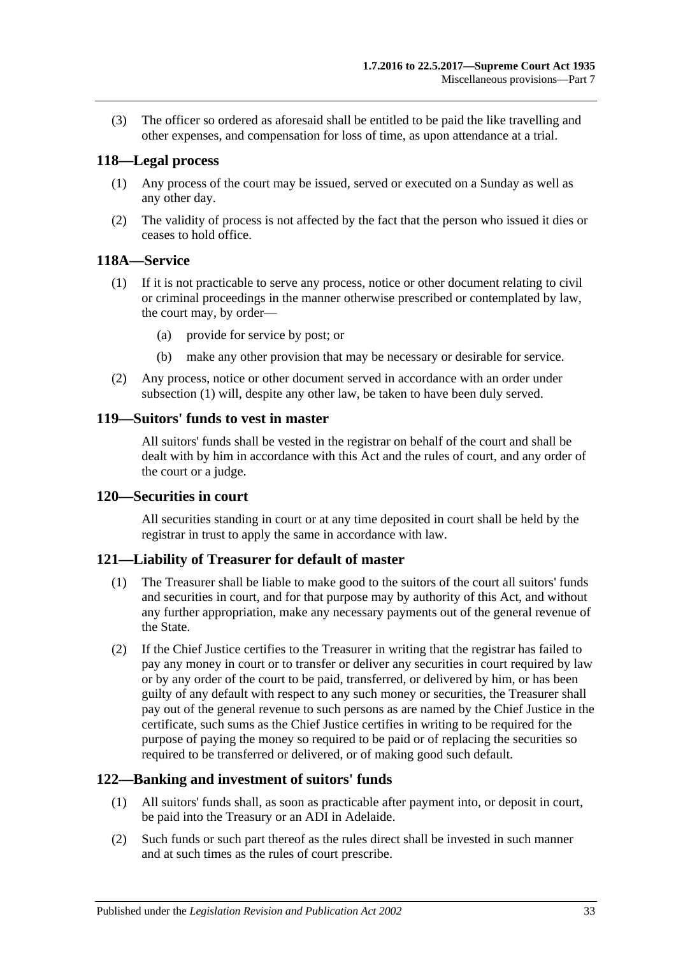(3) The officer so ordered as aforesaid shall be entitled to be paid the like travelling and other expenses, and compensation for loss of time, as upon attendance at a trial.

#### <span id="page-32-0"></span>**118—Legal process**

- (1) Any process of the court may be issued, served or executed on a Sunday as well as any other day.
- (2) The validity of process is not affected by the fact that the person who issued it dies or ceases to hold office.

#### <span id="page-32-6"></span><span id="page-32-1"></span>**118A—Service**

- (1) If it is not practicable to serve any process, notice or other document relating to civil or criminal proceedings in the manner otherwise prescribed or contemplated by law, the court may, by order—
	- (a) provide for service by post; or
	- (b) make any other provision that may be necessary or desirable for service.
- (2) Any process, notice or other document served in accordance with an order under [subsection](#page-32-6) (1) will, despite any other law, be taken to have been duly served.

#### <span id="page-32-2"></span>**119—Suitors' funds to vest in master**

All suitors' funds shall be vested in the registrar on behalf of the court and shall be dealt with by him in accordance with this Act and the rules of court, and any order of the court or a judge.

#### <span id="page-32-3"></span>**120—Securities in court**

All securities standing in court or at any time deposited in court shall be held by the registrar in trust to apply the same in accordance with law.

#### <span id="page-32-4"></span>**121—Liability of Treasurer for default of master**

- (1) The Treasurer shall be liable to make good to the suitors of the court all suitors' funds and securities in court, and for that purpose may by authority of this Act, and without any further appropriation, make any necessary payments out of the general revenue of the State.
- (2) If the Chief Justice certifies to the Treasurer in writing that the registrar has failed to pay any money in court or to transfer or deliver any securities in court required by law or by any order of the court to be paid, transferred, or delivered by him, or has been guilty of any default with respect to any such money or securities, the Treasurer shall pay out of the general revenue to such persons as are named by the Chief Justice in the certificate, such sums as the Chief Justice certifies in writing to be required for the purpose of paying the money so required to be paid or of replacing the securities so required to be transferred or delivered, or of making good such default.

## <span id="page-32-5"></span>**122—Banking and investment of suitors' funds**

- (1) All suitors' funds shall, as soon as practicable after payment into, or deposit in court, be paid into the Treasury or an ADI in Adelaide.
- (2) Such funds or such part thereof as the rules direct shall be invested in such manner and at such times as the rules of court prescribe.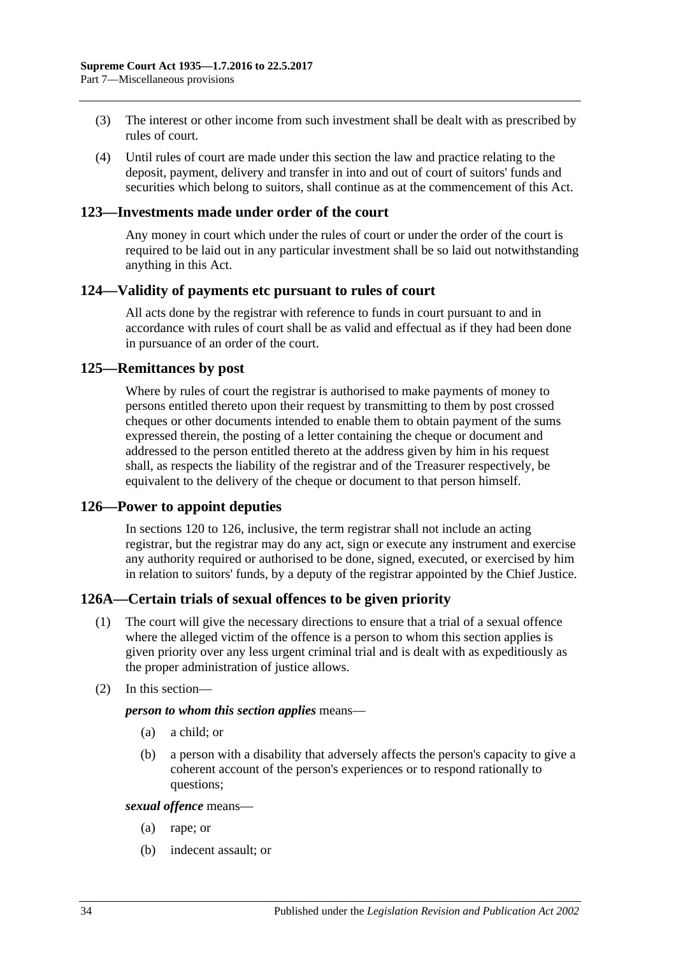- (3) The interest or other income from such investment shall be dealt with as prescribed by rules of court.
- (4) Until rules of court are made under this section the law and practice relating to the deposit, payment, delivery and transfer in into and out of court of suitors' funds and securities which belong to suitors, shall continue as at the commencement of this Act.

#### <span id="page-33-0"></span>**123—Investments made under order of the court**

Any money in court which under the rules of court or under the order of the court is required to be laid out in any particular investment shall be so laid out notwithstanding anything in this Act.

#### <span id="page-33-1"></span>**124—Validity of payments etc pursuant to rules of court**

All acts done by the registrar with reference to funds in court pursuant to and in accordance with rules of court shall be as valid and effectual as if they had been done in pursuance of an order of the court.

#### <span id="page-33-2"></span>**125—Remittances by post**

Where by rules of court the registrar is authorised to make payments of money to persons entitled thereto upon their request by transmitting to them by post crossed cheques or other documents intended to enable them to obtain payment of the sums expressed therein, the posting of a letter containing the cheque or document and addressed to the person entitled thereto at the address given by him in his request shall, as respects the liability of the registrar and of the Treasurer respectively, be equivalent to the delivery of the cheque or document to that person himself.

#### <span id="page-33-3"></span>**126—Power to appoint deputies**

In [sections](#page-32-3) 120 to 126, inclusive, the term registrar shall not include an acting registrar, but the registrar may do any act, sign or execute any instrument and exercise any authority required or authorised to be done, signed, executed, or exercised by him in relation to suitors' funds, by a deputy of the registrar appointed by the Chief Justice.

## <span id="page-33-4"></span>**126A—Certain trials of sexual offences to be given priority**

- (1) The court will give the necessary directions to ensure that a trial of a sexual offence where the alleged victim of the offence is a person to whom this section applies is given priority over any less urgent criminal trial and is dealt with as expeditiously as the proper administration of justice allows.
- (2) In this section—

#### *person to whom this section applies* means—

- (a) a child; or
- (b) a person with a disability that adversely affects the person's capacity to give a coherent account of the person's experiences or to respond rationally to questions;

*sexual offence* means—

- (a) rape; or
- (b) indecent assault; or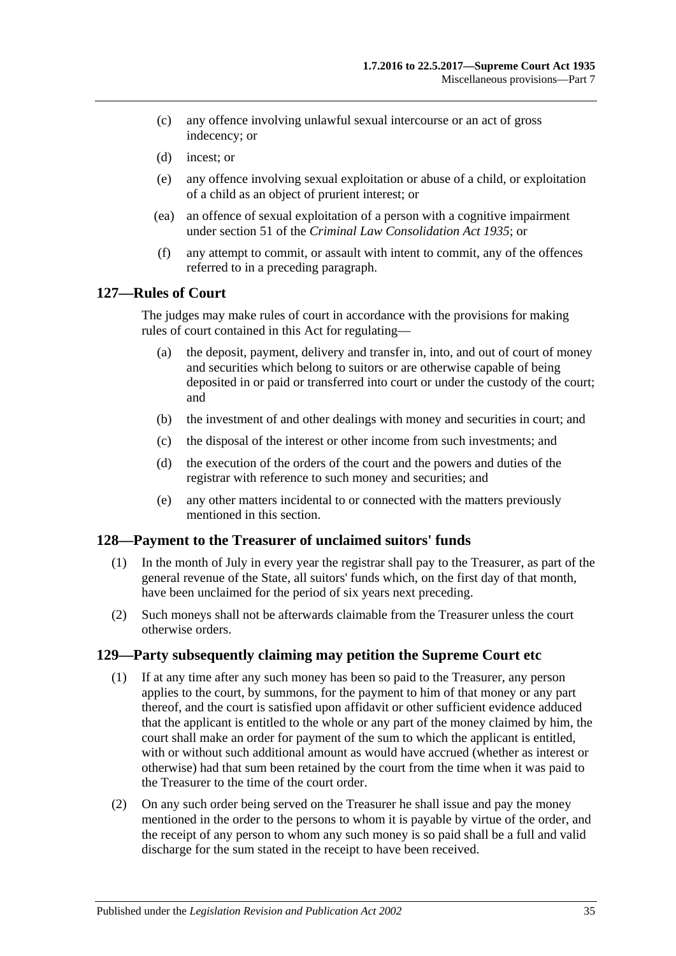- (c) any offence involving unlawful sexual intercourse or an act of gross indecency; or
- (d) incest; or
- (e) any offence involving sexual exploitation or abuse of a child, or exploitation of a child as an object of prurient interest; or
- (ea) an offence of sexual exploitation of a person with a cognitive impairment under section 51 of the *[Criminal Law Consolidation Act](http://www.legislation.sa.gov.au/index.aspx?action=legref&type=act&legtitle=Criminal%20Law%20Consolidation%20Act%201935) 1935*; or
- (f) any attempt to commit, or assault with intent to commit, any of the offences referred to in a preceding paragraph.

### <span id="page-34-0"></span>**127—Rules of Court**

The judges may make rules of court in accordance with the provisions for making rules of court contained in this Act for regulating—

- (a) the deposit, payment, delivery and transfer in, into, and out of court of money and securities which belong to suitors or are otherwise capable of being deposited in or paid or transferred into court or under the custody of the court; and
- (b) the investment of and other dealings with money and securities in court; and
- (c) the disposal of the interest or other income from such investments; and
- (d) the execution of the orders of the court and the powers and duties of the registrar with reference to such money and securities; and
- (e) any other matters incidental to or connected with the matters previously mentioned in this section.

#### <span id="page-34-1"></span>**128—Payment to the Treasurer of unclaimed suitors' funds**

- (1) In the month of July in every year the registrar shall pay to the Treasurer, as part of the general revenue of the State, all suitors' funds which, on the first day of that month, have been unclaimed for the period of six years next preceding.
- (2) Such moneys shall not be afterwards claimable from the Treasurer unless the court otherwise orders.

#### <span id="page-34-2"></span>**129—Party subsequently claiming may petition the Supreme Court etc**

- (1) If at any time after any such money has been so paid to the Treasurer, any person applies to the court, by summons, for the payment to him of that money or any part thereof, and the court is satisfied upon affidavit or other sufficient evidence adduced that the applicant is entitled to the whole or any part of the money claimed by him, the court shall make an order for payment of the sum to which the applicant is entitled, with or without such additional amount as would have accrued (whether as interest or otherwise) had that sum been retained by the court from the time when it was paid to the Treasurer to the time of the court order.
- (2) On any such order being served on the Treasurer he shall issue and pay the money mentioned in the order to the persons to whom it is payable by virtue of the order, and the receipt of any person to whom any such money is so paid shall be a full and valid discharge for the sum stated in the receipt to have been received.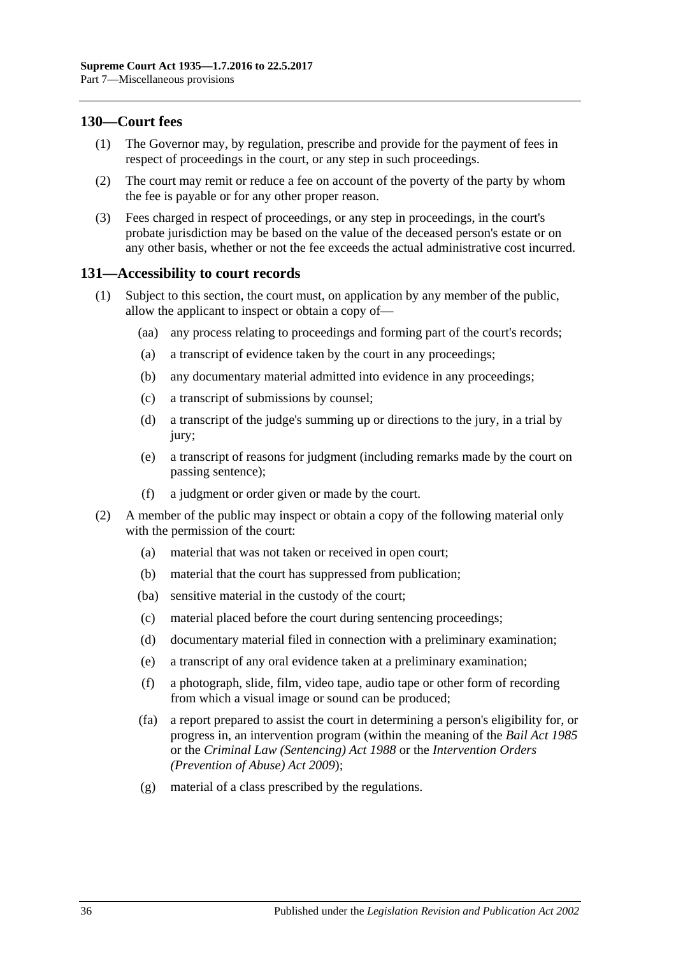## <span id="page-35-0"></span>**130—Court fees**

- (1) The Governor may, by regulation, prescribe and provide for the payment of fees in respect of proceedings in the court, or any step in such proceedings.
- (2) The court may remit or reduce a fee on account of the poverty of the party by whom the fee is payable or for any other proper reason.
- (3) Fees charged in respect of proceedings, or any step in proceedings, in the court's probate jurisdiction may be based on the value of the deceased person's estate or on any other basis, whether or not the fee exceeds the actual administrative cost incurred.

#### <span id="page-35-1"></span>**131—Accessibility to court records**

- (1) Subject to this section, the court must, on application by any member of the public, allow the applicant to inspect or obtain a copy of—
	- (aa) any process relating to proceedings and forming part of the court's records;
	- (a) a transcript of evidence taken by the court in any proceedings;
	- (b) any documentary material admitted into evidence in any proceedings;
	- (c) a transcript of submissions by counsel;
	- (d) a transcript of the judge's summing up or directions to the jury, in a trial by jury;
	- (e) a transcript of reasons for judgment (including remarks made by the court on passing sentence);
	- (f) a judgment or order given or made by the court.
- <span id="page-35-2"></span>(2) A member of the public may inspect or obtain a copy of the following material only with the permission of the court:
	- (a) material that was not taken or received in open court;
	- (b) material that the court has suppressed from publication;
	- (ba) sensitive material in the custody of the court;
	- (c) material placed before the court during sentencing proceedings;
	- (d) documentary material filed in connection with a preliminary examination;
	- (e) a transcript of any oral evidence taken at a preliminary examination;
	- (f) a photograph, slide, film, video tape, audio tape or other form of recording from which a visual image or sound can be produced;
	- (fa) a report prepared to assist the court in determining a person's eligibility for, or progress in, an intervention program (within the meaning of the *[Bail Act](http://www.legislation.sa.gov.au/index.aspx?action=legref&type=act&legtitle=Bail%20Act%201985) 1985* or the *[Criminal Law \(Sentencing\) Act](http://www.legislation.sa.gov.au/index.aspx?action=legref&type=act&legtitle=Criminal%20Law%20(Sentencing)%20Act%201988) 1988* or the *Intervention Orders (Prevention of Abuse) Act 2009*);
	- (g) material of a class prescribed by the regulations.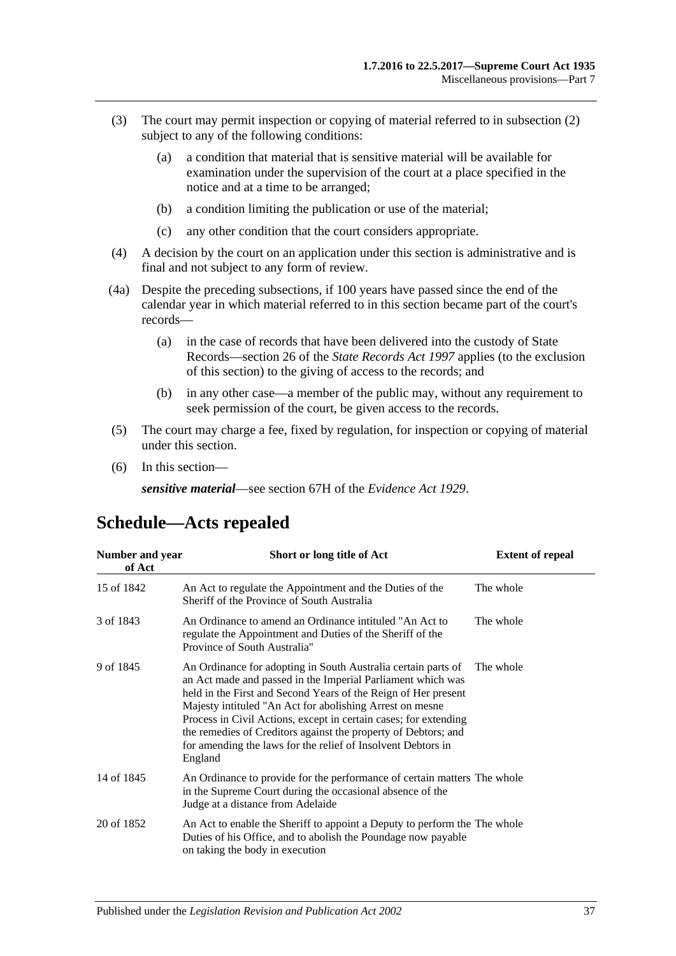- (3) The court may permit inspection or copying of material referred to in [subsection](#page-35-2) (2) subject to any of the following conditions:
	- (a) a condition that material that is sensitive material will be available for examination under the supervision of the court at a place specified in the notice and at a time to be arranged;
	- (b) a condition limiting the publication or use of the material;
	- (c) any other condition that the court considers appropriate.
- (4) A decision by the court on an application under this section is administrative and is final and not subject to any form of review.
- (4a) Despite the preceding subsections, if 100 years have passed since the end of the calendar year in which material referred to in this section became part of the court's records—
	- (a) in the case of records that have been delivered into the custody of State Records—section 26 of the *[State Records Act](http://www.legislation.sa.gov.au/index.aspx?action=legref&type=act&legtitle=State%20Records%20Act%201997) 1997* applies (to the exclusion of this section) to the giving of access to the records; and
	- (b) in any other case—a member of the public may, without any requirement to seek permission of the court, be given access to the records.
- (5) The court may charge a fee, fixed by regulation, for inspection or copying of material under this section.
- (6) In this section—

*sensitive material*—see section 67H of the *[Evidence Act](http://www.legislation.sa.gov.au/index.aspx?action=legref&type=act&legtitle=Evidence%20Act%201929) 1929*.

<span id="page-36-0"></span>

| Number and year<br>of Act | Short or long title of Act                                                                                                                                                                                                                                                                                                                                                                                                                                                  | <b>Extent of repeal</b> |
|---------------------------|-----------------------------------------------------------------------------------------------------------------------------------------------------------------------------------------------------------------------------------------------------------------------------------------------------------------------------------------------------------------------------------------------------------------------------------------------------------------------------|-------------------------|
| 15 of 1842                | An Act to regulate the Appointment and the Duties of the<br>Sheriff of the Province of South Australia                                                                                                                                                                                                                                                                                                                                                                      | The whole               |
| 3 of 1843                 | An Ordinance to amend an Ordinance intituled "An Act to<br>regulate the Appointment and Duties of the Sheriff of the<br>Province of South Australia"                                                                                                                                                                                                                                                                                                                        | The whole               |
| 9 of 1845                 | An Ordinance for adopting in South Australia certain parts of<br>an Act made and passed in the Imperial Parliament which was<br>held in the First and Second Years of the Reign of Her present<br>Majesty intituled "An Act for abolishing Arrest on mesne<br>Process in Civil Actions, except in certain cases; for extending<br>the remedies of Creditors against the property of Debtors; and<br>for amending the laws for the relief of Insolvent Debtors in<br>England | The whole               |
| 14 of 1845                | An Ordinance to provide for the performance of certain matters The whole<br>in the Supreme Court during the occasional absence of the<br>Judge at a distance from Adelaide                                                                                                                                                                                                                                                                                                  |                         |
| 20 of 1852                | An Act to enable the Sheriff to appoint a Deputy to perform the The whole<br>Duties of his Office, and to abolish the Poundage now payable<br>on taking the body in execution                                                                                                                                                                                                                                                                                               |                         |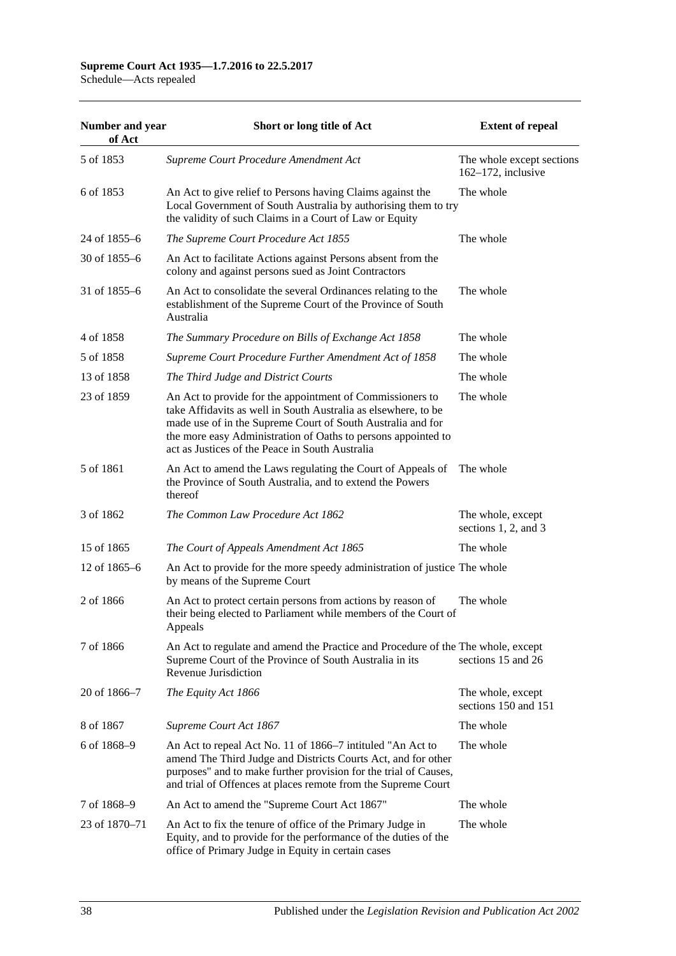# **Supreme Court Act 1935—1.7.2016 to 22.5.2017**

Schedule—Acts repealed

| Number and year<br>of Act | Short or long title of Act                                                                                                                                                                                                                                                                                     | <b>Extent of repeal</b>                            |
|---------------------------|----------------------------------------------------------------------------------------------------------------------------------------------------------------------------------------------------------------------------------------------------------------------------------------------------------------|----------------------------------------------------|
| 5 of 1853                 | Supreme Court Procedure Amendment Act                                                                                                                                                                                                                                                                          | The whole except sections<br>$162-172$ , inclusive |
| 6 of 1853                 | An Act to give relief to Persons having Claims against the<br>Local Government of South Australia by authorising them to try<br>the validity of such Claims in a Court of Law or Equity                                                                                                                        | The whole                                          |
| 24 of 1855–6              | The Supreme Court Procedure Act 1855                                                                                                                                                                                                                                                                           | The whole                                          |
| 30 of $1855-6$            | An Act to facilitate Actions against Persons absent from the<br>colony and against persons sued as Joint Contractors                                                                                                                                                                                           |                                                    |
| 31 of 1855–6              | An Act to consolidate the several Ordinances relating to the<br>establishment of the Supreme Court of the Province of South<br>Australia                                                                                                                                                                       | The whole                                          |
| 4 of 1858                 | The Summary Procedure on Bills of Exchange Act 1858                                                                                                                                                                                                                                                            | The whole                                          |
| 5 of 1858                 | Supreme Court Procedure Further Amendment Act of 1858                                                                                                                                                                                                                                                          | The whole                                          |
| 13 of 1858                | The Third Judge and District Courts                                                                                                                                                                                                                                                                            | The whole                                          |
| 23 of 1859                | An Act to provide for the appointment of Commissioners to<br>take Affidavits as well in South Australia as elsewhere, to be<br>made use of in the Supreme Court of South Australia and for<br>the more easy Administration of Oaths to persons appointed to<br>act as Justices of the Peace in South Australia | The whole                                          |
| 5 of 1861                 | An Act to amend the Laws regulating the Court of Appeals of<br>the Province of South Australia, and to extend the Powers<br>thereof                                                                                                                                                                            | The whole                                          |
| 3 of 1862                 | The Common Law Procedure Act 1862                                                                                                                                                                                                                                                                              | The whole, except<br>sections $1, 2$ , and $3$     |
| 15 of 1865                | The Court of Appeals Amendment Act 1865                                                                                                                                                                                                                                                                        | The whole                                          |
| 12 of 1865-6              | An Act to provide for the more speedy administration of justice The whole<br>by means of the Supreme Court                                                                                                                                                                                                     |                                                    |
| 2 of 1866                 | An Act to protect certain persons from actions by reason of<br>their being elected to Parliament while members of the Court of<br>Appeals                                                                                                                                                                      | The whole                                          |
| 7 of 1866                 | An Act to regulate and amend the Practice and Procedure of the The whole, except<br>Supreme Court of the Province of South Australia in its<br>Revenue Jurisdiction                                                                                                                                            | sections 15 and 26                                 |
| 20 of 1866–7              | The Equity Act 1866                                                                                                                                                                                                                                                                                            | The whole, except<br>sections 150 and 151          |
| 8 of 1867                 | Supreme Court Act 1867                                                                                                                                                                                                                                                                                         | The whole                                          |
| 6 of 1868-9               | An Act to repeal Act No. 11 of 1866–7 intituled "An Act to<br>amend The Third Judge and Districts Courts Act, and for other<br>purposes" and to make further provision for the trial of Causes,<br>and trial of Offences at places remote from the Supreme Court                                               | The whole                                          |
| 7 of 1868-9               | An Act to amend the "Supreme Court Act 1867"                                                                                                                                                                                                                                                                   | The whole                                          |
| 23 of 1870–71             | An Act to fix the tenure of office of the Primary Judge in<br>Equity, and to provide for the performance of the duties of the<br>office of Primary Judge in Equity in certain cases                                                                                                                            | The whole                                          |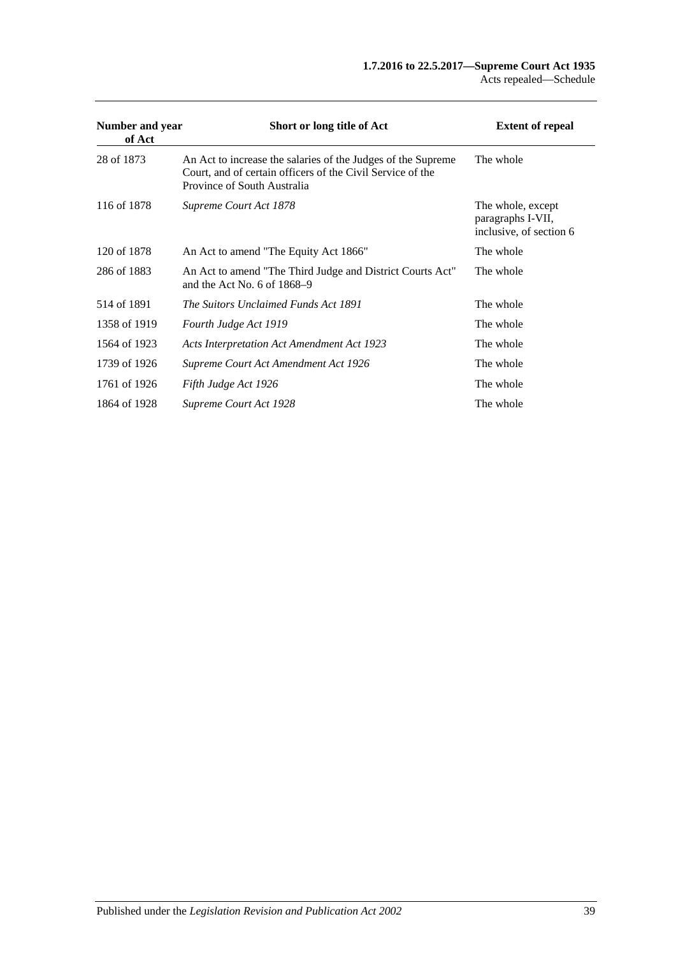| Number and year<br>of Act | Short or long title of Act                                                                                                                                | <b>Extent of repeal</b>                                           |
|---------------------------|-----------------------------------------------------------------------------------------------------------------------------------------------------------|-------------------------------------------------------------------|
| 28 of 1873                | An Act to increase the salaries of the Judges of the Supreme<br>Court, and of certain officers of the Civil Service of the<br>Province of South Australia | The whole                                                         |
| 116 of 1878               | Supreme Court Act 1878                                                                                                                                    | The whole, except<br>paragraphs I-VII,<br>inclusive, of section 6 |
| 120 of 1878               | An Act to amend "The Equity Act 1866"                                                                                                                     | The whole                                                         |
| 286 of 1883               | An Act to amend "The Third Judge and District Courts Act"<br>and the Act No. 6 of $1868-9$                                                                | The whole                                                         |
| 514 of 1891               | The Suitors Unclaimed Funds Act 1891                                                                                                                      | The whole                                                         |
| 1358 of 1919              | Fourth Judge Act 1919                                                                                                                                     | The whole                                                         |
| 1564 of 1923              | <b>Acts Interpretation Act Amendment Act 1923</b>                                                                                                         | The whole                                                         |
| 1739 of 1926              | Supreme Court Act Amendment Act 1926                                                                                                                      | The whole                                                         |
| 1761 of 1926              | Fifth Judge Act 1926                                                                                                                                      | The whole                                                         |
| 1864 of 1928              | <b>Supreme Court Act 1928</b>                                                                                                                             | The whole                                                         |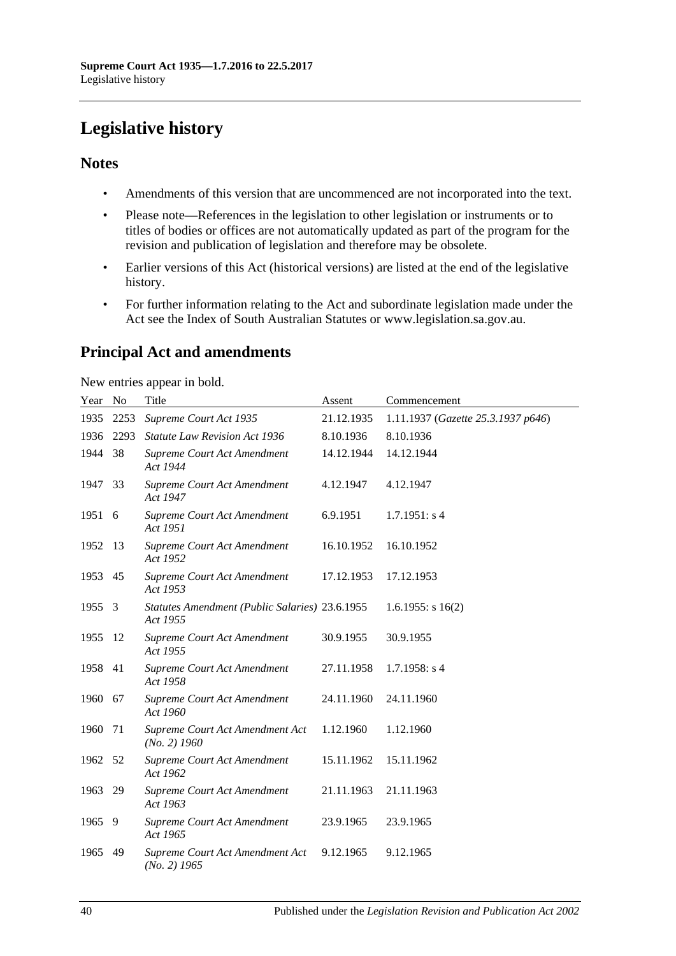# <span id="page-39-0"></span>**Legislative history**

## **Notes**

- Amendments of this version that are uncommenced are not incorporated into the text.
- Please note—References in the legislation to other legislation or instruments or to titles of bodies or offices are not automatically updated as part of the program for the revision and publication of legislation and therefore may be obsolete.
- Earlier versions of this Act (historical versions) are listed at the end of the legislative history.
- For further information relating to the Act and subordinate legislation made under the Act see the Index of South Australian Statutes or www.legislation.sa.gov.au.

# **Principal Act and amendments**

New entries appear in bold.

| Year No |      | Title                                                      | Assent     | Commencement                       |
|---------|------|------------------------------------------------------------|------------|------------------------------------|
| 1935    | 2253 | Supreme Court Act 1935                                     | 21.12.1935 | 1.11.1937 (Gazette 25.3.1937 p646) |
| 1936    | 2293 | Statute Law Revision Act 1936                              | 8.10.1936  | 8.10.1936                          |
| 1944    | 38   | Supreme Court Act Amendment<br>Act 1944                    | 14.12.1944 | 14.12.1944                         |
| 1947    | 33   | Supreme Court Act Amendment<br>Act 1947                    | 4.12.1947  | 4.12.1947                          |
| 1951 6  |      | Supreme Court Act Amendment<br>Act 1951                    | 6.9.1951   | 1.7.1951: s4                       |
| 1952    | 13   | Supreme Court Act Amendment<br>Act 1952                    | 16.10.1952 | 16.10.1952                         |
| 1953    | 45   | Supreme Court Act Amendment<br>Act 1953                    | 17.12.1953 | 17.12.1953                         |
| 1955    | 3    | Statutes Amendment (Public Salaries) 23.6.1955<br>Act 1955 |            | $1.6.1955$ : s $16(2)$             |
| 1955    | 12   | Supreme Court Act Amendment<br>Act 1955                    | 30.9.1955  | 30.9.1955                          |
| 1958    | 41   | Supreme Court Act Amendment<br>Act 1958                    | 27.11.1958 | $1.7.1958$ : s 4                   |
| 1960    | 67   | Supreme Court Act Amendment<br>Act 1960                    | 24.11.1960 | 24.11.1960                         |
| 1960    | 71   | Supreme Court Act Amendment Act<br>$(No. 2)$ 1960          | 1.12.1960  | 1.12.1960                          |
| 1962    | 52   | Supreme Court Act Amendment<br>Act 1962                    | 15.11.1962 | 15.11.1962                         |
| 1963    | 29   | Supreme Court Act Amendment<br>Act 1963                    | 21.11.1963 | 21.11.1963                         |
| 1965    | 9    | Supreme Court Act Amendment<br>Act 1965                    | 23.9.1965  | 23.9.1965                          |
| 1965    | 49   | Supreme Court Act Amendment Act<br>$(No. 2)$ 1965          | 9.12.1965  | 9.12.1965                          |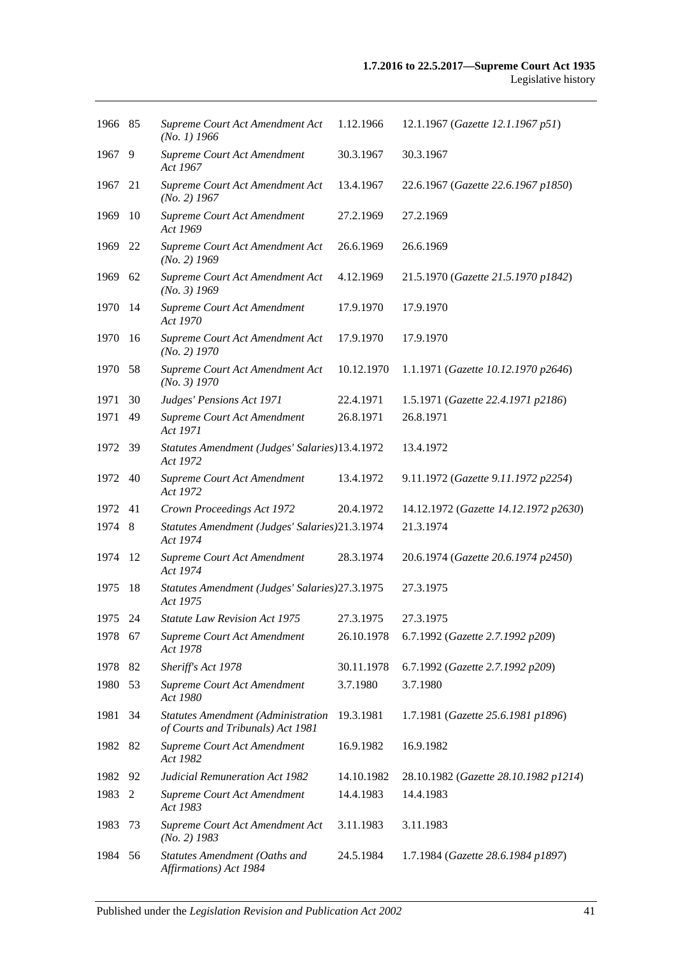| 1966 85 |     | Supreme Court Act Amendment Act<br>$(No. 1)$ 1966                              | 1.12.1966  | 12.1.1967 (Gazette 12.1.1967 p51)     |
|---------|-----|--------------------------------------------------------------------------------|------------|---------------------------------------|
| 1967    | 9   | Supreme Court Act Amendment<br>Act 1967                                        | 30.3.1967  | 30.3.1967                             |
| 1967    | 21  | Supreme Court Act Amendment Act<br>$(No. 2)$ 1967                              | 13.4.1967  | 22.6.1967 (Gazette 22.6.1967 p1850)   |
| 1969    | 10  | Supreme Court Act Amendment<br>Act 1969                                        | 27.2.1969  | 27.2.1969                             |
| 1969    | 22  | Supreme Court Act Amendment Act<br>$(No. 2)$ 1969                              | 26.6.1969  | 26.6.1969                             |
| 1969    | 62  | Supreme Court Act Amendment Act<br>$(No. 3)$ 1969                              | 4.12.1969  | 21.5.1970 (Gazette 21.5.1970 p1842)   |
| 1970    | -14 | Supreme Court Act Amendment<br>Act 1970                                        | 17.9.1970  | 17.9.1970                             |
| 1970    | -16 | Supreme Court Act Amendment Act<br>$(No. 2)$ 1970                              | 17.9.1970  | 17.9.1970                             |
| 1970    | 58  | Supreme Court Act Amendment Act<br>(No. 3) 1970                                | 10.12.1970 | 1.1.1971 (Gazette 10.12.1970 p2646)   |
| 1971    | 30  | Judges' Pensions Act 1971                                                      | 22.4.1971  | 1.5.1971 (Gazette 22.4.1971 p2186)    |
| 1971    | 49  | Supreme Court Act Amendment<br>Act 1971                                        | 26.8.1971  | 26.8.1971                             |
| 1972 39 |     | Statutes Amendment (Judges' Salaries)13.4.1972<br>Act 1972                     |            | 13.4.1972                             |
| 1972    | 40  | Supreme Court Act Amendment<br>Act 1972                                        | 13.4.1972  | 9.11.1972 (Gazette 9.11.1972 p2254)   |
| 1972    | 41  | Crown Proceedings Act 1972                                                     | 20.4.1972  | 14.12.1972 (Gazette 14.12.1972 p2630) |
| 1974    | 8   | Statutes Amendment (Judges' Salaries)21.3.1974<br>Act 1974                     |            | 21.3.1974                             |
| 1974    | 12  | Supreme Court Act Amendment<br>Act 1974                                        | 28.3.1974  | 20.6.1974 (Gazette 20.6.1974 p2450)   |
| 1975    | 18  | Statutes Amendment (Judges' Salaries) 27.3.1975<br>Act 1975                    |            | 27.3.1975                             |
| 1975 24 |     | <b>Statute Law Revision Act 1975</b>                                           | 27.3.1975  | 27.3.1975                             |
| 1978 67 |     | Supreme Court Act Amendment<br>Act 1978                                        | 26.10.1978 | 6.7.1992 (Gazette 2.7.1992 p209)      |
| 1978    | 82  | Sheriff's Act 1978                                                             | 30.11.1978 | 6.7.1992 (Gazette 2.7.1992 p209)      |
| 1980    | 53  | Supreme Court Act Amendment<br>Act 1980                                        | 3.7.1980   | 3.7.1980                              |
| 1981    | 34  | <b>Statutes Amendment (Administration</b><br>of Courts and Tribunals) Act 1981 | 19.3.1981  | 1.7.1981 (Gazette 25.6.1981 p1896)    |
| 1982    | 82  | Supreme Court Act Amendment<br>Act 1982                                        | 16.9.1982  | 16.9.1982                             |
| 1982    | 92  | Judicial Remuneration Act 1982                                                 | 14.10.1982 | 28.10.1982 (Gazette 28.10.1982 p1214) |
| 1983    | 2   | Supreme Court Act Amendment<br>Act 1983                                        | 14.4.1983  | 14.4.1983                             |
| 1983    | 73  | Supreme Court Act Amendment Act<br>$(No. 2)$ 1983                              | 3.11.1983  | 3.11.1983                             |
| 1984    | 56  | Statutes Amendment (Oaths and<br>Affirmations) Act 1984                        | 24.5.1984  | 1.7.1984 (Gazette 28.6.1984 p1897)    |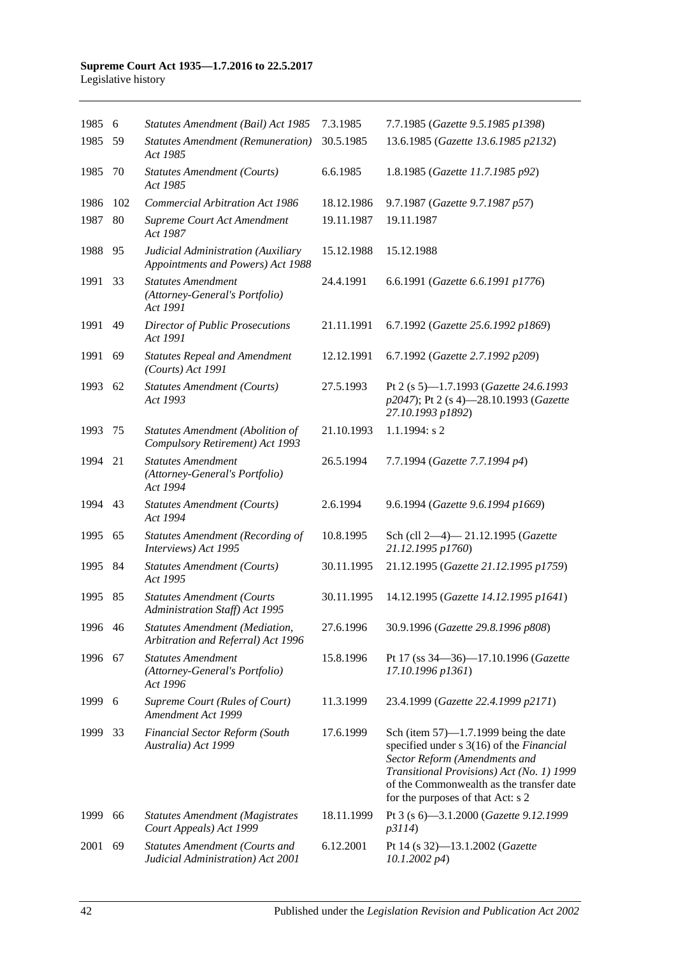#### **Supreme Court Act 1935—1.7.2016 to 22.5.2017** Legislative history

| 1985 6  |     | Statutes Amendment (Bail) Act 1985                                          | 7.3.1985   | 7.7.1985 (Gazette 9.5.1985 p1398)                                                                                                                                                                                                                   |
|---------|-----|-----------------------------------------------------------------------------|------------|-----------------------------------------------------------------------------------------------------------------------------------------------------------------------------------------------------------------------------------------------------|
| 1985    | 59  | <b>Statutes Amendment (Remuneration)</b><br>Act 1985                        | 30.5.1985  | 13.6.1985 (Gazette 13.6.1985 p2132)                                                                                                                                                                                                                 |
| 1985    | 70  | <b>Statutes Amendment (Courts)</b><br>Act 1985                              | 6.6.1985   | 1.8.1985 (Gazette 11.7.1985 p92)                                                                                                                                                                                                                    |
| 1986    | 102 | <b>Commercial Arbitration Act 1986</b>                                      | 18.12.1986 | 9.7.1987 (Gazette 9.7.1987 p57)                                                                                                                                                                                                                     |
| 1987    | 80  | Supreme Court Act Amendment<br>Act 1987                                     | 19.11.1987 | 19.11.1987                                                                                                                                                                                                                                          |
| 1988    | 95  | Judicial Administration (Auxiliary<br>Appointments and Powers) Act 1988     | 15.12.1988 | 15.12.1988                                                                                                                                                                                                                                          |
| 1991    | 33  | <b>Statutes Amendment</b><br>(Attorney-General's Portfolio)<br>Act 1991     | 24.4.1991  | 6.6.1991 (Gazette 6.6.1991 p1776)                                                                                                                                                                                                                   |
| 1991    | 49  | <b>Director of Public Prosecutions</b><br>Act 1991                          | 21.11.1991 | 6.7.1992 (Gazette 25.6.1992 p1869)                                                                                                                                                                                                                  |
| 1991    | 69  | <b>Statutes Repeal and Amendment</b><br>$(Courts)$ Act 1991                 | 12.12.1991 | 6.7.1992 (Gazette 2.7.1992 p209)                                                                                                                                                                                                                    |
| 1993    | 62  | <b>Statutes Amendment (Courts)</b><br>Act 1993                              | 27.5.1993  | Pt 2 (s 5)-1.7.1993 (Gazette 24.6.1993<br>p2047); Pt 2 (s 4)-28.10.1993 (Gazette<br>27.10.1993 p1892)                                                                                                                                               |
| 1993    | 75  | <b>Statutes Amendment (Abolition of</b><br>Compulsory Retirement) Act 1993  | 21.10.1993 | $1.1.1994$ : s 2                                                                                                                                                                                                                                    |
| 1994    | 21  | <b>Statutes Amendment</b><br>(Attorney-General's Portfolio)<br>Act 1994     | 26.5.1994  | 7.7.1994 (Gazette 7.7.1994 p4)                                                                                                                                                                                                                      |
| 1994    | 43  | <b>Statutes Amendment (Courts)</b><br>Act 1994                              | 2.6.1994   | 9.6.1994 (Gazette 9.6.1994 p1669)                                                                                                                                                                                                                   |
| 1995    | 65  | <b>Statutes Amendment (Recording of</b><br>Interviews) Act 1995             | 10.8.1995  | Sch (cll 2-4)-21.12.1995 (Gazette<br>21.12.1995 p1760)                                                                                                                                                                                              |
| 1995    | 84  | <b>Statutes Amendment (Courts)</b><br>Act 1995                              | 30.11.1995 | 21.12.1995 (Gazette 21.12.1995 p1759)                                                                                                                                                                                                               |
| 1995    | 85  | <b>Statutes Amendment (Courts</b><br>Administration Staff) Act 1995         | 30.11.1995 | 14.12.1995 (Gazette 14.12.1995 p1641)                                                                                                                                                                                                               |
| 1996 46 |     | <b>Statutes Amendment (Mediation,</b><br>Arbitration and Referral) Act 1996 | 27.6.1996  | 30.9.1996 (Gazette 29.8.1996 p808)                                                                                                                                                                                                                  |
| 1996    | 67  | <b>Statutes Amendment</b><br>(Attorney-General's Portfolio)<br>Act 1996     | 15.8.1996  | Pt 17 (ss 34–36)–17.10.1996 (Gazette<br>17.10.1996 p1361)                                                                                                                                                                                           |
| 1999    | 6   | Supreme Court (Rules of Court)<br>Amendment Act 1999                        | 11.3.1999  | 23.4.1999 (Gazette 22.4.1999 p2171)                                                                                                                                                                                                                 |
| 1999    | 33  | <b>Financial Sector Reform (South</b><br>Australia) Act 1999                | 17.6.1999  | Sch (item $57$ )—1.7.1999 being the date<br>specified under s 3(16) of the Financial<br>Sector Reform (Amendments and<br>Transitional Provisions) Act (No. 1) 1999<br>of the Commonwealth as the transfer date<br>for the purposes of that Act: s 2 |
| 1999    | 66  | <b>Statutes Amendment (Magistrates</b><br>Court Appeals) Act 1999           | 18.11.1999 | Pt 3 (s 6)-3.1.2000 (Gazette 9.12.1999<br>p3114)                                                                                                                                                                                                    |
| 2001    | 69  | <b>Statutes Amendment (Courts and</b><br>Judicial Administration) Act 2001  | 6.12.2001  | Pt 14 (s 32)-13.1.2002 (Gazette<br>$10.1.2002\ p4$                                                                                                                                                                                                  |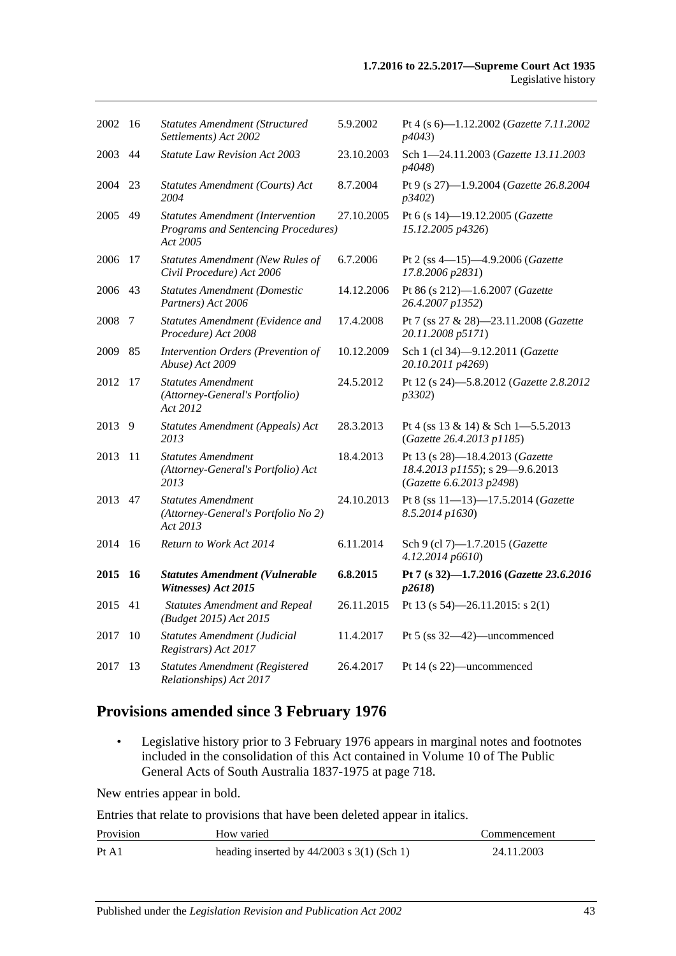| 2002    | -16       | <b>Statutes Amendment (Structured</b><br>Settlements) Act 2002                                    | 5.9.2002   | Pt 4 (s 6)-1.12.2002 (Gazette 7.11.2002<br>p4043)                                              |
|---------|-----------|---------------------------------------------------------------------------------------------------|------------|------------------------------------------------------------------------------------------------|
| 2003    | 44        | Statute Law Revision Act 2003                                                                     | 23.10.2003 | Sch 1-24.11.2003 (Gazette 13.11.2003<br><i>p4048</i> )                                         |
| 2004    | 23        | Statutes Amendment (Courts) Act<br>2004                                                           | 8.7.2004   | Pt 9 (s 27)-1.9.2004 (Gazette 26.8.2004<br>p3402)                                              |
| 2005    | 49        | <b>Statutes Amendment (Intervention</b><br><b>Programs and Sentencing Procedures)</b><br>Act 2005 | 27.10.2005 | Pt 6 (s 14)-19.12.2005 (Gazette<br>15.12.2005 p4326)                                           |
| 2006    | 17        | <b>Statutes Amendment (New Rules of</b><br>Civil Procedure) Act 2006                              | 6.7.2006   | Pt 2 (ss 4-15)-4.9.2006 (Gazette<br>17.8.2006 p2831)                                           |
| 2006    | 43        | <b>Statutes Amendment (Domestic</b><br>Partners) Act 2006                                         | 14.12.2006 | Pt 86 (s 212)-1.6.2007 (Gazette<br>26.4.2007 p1352)                                            |
| 2008    | 7         | Statutes Amendment (Evidence and<br>Procedure) Act 2008                                           | 17.4.2008  | Pt 7 (ss 27 & 28)-23.11.2008 (Gazette<br>20.11.2008 p5171)                                     |
| 2009    | 85        | Intervention Orders (Prevention of<br>Abuse) Act 2009                                             | 10.12.2009 | Sch 1 (cl 34)-9.12.2011 (Gazette<br>20.10.2011 p4269)                                          |
| 2012    | 17        | <b>Statutes Amendment</b><br>(Attorney-General's Portfolio)<br>Act 2012                           | 24.5.2012  | Pt 12 (s 24)-5.8.2012 (Gazette 2.8.2012<br>p3302)                                              |
| 2013 9  |           | Statutes Amendment (Appeals) Act<br>2013                                                          | 28.3.2013  | Pt 4 (ss $13 \& 14$ ) & Sch 1-5.5.2013<br>(Gazette 26.4.2013 p1185)                            |
| 2013    | 11        | <b>Statutes Amendment</b><br>(Attorney-General's Portfolio) Act<br>2013                           | 18.4.2013  | Pt 13 (s 28)-18.4.2013 (Gazette<br>18.4.2013 p1155); s 29-9.6.2013<br>(Gazette 6.6.2013 p2498) |
| 2013 47 |           | <b>Statutes Amendment</b><br>(Attorney-General's Portfolio No 2)<br>Act 2013                      | 24.10.2013 | Pt 8 (ss 11-13)-17.5.2014 (Gazette<br>8.5.2014 p1630)                                          |
| 2014    | 16        | Return to Work Act 2014                                                                           | 6.11.2014  | Sch 9 (cl 7)-1.7.2015 (Gazette<br>4.12.2014 p6610)                                             |
| 2015    | <b>16</b> | <b>Statutes Amendment (Vulnerable</b><br>Witnesses) Act 2015                                      | 6.8.2015   | Pt 7 (s 32)-1.7.2016 (Gazette 23.6.2016<br>p2618                                               |
| 2015    | 41        | <b>Statutes Amendment and Repeal</b><br>(Budget 2015) Act 2015                                    | 26.11.2015 | Pt 13 (s $54$ )-26.11.2015: s 2(1)                                                             |
| 2017    | 10        | <b>Statutes Amendment (Judicial</b><br>Registrars) Act 2017                                       | 11.4.2017  | Pt 5 (ss 32-42)-uncommenced                                                                    |
| 2017    | 13        | <b>Statutes Amendment (Registered</b><br>Relationships) Act 2017                                  | 26.4.2017  | Pt 14 (s 22)—uncommenced                                                                       |

## **Provisions amended since 3 February 1976**

• Legislative history prior to 3 February 1976 appears in marginal notes and footnotes included in the consolidation of this Act contained in Volume 10 of The Public General Acts of South Australia 1837-1975 at page 718.

New entries appear in bold.

Entries that relate to provisions that have been deleted appear in italics.

| Provision | How varied                                   | Commencement |
|-----------|----------------------------------------------|--------------|
| Pt A1     | heading inserted by $44/2003$ s 3(1) (Sch 1) | 24.11.2003   |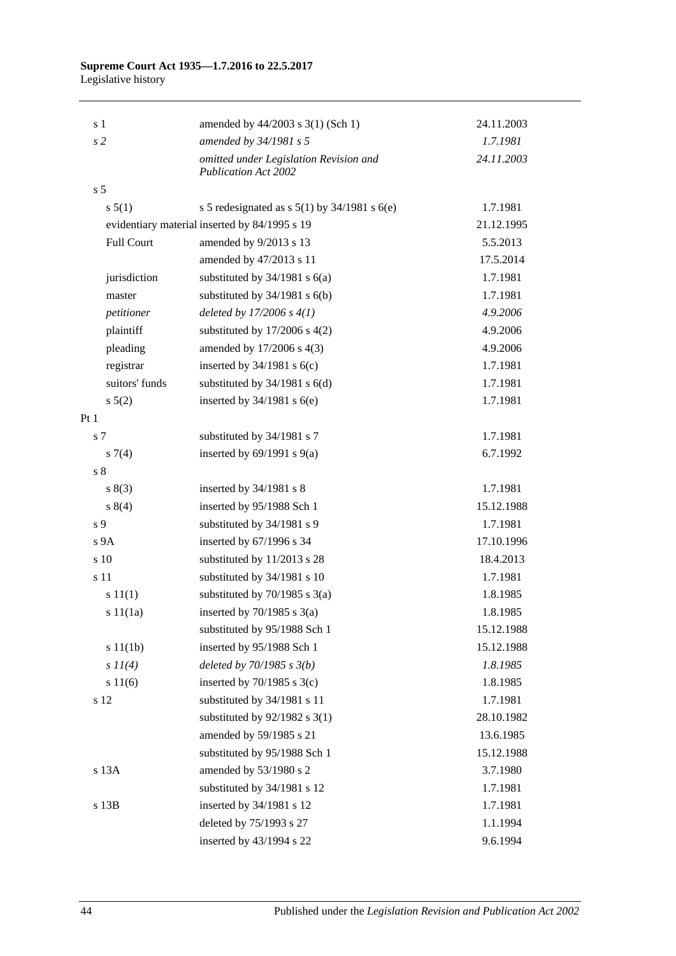#### **Supreme Court Act 1935—1.7.2016 to 22.5.2017** Legislative history

| s <sub>1</sub>    | amended by 44/2003 s 3(1) (Sch 1)                                     | 24.11.2003 |
|-------------------|-----------------------------------------------------------------------|------------|
| s <sub>2</sub>    | amended by 34/1981 s 5                                                | 1.7.1981   |
|                   | omitted under Legislation Revision and<br><b>Publication Act 2002</b> | 24.11.2003 |
| s <sub>5</sub>    |                                                                       |            |
| s 5(1)            | s 5 redesignated as s $5(1)$ by $34/1981$ s $6(e)$                    | 1.7.1981   |
|                   | evidentiary material inserted by 84/1995 s 19                         | 21.12.1995 |
| <b>Full Court</b> | amended by 9/2013 s 13                                                | 5.5.2013   |
|                   | amended by 47/2013 s 11                                               | 17.5.2014  |
| jurisdiction      | substituted by $34/1981$ s $6(a)$                                     | 1.7.1981   |
| master            | substituted by $34/1981$ s $6(b)$                                     | 1.7.1981   |
| petitioner        | deleted by $17/2006 s 4(1)$                                           | 4.9.2006   |
| plaintiff         | substituted by $17/2006$ s $4(2)$                                     | 4.9.2006   |
| pleading          | amended by 17/2006 s 4(3)                                             | 4.9.2006   |
| registrar         | inserted by $34/1981$ s $6(c)$                                        | 1.7.1981   |
| suitors' funds    | substituted by $34/1981$ s $6(d)$                                     | 1.7.1981   |
| $s\ 5(2)$         | inserted by $34/1981$ s $6(e)$                                        | 1.7.1981   |
| Pt <sub>1</sub>   |                                                                       |            |
| s 7               | substituted by 34/1981 s 7                                            | 1.7.1981   |
| $s \, 7(4)$       | inserted by $69/1991$ s $9(a)$                                        | 6.7.1992   |
| s <sub>8</sub>    |                                                                       |            |
| s(3)              | inserted by 34/1981 s 8                                               | 1.7.1981   |
| s 8(4)            | inserted by 95/1988 Sch 1                                             | 15.12.1988 |
| s <sub>9</sub>    | substituted by 34/1981 s 9                                            | 1.7.1981   |
| s 9A              | inserted by 67/1996 s 34                                              | 17.10.1996 |
| s 10              | substituted by 11/2013 s 28                                           | 18.4.2013  |
| s 11              | substituted by 34/1981 s 10                                           | 1.7.1981   |
| s 11(1)           | substituted by $70/1985$ s $3(a)$                                     | 1.8.1985   |
| s11(1a)           | inserted by $70/1985$ s $3(a)$                                        | 1.8.1985   |
|                   | substituted by 95/1988 Sch 1                                          | 15.12.1988 |
| s 11(1b)          | inserted by 95/1988 Sch 1                                             | 15.12.1988 |
| $s$ $11(4)$       | deleted by $70/1985 s 3(b)$                                           | 1.8.1985   |
| s 11(6)           | inserted by $70/1985$ s $3(c)$                                        | 1.8.1985   |
| s 12              | substituted by 34/1981 s 11                                           | 1.7.1981   |
|                   | substituted by $92/1982$ s 3(1)                                       | 28.10.1982 |
|                   | amended by 59/1985 s 21                                               | 13.6.1985  |
|                   | substituted by 95/1988 Sch 1                                          | 15.12.1988 |
| s 13A             | amended by 53/1980 s 2                                                | 3.7.1980   |
|                   | substituted by 34/1981 s 12                                           | 1.7.1981   |
| s 13B             | inserted by 34/1981 s 12                                              | 1.7.1981   |
|                   | deleted by 75/1993 s 27                                               | 1.1.1994   |
|                   | inserted by 43/1994 s 22                                              | 9.6.1994   |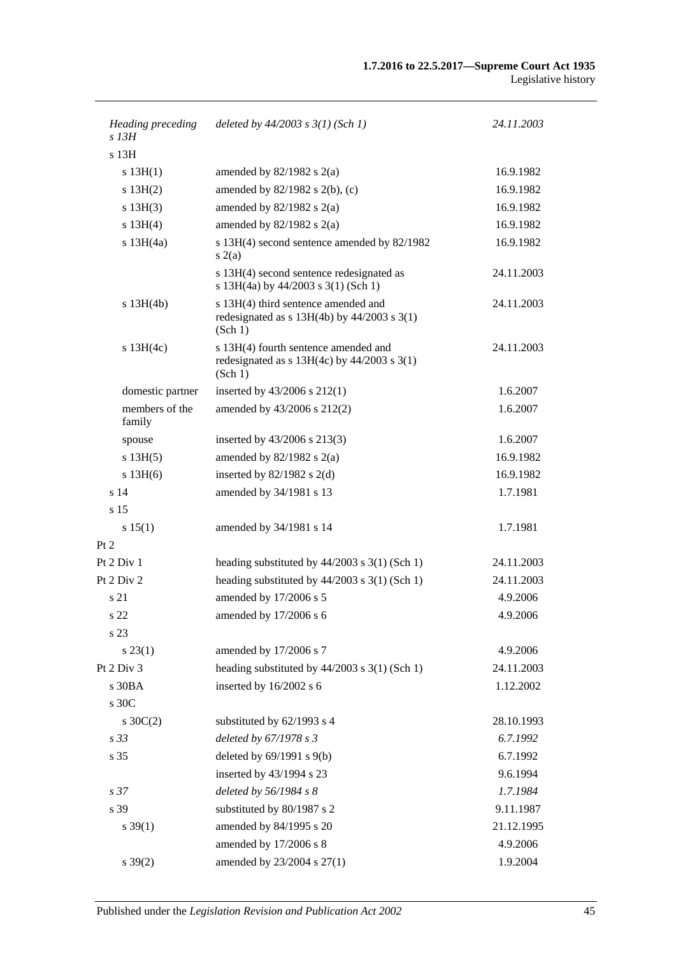| Heading preceding<br>s 13H | deleted by $44/2003$ s $3(1)$ (Sch 1)                                                              | 24.11.2003 |
|----------------------------|----------------------------------------------------------------------------------------------------|------------|
| s <sub>13H</sub>           |                                                                                                    |            |
| s 13H(1)                   | amended by $82/1982$ s $2(a)$                                                                      | 16.9.1982  |
| $s$ 13H $(2)$              | amended by $82/1982$ s $2(b)$ , (c)                                                                | 16.9.1982  |
| $s$ 13H(3)                 | amended by $82/1982$ s $2(a)$                                                                      | 16.9.1982  |
| s 13H(4)                   | amended by $82/1982$ s $2(a)$                                                                      | 16.9.1982  |
| s $13H(4a)$                | s 13H(4) second sentence amended by 82/1982<br>s(2(a)                                              | 16.9.1982  |
|                            | s 13H(4) second sentence redesignated as<br>s 13H(4a) by 44/2003 s 3(1) (Sch 1)                    | 24.11.2003 |
| s 13H(4b)                  | s 13H(4) third sentence amended and<br>redesignated as $s$ 13H(4b) by 44/2003 $s$ 3(1)<br>(Sch 1)  | 24.11.2003 |
| $s$ 13H(4c)                | s 13H(4) fourth sentence amended and<br>redesignated as $s$ 13H(4c) by 44/2003 $s$ 3(1)<br>(Sch 1) | 24.11.2003 |
| domestic partner           | inserted by $43/2006$ s $212(1)$                                                                   | 1.6.2007   |
| members of the<br>family   | amended by 43/2006 s 212(2)                                                                        | 1.6.2007   |
| spouse                     | inserted by $43/2006$ s $213(3)$                                                                   | 1.6.2007   |
| s 13H(5)                   | amended by $82/1982$ s $2(a)$                                                                      | 16.9.1982  |
| s 13H(6)                   | inserted by $82/1982$ s 2(d)                                                                       | 16.9.1982  |
| s <sub>14</sub>            | amended by 34/1981 s 13                                                                            | 1.7.1981   |
| s 15                       |                                                                                                    |            |
| s 15(1)                    | amended by 34/1981 s 14                                                                            | 1.7.1981   |
| Pt 2                       |                                                                                                    |            |
| Pt 2 Div 1                 | heading substituted by $44/2003$ s $3(1)$ (Sch 1)                                                  | 24.11.2003 |
| Pt 2 Div 2                 | heading substituted by $44/2003$ s 3(1) (Sch 1)                                                    | 24.11.2003 |
| s 21                       | amended by 17/2006 s 5                                                                             | 4.9.2006   |
| s 22                       | amended by 17/2006 s 6                                                                             | 4.9.2006   |
| s 23                       |                                                                                                    |            |
| $s\,23(1)$                 | amended by 17/2006 s 7                                                                             | 4.9.2006   |
| Pt 2 Div 3                 | heading substituted by 44/2003 s 3(1) (Sch 1)                                                      | 24.11.2003 |
| s 30BA                     | inserted by 16/2002 s 6                                                                            | 1.12.2002  |
| s 30C                      |                                                                                                    |            |
| $s \, 30C(2)$              | substituted by 62/1993 s 4                                                                         | 28.10.1993 |
| s <sub>33</sub>            | deleted by 67/1978 s 3                                                                             | 6.7.1992   |
| s 35                       | deleted by 69/1991 s 9(b)                                                                          | 6.7.1992   |
|                            | inserted by 43/1994 s 23                                                                           | 9.6.1994   |
| s <sub>37</sub>            | deleted by 56/1984 s 8                                                                             | 1.7.1984   |
| s 39                       | substituted by 80/1987 s 2                                                                         | 9.11.1987  |
| $s \, 39(1)$               | amended by 84/1995 s 20                                                                            | 21.12.1995 |
|                            | amended by 17/2006 s 8                                                                             | 4.9.2006   |
| $s \, 39(2)$               | amended by 23/2004 s 27(1)                                                                         | 1.9.2004   |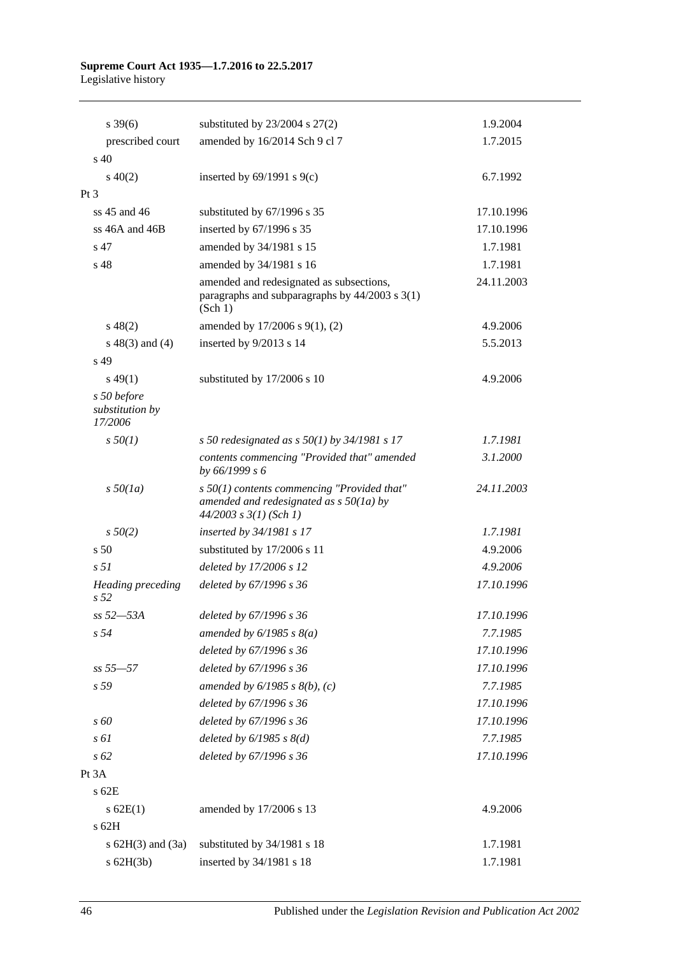# **Supreme Court Act 1935—1.7.2016 to 22.5.2017**

Legislative history

| $s \, 39(6)$                              | substituted by $23/2004$ s $27(2)$                                                                                       | 1.9.2004   |
|-------------------------------------------|--------------------------------------------------------------------------------------------------------------------------|------------|
| prescribed court                          | amended by 16/2014 Sch 9 cl 7                                                                                            | 1.7.2015   |
| s <sub>40</sub>                           |                                                                                                                          |            |
| $s\ 40(2)$                                | inserted by $69/1991$ s $9(c)$                                                                                           | 6.7.1992   |
| Pt <sub>3</sub>                           |                                                                                                                          |            |
| ss $45$ and $46$                          | substituted by 67/1996 s 35                                                                                              | 17.10.1996 |
| ss 46A and 46B                            | inserted by 67/1996 s 35                                                                                                 | 17.10.1996 |
| s 47                                      | amended by 34/1981 s 15                                                                                                  | 1.7.1981   |
| s <sub>48</sub>                           | amended by 34/1981 s 16                                                                                                  | 1.7.1981   |
|                                           | amended and redesignated as subsections,<br>paragraphs and subparagraphs by $44/2003$ s $3(1)$<br>(Sch 1)                | 24.11.2003 |
| $s\ 48(2)$                                | amended by 17/2006 s 9(1), (2)                                                                                           | 4.9.2006   |
| $s\ 48(3)$ and (4)                        | inserted by 9/2013 s 14                                                                                                  | 5.5.2013   |
| s 49                                      |                                                                                                                          |            |
| $s\,49(1)$                                | substituted by 17/2006 s 10                                                                                              | 4.9.2006   |
| s 50 before<br>substitution by<br>17/2006 |                                                                                                                          |            |
| $s\,50(1)$                                | s 50 redesignated as s $50(1)$ by 34/1981 s 17                                                                           | 1.7.1981   |
|                                           | contents commencing "Provided that" amended<br>by 66/1999 s 6                                                            | 3.1.2000   |
| $s\,50(1a)$                               | $s$ 50(1) contents commencing "Provided that"<br>amended and redesignated as $s$ 50(1a) by<br>$44/2003$ s $3(1)$ (Sch 1) | 24.11.2003 |
| $s\,50(2)$                                | inserted by 34/1981 s 17                                                                                                 | 1.7.1981   |
| s <sub>50</sub>                           | substituted by 17/2006 s 11                                                                                              | 4.9.2006   |
| s <sub>51</sub>                           | deleted by 17/2006 s 12                                                                                                  | 4.9.2006   |
| Heading preceding<br>s <sub>52</sub>      | deleted by 67/1996 s 36                                                                                                  | 17.10.1996 |
| ss 52—53A                                 | deleted by 67/1996 s 36                                                                                                  | 17.10.1996 |
| s <sub>54</sub>                           | amended by $6/1985$ s $8(a)$                                                                                             | 7.7.1985   |
|                                           | deleted by 67/1996 s 36                                                                                                  | 17.10.1996 |
| $ss 55 - 57$                              | deleted by 67/1996 s 36                                                                                                  | 17.10.1996 |
| s 59                                      | amended by $6/1985$ s $8(b)$ , (c)                                                                                       | 7.7.1985   |
|                                           | deleted by 67/1996 s 36                                                                                                  | 17.10.1996 |
| s 60                                      | deleted by 67/1996 s 36                                                                                                  | 17.10.1996 |
| $s \, \delta l$                           | deleted by $6/1985$ s $8(d)$                                                                                             | 7.7.1985   |
| $s\,62$                                   | deleted by 67/1996 s 36                                                                                                  | 17.10.1996 |
| Pt 3A                                     |                                                                                                                          |            |
| $s$ 62 $E$                                |                                                                                                                          |            |
| $s$ 62E(1)                                | amended by 17/2006 s 13                                                                                                  | 4.9.2006   |
| s 62H                                     |                                                                                                                          |            |
| s $62H(3)$ and $(3a)$                     | substituted by 34/1981 s 18                                                                                              | 1.7.1981   |
| $s$ 62H(3b)                               | inserted by 34/1981 s 18                                                                                                 | 1.7.1981   |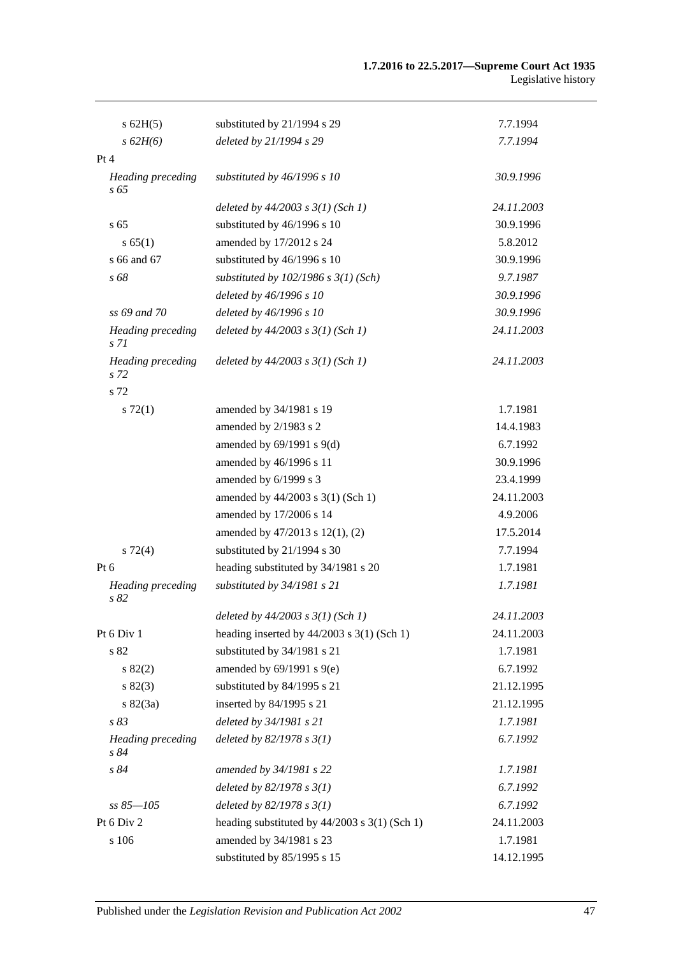| $s$ 62H(5)                                  | substituted by 21/1994 s 29                     | 7.7.1994   |
|---------------------------------------------|-------------------------------------------------|------------|
| s 62H(6)                                    | deleted by 21/1994 s 29                         | 7.7.1994   |
| Pt 4                                        |                                                 |            |
| Heading preceding<br>s 65                   | substituted by 46/1996 s 10                     | 30.9.1996  |
|                                             | deleted by $44/2003$ s $3(1)$ (Sch 1)           | 24.11.2003 |
| s <sub>65</sub>                             | substituted by 46/1996 s 10                     | 30.9.1996  |
| s 65(1)                                     | amended by 17/2012 s 24                         | 5.8.2012   |
| s 66 and 67                                 | substituted by 46/1996 s 10                     | 30.9.1996  |
| s 68                                        | substituted by $102/1986$ s $3(1)$ (Sch)        | 9.7.1987   |
|                                             | deleted by 46/1996 s 10                         | 30.9.1996  |
| ss 69 and 70                                | deleted by 46/1996 s 10                         | 30.9.1996  |
| <b>Heading</b> preceding<br>s <sub>71</sub> | deleted by $44/2003$ s $3(1)$ (Sch 1)           | 24.11.2003 |
| <b>Heading</b> preceding<br>s <sub>72</sub> | deleted by $44/2003$ s $3(1)$ (Sch 1)           | 24.11.2003 |
| s 72                                        |                                                 |            |
| $s \, 72(1)$                                | amended by 34/1981 s 19                         | 1.7.1981   |
|                                             | amended by 2/1983 s 2                           | 14.4.1983  |
|                                             | amended by $69/1991$ s $9(d)$                   | 6.7.1992   |
|                                             | amended by 46/1996 s 11                         | 30.9.1996  |
|                                             | amended by 6/1999 s 3                           | 23.4.1999  |
|                                             | amended by 44/2003 s 3(1) (Sch 1)               | 24.11.2003 |
|                                             | amended by 17/2006 s 14                         | 4.9.2006   |
|                                             | amended by 47/2013 s 12(1), (2)                 | 17.5.2014  |
| $s\ 72(4)$                                  | substituted by 21/1994 s 30                     | 7.7.1994   |
| Pt 6                                        | heading substituted by 34/1981 s 20             | 1.7.1981   |
| Heading preceding<br>s 82                   | substituted by 34/1981 s 21                     | 1.7.1981   |
|                                             | deleted by $44/2003$ s $3(1)$ (Sch 1)           | 24.11.2003 |
| Pt 6 Div 1                                  | heading inserted by $44/2003$ s 3(1) (Sch 1)    | 24.11.2003 |
| s 82                                        | substituted by 34/1981 s 21                     | 1.7.1981   |
| s 82(2)                                     | amended by $69/1991$ s $9(e)$                   | 6.7.1992   |
| s 82(3)                                     | substituted by 84/1995 s 21                     | 21.12.1995 |
| $s \, 82(3a)$                               | inserted by 84/1995 s 21                        | 21.12.1995 |
| s 83                                        | deleted by 34/1981 s 21                         | 1.7.1981   |
| <b>Heading</b> preceding<br>s 84            | deleted by $82/1978 s 3(1)$                     | 6.7.1992   |
| s 84                                        | amended by 34/1981 s 22                         | 1.7.1981   |
|                                             | deleted by $82/1978 s 3(1)$                     | 6.7.1992   |
| $ss 85 - 105$                               | deleted by $82/1978 s 3(1)$                     | 6.7.1992   |
| Pt 6 Div 2                                  | heading substituted by $44/2003$ s 3(1) (Sch 1) | 24.11.2003 |
| s 106                                       | amended by 34/1981 s 23                         | 1.7.1981   |
|                                             | substituted by 85/1995 s 15                     | 14.12.1995 |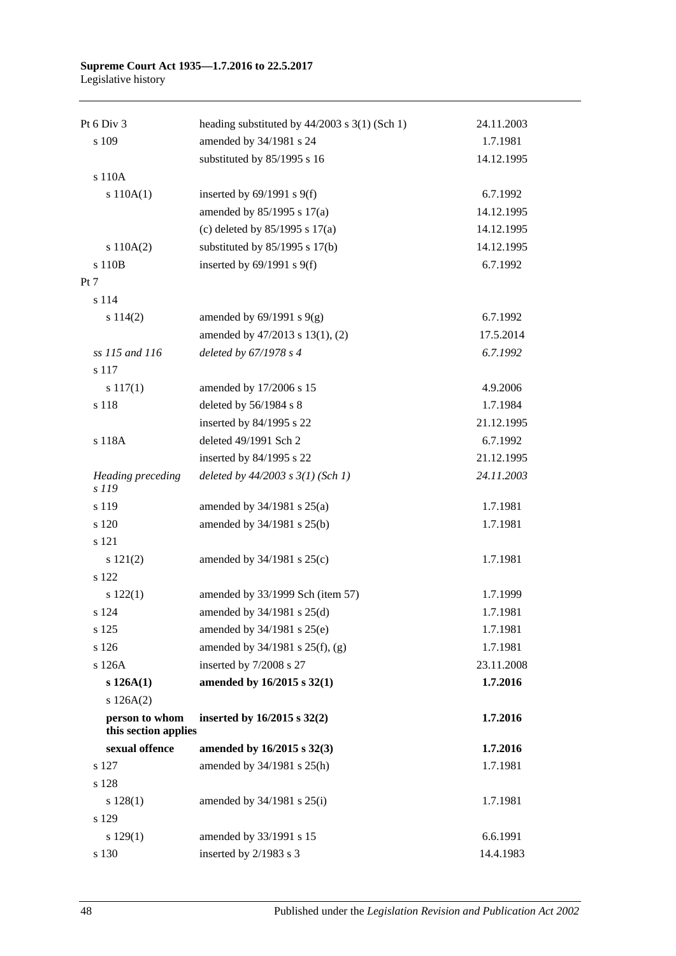## **Supreme Court Act 1935—1.7.2016 to 22.5.2017**

Legislative history

| Pt 6 Div 3                             | heading substituted by $44/2003$ s $3(1)$ (Sch 1) | 24.11.2003 |
|----------------------------------------|---------------------------------------------------|------------|
| s 109                                  | amended by 34/1981 s 24                           | 1.7.1981   |
|                                        | substituted by 85/1995 s 16                       | 14.12.1995 |
| s 110A                                 |                                                   |            |
| s 110A(1)                              | inserted by $69/1991$ s $9(f)$                    | 6.7.1992   |
|                                        | amended by 85/1995 s 17(a)                        | 14.12.1995 |
|                                        | (c) deleted by $85/1995$ s 17(a)                  | 14.12.1995 |
| s 110A(2)                              | substituted by $85/1995$ s 17(b)                  | 14.12.1995 |
| s 110B                                 | inserted by $69/1991$ s $9(f)$                    | 6.7.1992   |
| Pt 7                                   |                                                   |            |
| s 114                                  |                                                   |            |
| s 114(2)                               | amended by $69/1991$ s $9(g)$                     | 6.7.1992   |
|                                        | amended by 47/2013 s 13(1), (2)                   | 17.5.2014  |
| ss 115 and 116                         | deleted by 67/1978 s 4                            | 6.7.1992   |
| s 117                                  |                                                   |            |
| s 117(1)                               | amended by 17/2006 s 15                           | 4.9.2006   |
| s 118                                  | deleted by 56/1984 s 8                            | 1.7.1984   |
|                                        | inserted by 84/1995 s 22                          | 21.12.1995 |
| s 118A                                 | deleted 49/1991 Sch 2                             | 6.7.1992   |
|                                        | inserted by 84/1995 s 22                          | 21.12.1995 |
| Heading preceding<br>s 119             | deleted by $44/2003$ s $3(1)$ (Sch 1)             | 24.11.2003 |
| s 119                                  | amended by $34/1981$ s $25(a)$                    | 1.7.1981   |
| s 120                                  | amended by 34/1981 s 25(b)                        | 1.7.1981   |
| s 121                                  |                                                   |            |
| s 121(2)                               | amended by $34/1981$ s $25(c)$                    | 1.7.1981   |
| s 122                                  |                                                   |            |
| s 122(1)                               | amended by 33/1999 Sch (item 57)                  | 1.7.1999   |
| s 124                                  | amended by 34/1981 s 25(d)                        | 1.7.1981   |
| s 125                                  | amended by 34/1981 s 25(e)                        | 1.7.1981   |
| s 126                                  | amended by 34/1981 s 25(f), (g)                   | 1.7.1981   |
| s 126A                                 | inserted by 7/2008 s 27                           | 23.11.2008 |
| s 126A(1)                              | amended by 16/2015 s 32(1)                        | 1.7.2016   |
| s 126A(2)                              |                                                   |            |
| person to whom<br>this section applies | inserted by 16/2015 s 32(2)                       | 1.7.2016   |
| sexual offence                         | amended by 16/2015 s 32(3)                        | 1.7.2016   |
| s 127                                  | amended by 34/1981 s 25(h)                        | 1.7.1981   |
| s 128                                  |                                                   |            |
| s 128(1)                               | amended by $34/1981$ s $25(i)$                    | 1.7.1981   |
| s 129                                  |                                                   |            |
| s 129(1)                               | amended by 33/1991 s 15                           | 6.6.1991   |
| s 130                                  | inserted by 2/1983 s 3                            | 14.4.1983  |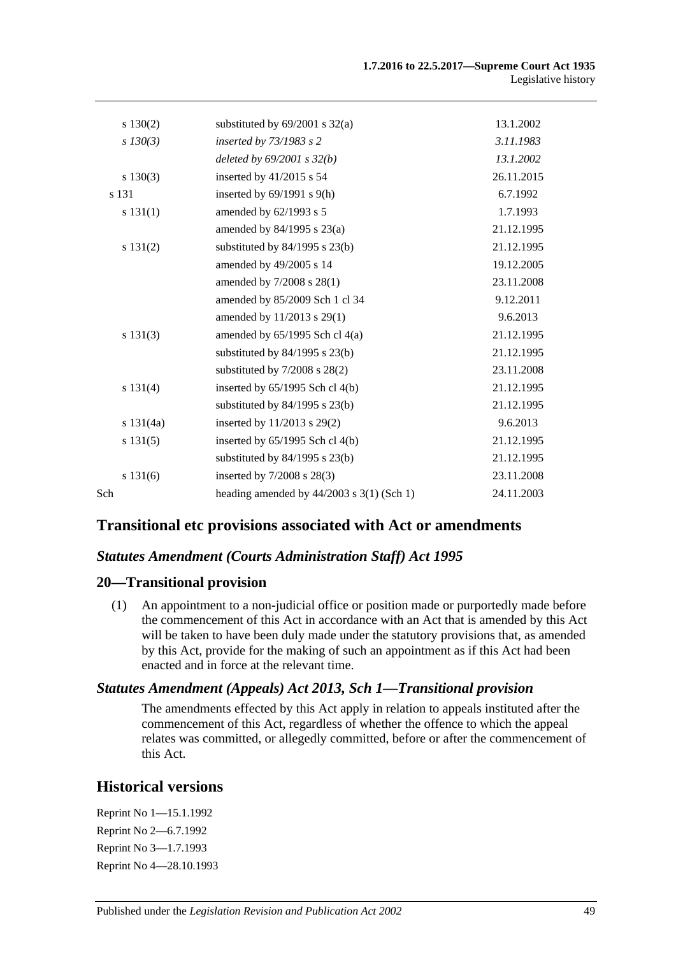|     | s 130(2)    | substituted by $69/2001$ s $32(a)$          | 13.1.2002  |
|-----|-------------|---------------------------------------------|------------|
|     | $s$ 130(3)  | inserted by 73/1983 s 2                     | 3.11.1983  |
|     |             | deleted by $69/2001 s 32(b)$                | 13.1.2002  |
|     | $s\ 130(3)$ | inserted by $41/2015$ s 54                  | 26.11.2015 |
|     | s 131       | inserted by $69/1991$ s $9(h)$              | 6.7.1992   |
|     | s 131(1)    | amended by 62/1993 s 5                      | 1.7.1993   |
|     |             | amended by 84/1995 s 23(a)                  | 21.12.1995 |
|     | s 131(2)    | substituted by $84/1995$ s $23(b)$          | 21.12.1995 |
|     |             | amended by 49/2005 s 14                     | 19.12.2005 |
|     |             | amended by 7/2008 s 28(1)                   | 23.11.2008 |
|     |             | amended by 85/2009 Sch 1 cl 34              | 9.12.2011  |
|     |             | amended by 11/2013 s 29(1)                  | 9.6.2013   |
|     | s 131(3)    | amended by $65/1995$ Sch cl $4(a)$          | 21.12.1995 |
|     |             | substituted by $84/1995$ s $23(b)$          | 21.12.1995 |
|     |             | substituted by $7/2008$ s $28(2)$           | 23.11.2008 |
|     | s 131(4)    | inserted by 65/1995 Sch cl 4(b)             | 21.12.1995 |
|     |             | substituted by $84/1995$ s $23(b)$          | 21.12.1995 |
|     | s 131(4a)   | inserted by 11/2013 s 29(2)                 | 9.6.2013   |
|     | s 131(5)    | inserted by $65/1995$ Sch cl $4(b)$         | 21.12.1995 |
|     |             | substituted by $84/1995$ s $23(b)$          | 21.12.1995 |
|     | s 131(6)    | inserted by $7/2008$ s $28(3)$              | 23.11.2008 |
| Sch |             | heading amended by $44/2003$ s 3(1) (Sch 1) | 24.11.2003 |

## **Transitional etc provisions associated with Act or amendments**

#### *Statutes Amendment (Courts Administration Staff) Act 1995*

#### **20—Transitional provision**

(1) An appointment to a non-judicial office or position made or purportedly made before the commencement of this Act in accordance with an Act that is amended by this Act will be taken to have been duly made under the statutory provisions that, as amended by this Act, provide for the making of such an appointment as if this Act had been enacted and in force at the relevant time.

#### *Statutes Amendment (Appeals) Act 2013, Sch 1—Transitional provision*

The amendments effected by this Act apply in relation to appeals instituted after the commencement of this Act, regardless of whether the offence to which the appeal relates was committed, or allegedly committed, before or after the commencement of this Act.

## **Historical versions**

Reprint No 1—15.1.1992 Reprint No 2—6.7.1992 Reprint No 3—1.7.1993 Reprint No 4—28.10.1993